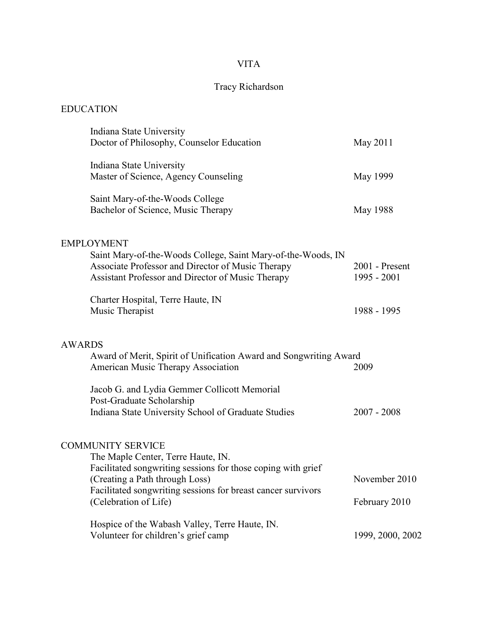# VITA

# Tracy Richardson

## EDUCATION

|               | Indiana State University<br>Doctor of Philosophy, Counselor Education                                                                                                                                                                                     | May 2011                       |
|---------------|-----------------------------------------------------------------------------------------------------------------------------------------------------------------------------------------------------------------------------------------------------------|--------------------------------|
|               | Indiana State University<br>Master of Science, Agency Counseling                                                                                                                                                                                          | May 1999                       |
|               | Saint Mary-of-the-Woods College<br>Bachelor of Science, Music Therapy                                                                                                                                                                                     | May 1988                       |
|               | <b>EMPLOYMENT</b><br>Saint Mary-of-the-Woods College, Saint Mary-of-the-Woods, IN<br>Associate Professor and Director of Music Therapy<br>Assistant Professor and Director of Music Therapy                                                               | 2001 - Present<br>1995 - 2001  |
|               | Charter Hospital, Terre Haute, IN<br>Music Therapist                                                                                                                                                                                                      | 1988 - 1995                    |
| <b>AWARDS</b> | Award of Merit, Spirit of Unification Award and Songwriting Award<br>American Music Therapy Association                                                                                                                                                   | 2009                           |
|               | Jacob G. and Lydia Gemmer Collicott Memorial<br>Post-Graduate Scholarship<br>Indiana State University School of Graduate Studies                                                                                                                          | $2007 - 2008$                  |
|               | <b>COMMUNITY SERVICE</b><br>The Maple Center, Terre Haute, IN.<br>Facilitated songwriting sessions for those coping with grief<br>(Creating a Path through Loss)<br>Facilitated songwriting sessions for breast cancer survivors<br>(Celebration of Life) | November 2010<br>February 2010 |
|               | Hospice of the Wabash Valley, Terre Haute, IN.<br>Volunteer for children's grief camp                                                                                                                                                                     | 1999, 2000, 2002               |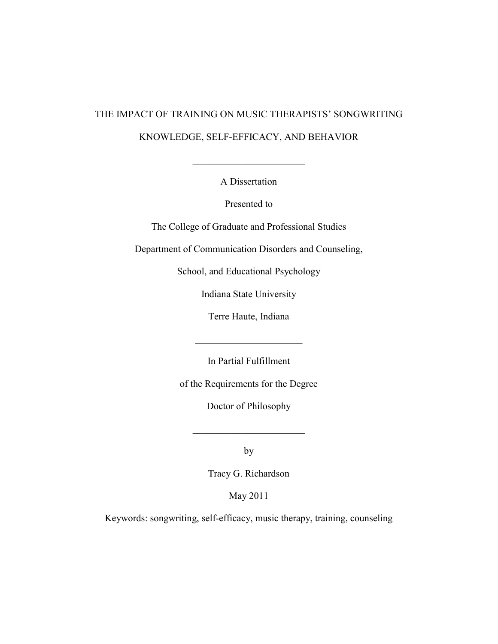# THE IMPACT OF TRAINING ON MUSIC THERAPISTS' SONGWRITING KNOWLEDGE, SELF-EFFICACY, AND BEHAVIOR

A Dissertation

 $\overline{\phantom{a}}$  , which is a set of the set of the set of the set of the set of the set of the set of the set of the set of the set of the set of the set of the set of the set of the set of the set of the set of the set of th

Presented to

The College of Graduate and Professional Studies

Department of Communication Disorders and Counseling,

School, and Educational Psychology

Indiana State University

Terre Haute, Indiana

 $\overline{\phantom{a}}$  , which is a set of the set of the set of the set of the set of the set of the set of the set of the set of the set of the set of the set of the set of the set of the set of the set of the set of the set of th

In Partial Fulfillment

of the Requirements for the Degree

Doctor of Philosophy

by

 $\overline{\phantom{a}}$  , which is a set of the set of the set of the set of the set of the set of the set of the set of the set of the set of the set of the set of the set of the set of the set of the set of the set of the set of th

Tracy G. Richardson

May 2011

Keywords: songwriting, self-efficacy, music therapy, training, counseling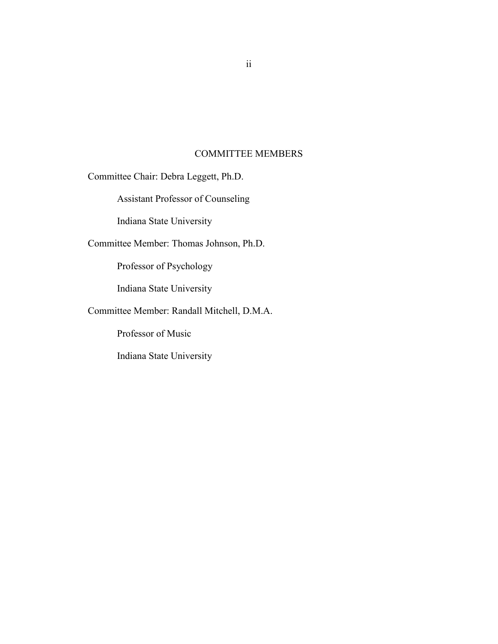### COMMITTEE MEMBERS

<span id="page-3-0"></span>Committee Chair: Debra Leggett, Ph.D.

Assistant Professor of Counseling

Indiana State University

Committee Member: Thomas Johnson, Ph.D.

Professor of Psychology

Indiana State University

Committee Member: Randall Mitchell, D.M.A.

Professor of Music

Indiana State University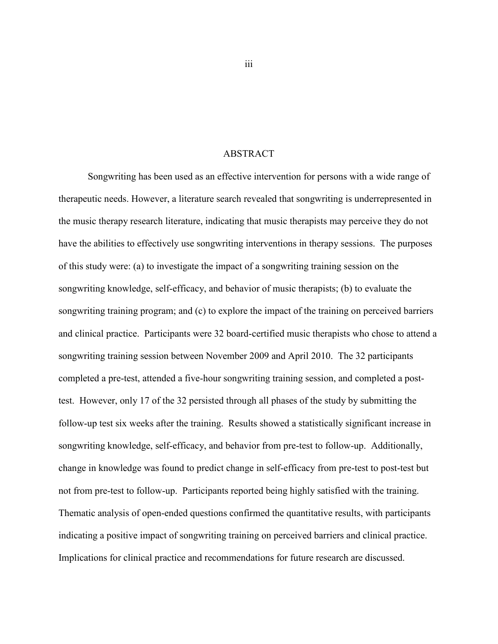### ABSTRACT

<span id="page-4-0"></span>Songwriting has been used as an effective intervention for persons with a wide range of therapeutic needs. However, a literature search revealed that songwriting is underrepresented in the music therapy research literature, indicating that music therapists may perceive they do not have the abilities to effectively use songwriting interventions in therapy sessions. The purposes of this study were: (a) to investigate the impact of a songwriting training session on the songwriting knowledge, self-efficacy, and behavior of music therapists; (b) to evaluate the songwriting training program; and (c) to explore the impact of the training on perceived barriers and clinical practice. Participants were 32 board-certified music therapists who chose to attend a songwriting training session between November 2009 and April 2010. The 32 participants completed a pre-test, attended a five-hour songwriting training session, and completed a posttest. However, only 17 of the 32 persisted through all phases of the study by submitting the follow-up test six weeks after the training. Results showed a statistically significant increase in songwriting knowledge, self-efficacy, and behavior from pre-test to follow-up. Additionally, change in knowledge was found to predict change in self-efficacy from pre-test to post-test but not from pre-test to follow-up. Participants reported being highly satisfied with the training. Thematic analysis of open-ended questions confirmed the quantitative results, with participants indicating a positive impact of songwriting training on perceived barriers and clinical practice. Implications for clinical practice and recommendations for future research are discussed.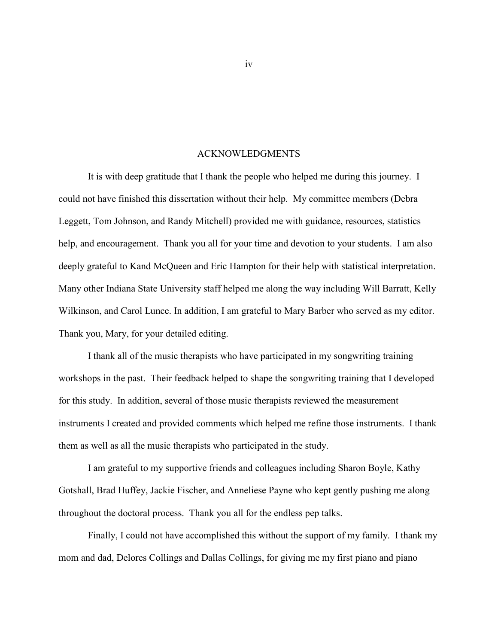#### ACKNOWLEDGMENTS

<span id="page-5-0"></span>It is with deep gratitude that I thank the people who helped me during this journey. I could not have finished this dissertation without their help. My committee members (Debra Leggett, Tom Johnson, and Randy Mitchell) provided me with guidance, resources, statistics help, and encouragement. Thank you all for your time and devotion to your students. I am also deeply grateful to Kand McQueen and Eric Hampton for their help with statistical interpretation. Many other Indiana State University staff helped me along the way including Will Barratt, Kelly Wilkinson, and Carol Lunce. In addition, I am grateful to Mary Barber who served as my editor. Thank you, Mary, for your detailed editing.

I thank all of the music therapists who have participated in my songwriting training workshops in the past. Their feedback helped to shape the songwriting training that I developed for this study. In addition, several of those music therapists reviewed the measurement instruments I created and provided comments which helped me refine those instruments. I thank them as well as all the music therapists who participated in the study.

I am grateful to my supportive friends and colleagues including Sharon Boyle, Kathy Gotshall, Brad Huffey, Jackie Fischer, and Anneliese Payne who kept gently pushing me along throughout the doctoral process. Thank you all for the endless pep talks.

Finally, I could not have accomplished this without the support of my family. I thank my mom and dad, Delores Collings and Dallas Collings, for giving me my first piano and piano

iv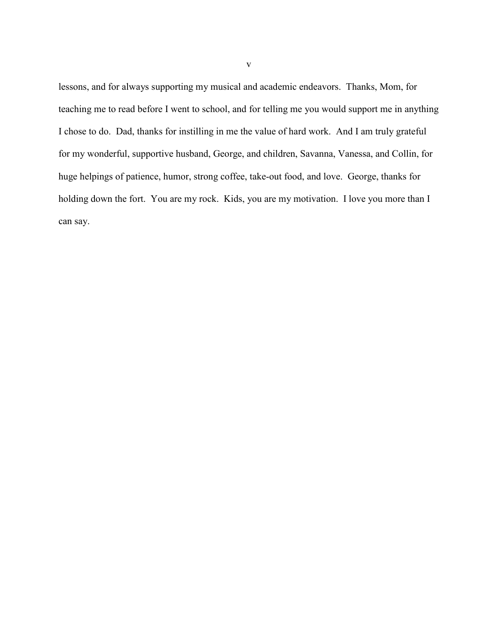lessons, and for always supporting my musical and academic endeavors. Thanks, Mom, for teaching me to read before I went to school, and for telling me you would support me in anything I chose to do. Dad, thanks for instilling in me the value of hard work. And I am truly grateful for my wonderful, supportive husband, George, and children, Savanna, Vanessa, and Collin, for huge helpings of patience, humor, strong coffee, take-out food, and love. George, thanks for holding down the fort. You are my rock. Kids, you are my motivation. I love you more than I can say.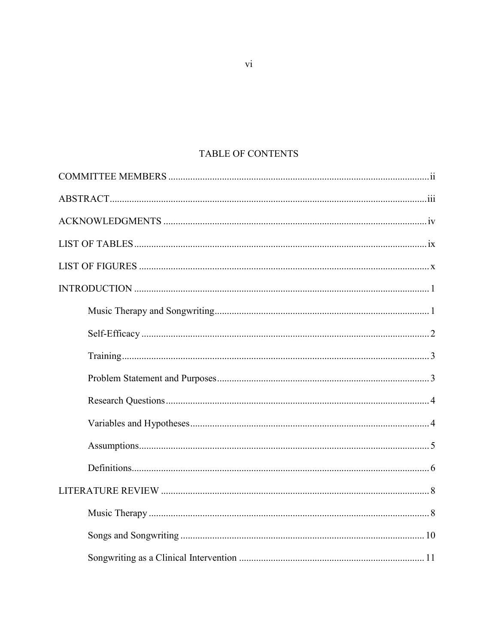# TABLE OF CONTENTS

 $\overline{\mathbf{vi}}$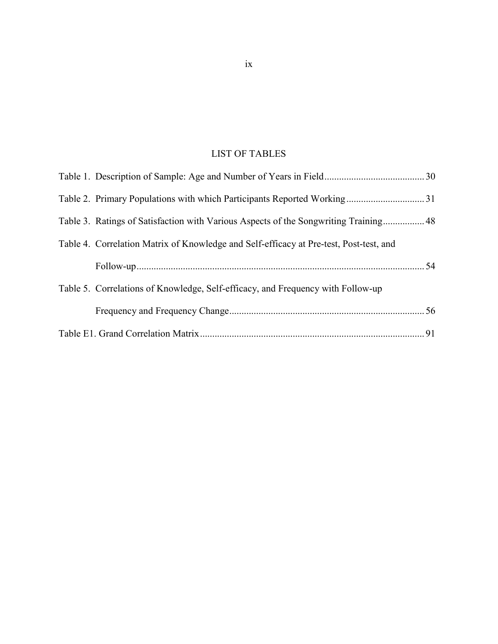# LIST OF TABLES

<span id="page-10-0"></span>

| Table 3. Ratings of Satisfaction with Various Aspects of the Songwriting Training 48   |  |
|----------------------------------------------------------------------------------------|--|
| Table 4. Correlation Matrix of Knowledge and Self-efficacy at Pre-test, Post-test, and |  |
|                                                                                        |  |
| Table 5. Correlations of Knowledge, Self-efficacy, and Frequency with Follow-up        |  |
|                                                                                        |  |
|                                                                                        |  |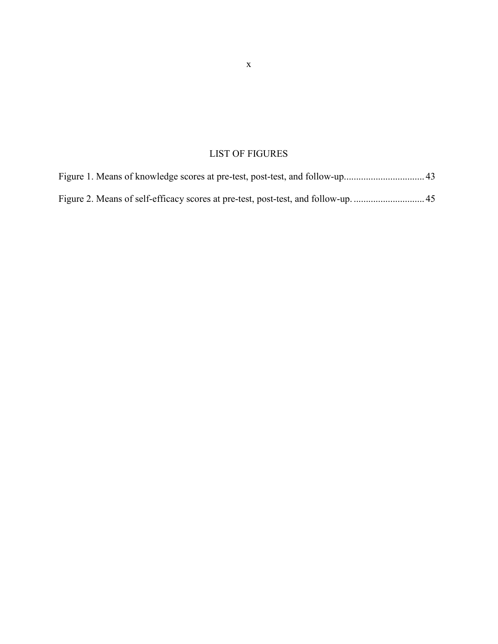# LIST OF FIGURES

<span id="page-11-0"></span>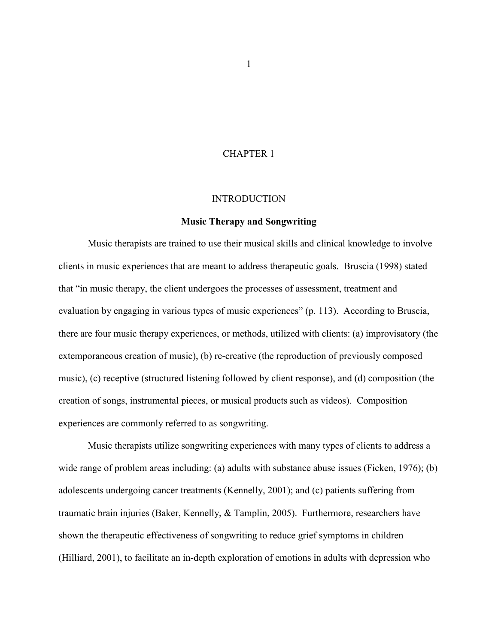### CHAPTER 1

#### **INTRODUCTION**

#### **Music Therapy and Songwriting**

<span id="page-12-1"></span><span id="page-12-0"></span>Music therapists are trained to use their musical skills and clinical knowledge to involve clients in music experiences that are meant to address therapeutic goals. Bruscia (1998) stated that "in music therapy, the client undergoes the processes of assessment, treatment and evaluation by engaging in various types of music experiences" (p. 113). According to Bruscia, there are four music therapy experiences, or methods, utilized with clients: (a) improvisatory (the extemporaneous creation of music), (b) re-creative (the reproduction of previously composed music), (c) receptive (structured listening followed by client response), and (d) composition (the creation of songs, instrumental pieces, or musical products such as videos). Composition experiences are commonly referred to as songwriting.

Music therapists utilize songwriting experiences with many types of clients to address a wide range of problem areas including: (a) adults with substance abuse issues (Ficken, 1976); (b) adolescents undergoing cancer treatments (Kennelly, 2001); and (c) patients suffering from traumatic brain injuries (Baker, Kennelly, & Tamplin, 2005). Furthermore, researchers have shown the therapeutic effectiveness of songwriting to reduce grief symptoms in children (Hilliard, 2001), to facilitate an in-depth exploration of emotions in adults with depression who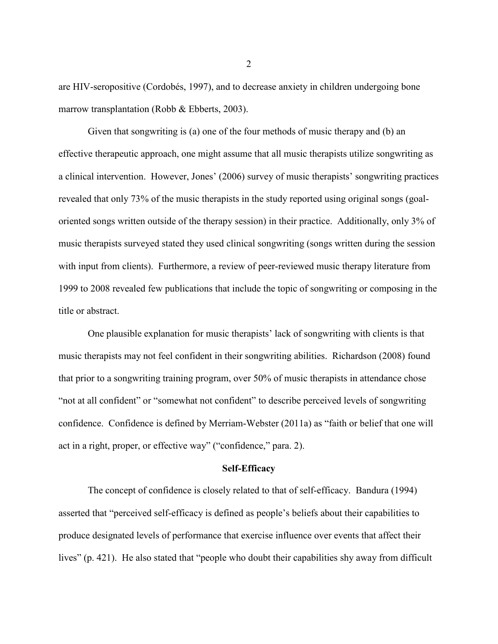are HIV-seropositive (Cordobés, 1997), and to decrease anxiety in children undergoing bone marrow transplantation (Robb & Ebberts, 2003).

Given that songwriting is (a) one of the four methods of music therapy and (b) an effective therapeutic approach, one might assume that all music therapists utilize songwriting as a clinical intervention. However, Jones' (2006) survey of music therapists' songwriting practices revealed that only 73% of the music therapists in the study reported using original songs (goaloriented songs written outside of the therapy session) in their practice. Additionally, only 3% of music therapists surveyed stated they used clinical songwriting (songs written during the session with input from clients). Furthermore, a review of peer-reviewed music therapy literature from 1999 to 2008 revealed few publications that include the topic of songwriting or composing in the title or abstract.

One plausible explanation for music therapists' lack of songwriting with clients is that music therapists may not feel confident in their songwriting abilities. Richardson (2008) found that prior to a songwriting training program, over 50% of music therapists in attendance chose "not at all confident" or "somewhat not confident" to describe perceived levels of songwriting confidence. Confidence is defined by Merriam-Webster (2011a) as "faith or belief that one will act in a right, proper, or effective way" ("confidence," para. 2).

#### **Self-Efficacy**

<span id="page-13-0"></span>The concept of confidence is closely related to that of self-efficacy. Bandura (1994) asserted that "perceived self-efficacy is defined as people's beliefs about their capabilities to produce designated levels of performance that exercise influence over events that affect their lives" (p. 421). He also stated that "people who doubt their capabilities shy away from difficult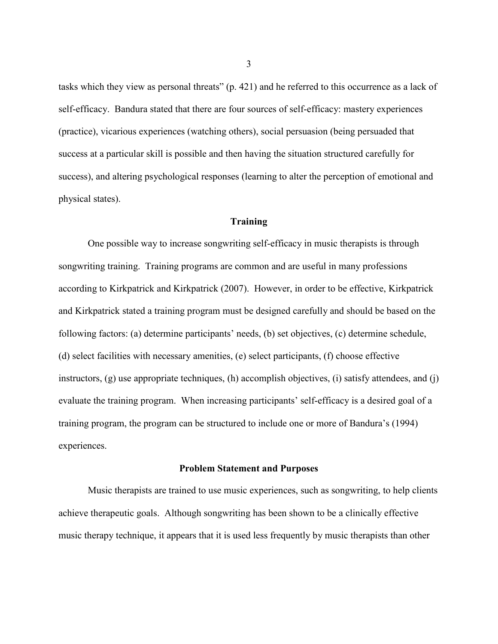tasks which they view as personal threats" (p. 421) and he referred to this occurrence as a lack of self-efficacy. Bandura stated that there are four sources of self-efficacy: mastery experiences (practice), vicarious experiences (watching others), social persuasion (being persuaded that success at a particular skill is possible and then having the situation structured carefully for success), and altering psychological responses (learning to alter the perception of emotional and physical states).

### **Training**

<span id="page-14-0"></span>One possible way to increase songwriting self-efficacy in music therapists is through songwriting training. Training programs are common and are useful in many professions according to Kirkpatrick and Kirkpatrick (2007). However, in order to be effective, Kirkpatrick and Kirkpatrick stated a training program must be designed carefully and should be based on the following factors: (a) determine participants' needs, (b) set objectives, (c) determine schedule, (d) select facilities with necessary amenities, (e) select participants, (f) choose effective instructors, (g) use appropriate techniques, (h) accomplish objectives, (i) satisfy attendees, and (j) evaluate the training program. When increasing participants' self-efficacy is a desired goal of a training program, the program can be structured to include one or more of Bandura's (1994) experiences.

#### **Problem Statement and Purposes**

<span id="page-14-1"></span>Music therapists are trained to use music experiences, such as songwriting, to help clients achieve therapeutic goals. Although songwriting has been shown to be a clinically effective music therapy technique, it appears that it is used less frequently by music therapists than other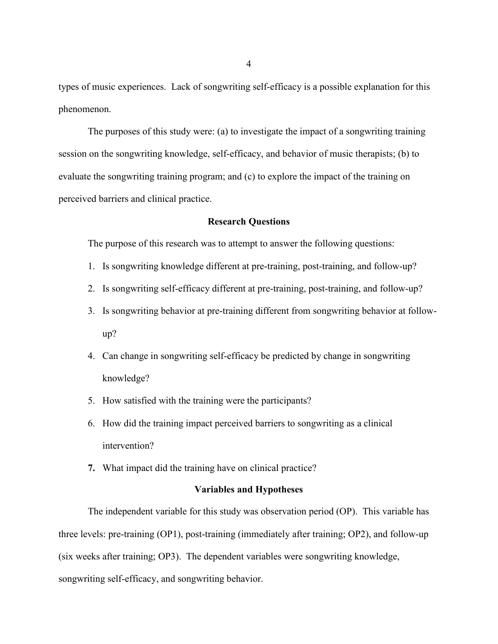types of music experiences. Lack of songwriting self-efficacy is a possible explanation for this phenomenon.

The purposes of this study were: (a) to investigate the impact of a songwriting training session on the songwriting knowledge, self-efficacy, and behavior of music therapists; (b) to evaluate the songwriting training program; and (c) to explore the impact of the training on perceived barriers and clinical practice.

#### **Research Questions**

<span id="page-15-0"></span>The purpose of this research was to attempt to answer the following questions:

- 1. Is songwriting knowledge different at pre-training, post-training, and follow-up?
- 2. Is songwriting self-efficacy different at pre-training, post-training, and follow-up?
- 3. Is songwriting behavior at pre-training different from songwriting behavior at followup?
- 4. Can change in songwriting self-efficacy be predicted by change in songwriting knowledge?
- 5. How satisfied with the training were the participants?
- 6. How did the training impact perceived barriers to songwriting as a clinical intervention?
- **7.** What impact did the training have on clinical practice?

### **Variables and Hypotheses**

<span id="page-15-1"></span>The independent variable for this study was observation period (OP). This variable has three levels: pre-training (OP1), post-training (immediately after training; OP2), and follow-up (six weeks after training; OP3). The dependent variables were songwriting knowledge, songwriting self-efficacy, and songwriting behavior.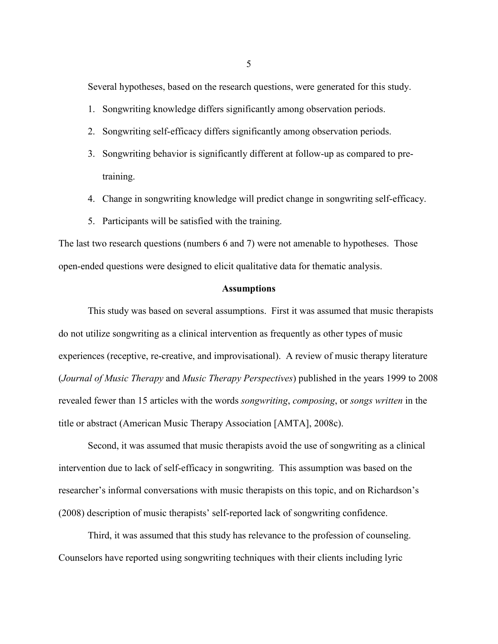Several hypotheses, based on the research questions, were generated for this study.

- 1. Songwriting knowledge differs significantly among observation periods.
- 2. Songwriting self-efficacy differs significantly among observation periods.
- 3. Songwriting behavior is significantly different at follow-up as compared to pretraining.
- 4. Change in songwriting knowledge will predict change in songwriting self-efficacy.
- 5. Participants will be satisfied with the training.

The last two research questions (numbers 6 and 7) were not amenable to hypotheses. Those open-ended questions were designed to elicit qualitative data for thematic analysis.

#### **Assumptions**

<span id="page-16-0"></span>This study was based on several assumptions. First it was assumed that music therapists do not utilize songwriting as a clinical intervention as frequently as other types of music experiences (receptive, re-creative, and improvisational). A review of music therapy literature (*Journal of Music Therapy* and *Music Therapy Perspectives*) published in the years 1999 to 2008 revealed fewer than 15 articles with the words *songwriting*, *composing*, or *songs written* in the title or abstract (American Music Therapy Association [AMTA], 2008c).

Second, it was assumed that music therapists avoid the use of songwriting as a clinical intervention due to lack of self-efficacy in songwriting. This assumption was based on the researcher's informal conversations with music therapists on this topic, and on Richardson's (2008) description of music therapists' self-reported lack of songwriting confidence.

Third, it was assumed that this study has relevance to the profession of counseling. Counselors have reported using songwriting techniques with their clients including lyric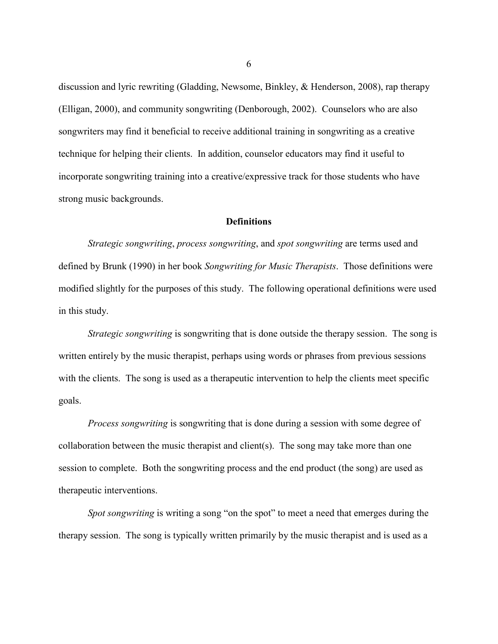discussion and lyric rewriting (Gladding, Newsome, Binkley, & Henderson, 2008), rap therapy (Elligan, 2000), and community songwriting (Denborough, 2002). Counselors who are also songwriters may find it beneficial to receive additional training in songwriting as a creative technique for helping their clients. In addition, counselor educators may find it useful to incorporate songwriting training into a creative/expressive track for those students who have strong music backgrounds.

#### **Definitions**

<span id="page-17-0"></span>*Strategic songwriting*, *process songwriting*, and *spot songwriting* are terms used and defined by Brunk (1990) in her book *Songwriting for Music Therapists*. Those definitions were modified slightly for the purposes of this study. The following operational definitions were used in this study.

*Strategic songwriting* is songwriting that is done outside the therapy session. The song is written entirely by the music therapist, perhaps using words or phrases from previous sessions with the clients. The song is used as a therapeutic intervention to help the clients meet specific goals.

*Process songwriting* is songwriting that is done during a session with some degree of collaboration between the music therapist and client(s). The song may take more than one session to complete. Both the songwriting process and the end product (the song) are used as therapeutic interventions.

*Spot songwriting* is writing a song "on the spot" to meet a need that emerges during the therapy session. The song is typically written primarily by the music therapist and is used as a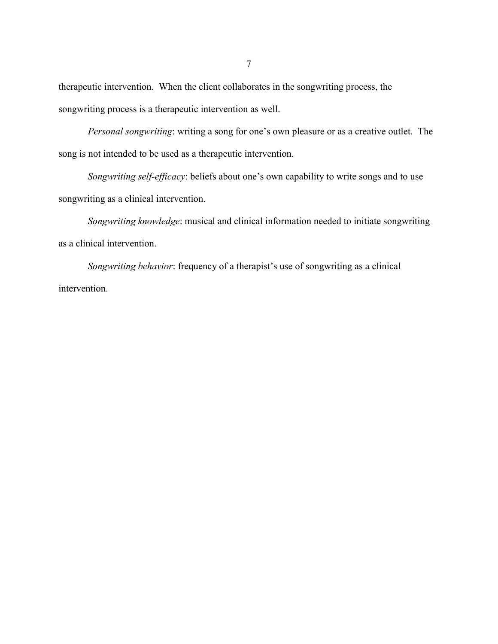therapeutic intervention. When the client collaborates in the songwriting process, the songwriting process is a therapeutic intervention as well.

*Personal songwriting*: writing a song for one's own pleasure or as a creative outlet. The song is not intended to be used as a therapeutic intervention.

*Songwriting self-efficacy*: beliefs about one's own capability to write songs and to use songwriting as a clinical intervention.

*Songwriting knowledge*: musical and clinical information needed to initiate songwriting as a clinical intervention.

*Songwriting behavior*: frequency of a therapist's use of songwriting as a clinical intervention.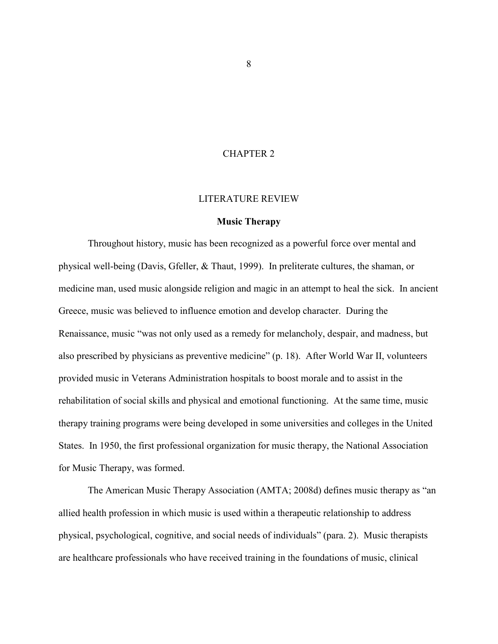### CHAPTER 2

#### LITERATURE REVIEW

#### **Music Therapy**

<span id="page-19-1"></span><span id="page-19-0"></span>Throughout history, music has been recognized as a powerful force over mental and physical well-being (Davis, Gfeller, & Thaut, 1999). In preliterate cultures, the shaman, or medicine man, used music alongside religion and magic in an attempt to heal the sick. In ancient Greece, music was believed to influence emotion and develop character. During the Renaissance, music "was not only used as a remedy for melancholy, despair, and madness, but also prescribed by physicians as preventive medicine" (p. 18). After World War II, volunteers provided music in Veterans Administration hospitals to boost morale and to assist in the rehabilitation of social skills and physical and emotional functioning. At the same time, music therapy training programs were being developed in some universities and colleges in the United States. In 1950, the first professional organization for music therapy, the National Association for Music Therapy, was formed.

The American Music Therapy Association (AMTA; 2008d) defines music therapy as "an allied health profession in which music is used within a therapeutic relationship to address physical, psychological, cognitive, and social needs of individuals" (para. 2). Music therapists are healthcare professionals who have received training in the foundations of music, clinical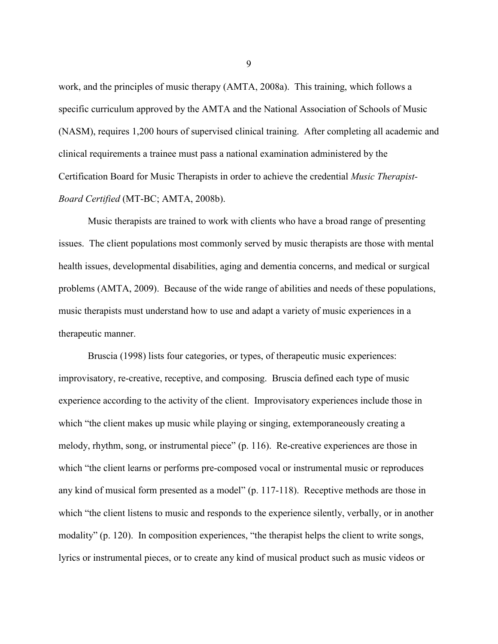work, and the principles of music therapy (AMTA, 2008a). This training, which follows a specific curriculum approved by the AMTA and the National Association of Schools of Music (NASM), requires 1,200 hours of supervised clinical training. After completing all academic and clinical requirements a trainee must pass a national examination administered by the Certification Board for Music Therapists in order to achieve the credential *Music Therapist-Board Certified* (MT-BC; AMTA, 2008b).

Music therapists are trained to work with clients who have a broad range of presenting issues. The client populations most commonly served by music therapists are those with mental health issues, developmental disabilities, aging and dementia concerns, and medical or surgical problems (AMTA, 2009). Because of the wide range of abilities and needs of these populations, music therapists must understand how to use and adapt a variety of music experiences in a therapeutic manner.

Bruscia (1998) lists four categories, or types, of therapeutic music experiences: improvisatory, re-creative, receptive, and composing. Bruscia defined each type of music experience according to the activity of the client. Improvisatory experiences include those in which "the client makes up music while playing or singing, extemporaneously creating a melody, rhythm, song, or instrumental piece" (p. 116). Re-creative experiences are those in which "the client learns or performs pre-composed vocal or instrumental music or reproduces any kind of musical form presented as a model" (p. 117-118). Receptive methods are those in which "the client listens to music and responds to the experience silently, verbally, or in another modality" (p. 120). In composition experiences, "the therapist helps the client to write songs, lyrics or instrumental pieces, or to create any kind of musical product such as music videos or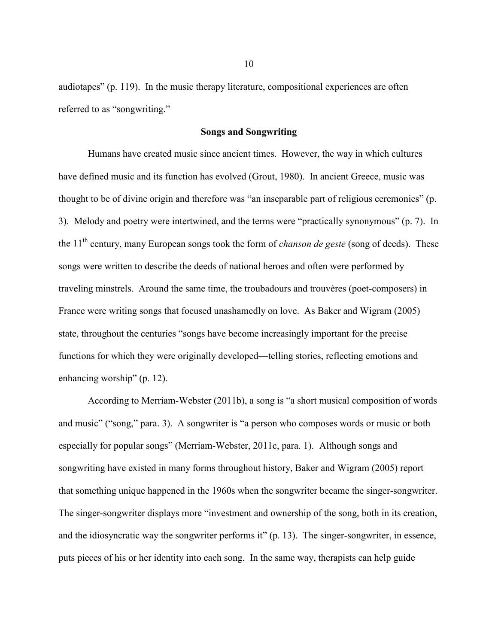audiotapes" (p. 119). In the music therapy literature, compositional experiences are often referred to as "songwriting."

#### **Songs and Songwriting**

<span id="page-21-0"></span>Humans have created music since ancient times. However, the way in which cultures have defined music and its function has evolved (Grout, 1980). In ancient Greece, music was thought to be of divine origin and therefore was "an inseparable part of religious ceremonies" (p. 3). Melody and poetry were intertwined, and the terms were "practically synonymous" (p. 7). In the 11th century, many European songs took the form of *chanson de geste* (song of deeds). These songs were written to describe the deeds of national heroes and often were performed by traveling minstrels. Around the same time, the troubadours and trouvères (poet-composers) in France were writing songs that focused unashamedly on love. As Baker and Wigram (2005) state, throughout the centuries "songs have become increasingly important for the precise functions for which they were originally developed—telling stories, reflecting emotions and enhancing worship" (p. 12).

According to Merriam-Webster (2011b), a song is "a short musical composition of words and music" ("song," para. 3). A songwriter is "a person who composes words or music or both especially for popular songs" (Merriam-Webster, 2011c, para. 1). Although songs and songwriting have existed in many forms throughout history, Baker and Wigram (2005) report that something unique happened in the 1960s when the songwriter became the singer-songwriter. The singer-songwriter displays more "investment and ownership of the song, both in its creation, and the idiosyncratic way the songwriter performs it" (p. 13). The singer-songwriter, in essence, puts pieces of his or her identity into each song. In the same way, therapists can help guide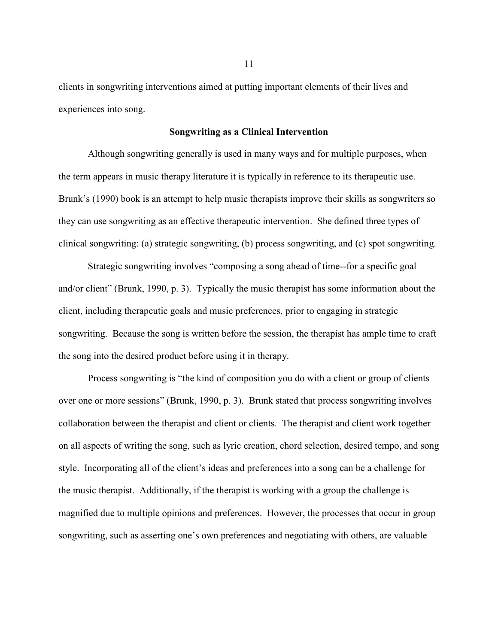clients in songwriting interventions aimed at putting important elements of their lives and experiences into song.

#### **Songwriting as a Clinical Intervention**

<span id="page-22-0"></span>Although songwriting generally is used in many ways and for multiple purposes, when the term appears in music therapy literature it is typically in reference to its therapeutic use. Brunk's (1990) book is an attempt to help music therapists improve their skills as songwriters so they can use songwriting as an effective therapeutic intervention. She defined three types of clinical songwriting: (a) strategic songwriting, (b) process songwriting, and (c) spot songwriting.

Strategic songwriting involves "composing a song ahead of time--for a specific goal and/or client" (Brunk, 1990, p. 3). Typically the music therapist has some information about the client, including therapeutic goals and music preferences, prior to engaging in strategic songwriting. Because the song is written before the session, the therapist has ample time to craft the song into the desired product before using it in therapy.

Process songwriting is "the kind of composition you do with a client or group of clients over one or more sessions" (Brunk, 1990, p. 3). Brunk stated that process songwriting involves collaboration between the therapist and client or clients. The therapist and client work together on all aspects of writing the song, such as lyric creation, chord selection, desired tempo, and song style. Incorporating all of the client's ideas and preferences into a song can be a challenge for the music therapist. Additionally, if the therapist is working with a group the challenge is magnified due to multiple opinions and preferences. However, the processes that occur in group songwriting, such as asserting one's own preferences and negotiating with others, are valuable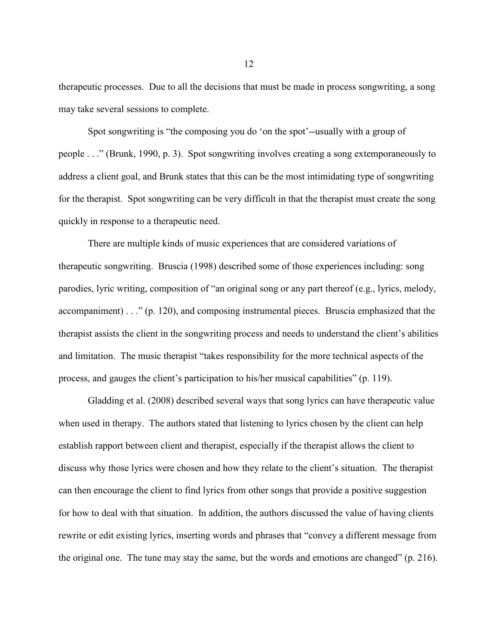therapeutic processes. Due to all the decisions that must be made in process songwriting, a song may take several sessions to complete.

Spot songwriting is "the composing you do 'on the spot'--usually with a group of people . . ." (Brunk, 1990, p. 3). Spot songwriting involves creating a song extemporaneously to address a client goal, and Brunk states that this can be the most intimidating type of songwriting for the therapist. Spot songwriting can be very difficult in that the therapist must create the song quickly in response to a therapeutic need.

There are multiple kinds of music experiences that are considered variations of therapeutic songwriting. Bruscia (1998) described some of those experiences including: song parodies, lyric writing, composition of "an original song or any part thereof (e.g., lyrics, melody, accompaniment) . . ." (p. 120), and composing instrumental pieces. Bruscia emphasized that the therapist assists the client in the songwriting process and needs to understand the client's abilities and limitation. The music therapist "takes responsibility for the more technical aspects of the process, and gauges the client's participation to his/her musical capabilities" (p. 119).

Gladding et al. (2008) described several ways that song lyrics can have therapeutic value when used in therapy. The authors stated that listening to lyrics chosen by the client can help establish rapport between client and therapist, especially if the therapist allows the client to discuss why those lyrics were chosen and how they relate to the client's situation. The therapist can then encourage the client to find lyrics from other songs that provide a positive suggestion for how to deal with that situation. In addition, the authors discussed the value of having clients rewrite or edit existing lyrics, inserting words and phrases that "convey a different message from the original one. The tune may stay the same, but the words and emotions are changed" (p. 216).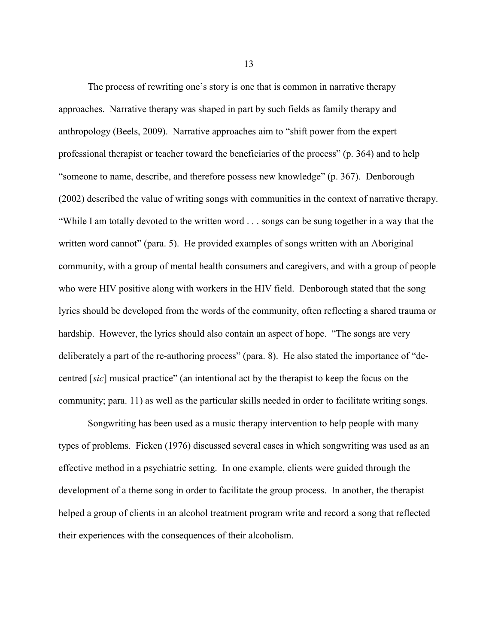The process of rewriting one's story is one that is common in narrative therapy approaches. Narrative therapy was shaped in part by such fields as family therapy and anthropology (Beels, 2009). Narrative approaches aim to "shift power from the expert professional therapist or teacher toward the beneficiaries of the process" (p. 364) and to help "someone to name, describe, and therefore possess new knowledge" (p. 367). Denborough (2002) described the value of writing songs with communities in the context of narrative therapy. "While I am totally devoted to the written word . . . songs can be sung together in a way that the written word cannot" (para. 5). He provided examples of songs written with an Aboriginal community, with a group of mental health consumers and caregivers, and with a group of people who were HIV positive along with workers in the HIV field. Denborough stated that the song lyrics should be developed from the words of the community, often reflecting a shared trauma or hardship. However, the lyrics should also contain an aspect of hope. "The songs are very deliberately a part of the re-authoring process" (para. 8). He also stated the importance of "decentred [*sic*] musical practice" (an intentional act by the therapist to keep the focus on the community; para. 11) as well as the particular skills needed in order to facilitate writing songs.

Songwriting has been used as a music therapy intervention to help people with many types of problems. Ficken (1976) discussed several cases in which songwriting was used as an effective method in a psychiatric setting. In one example, clients were guided through the development of a theme song in order to facilitate the group process. In another, the therapist helped a group of clients in an alcohol treatment program write and record a song that reflected their experiences with the consequences of their alcoholism.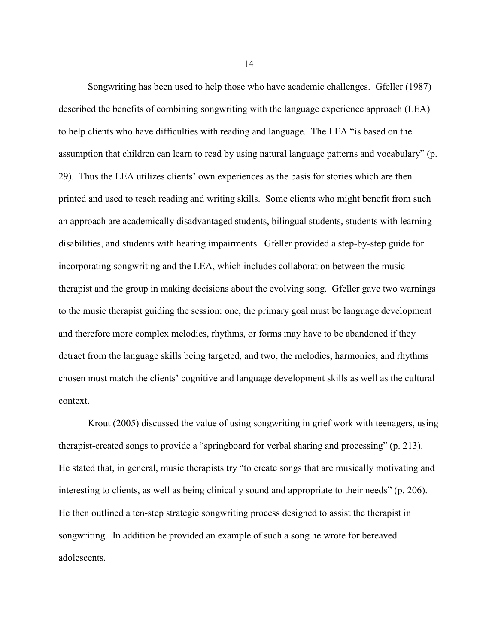Songwriting has been used to help those who have academic challenges. Gfeller (1987) described the benefits of combining songwriting with the language experience approach (LEA) to help clients who have difficulties with reading and language. The LEA "is based on the assumption that children can learn to read by using natural language patterns and vocabulary" (p. 29). Thus the LEA utilizes clients' own experiences as the basis for stories which are then printed and used to teach reading and writing skills. Some clients who might benefit from such an approach are academically disadvantaged students, bilingual students, students with learning disabilities, and students with hearing impairments. Gfeller provided a step-by-step guide for incorporating songwriting and the LEA, which includes collaboration between the music therapist and the group in making decisions about the evolving song. Gfeller gave two warnings to the music therapist guiding the session: one, the primary goal must be language development and therefore more complex melodies, rhythms, or forms may have to be abandoned if they detract from the language skills being targeted, and two, the melodies, harmonies, and rhythms chosen must match the clients' cognitive and language development skills as well as the cultural context.

Krout (2005) discussed the value of using songwriting in grief work with teenagers, using therapist-created songs to provide a "springboard for verbal sharing and processing" (p. 213). He stated that, in general, music therapists try "to create songs that are musically motivating and interesting to clients, as well as being clinically sound and appropriate to their needs" (p. 206). He then outlined a ten-step strategic songwriting process designed to assist the therapist in songwriting. In addition he provided an example of such a song he wrote for bereaved adolescents.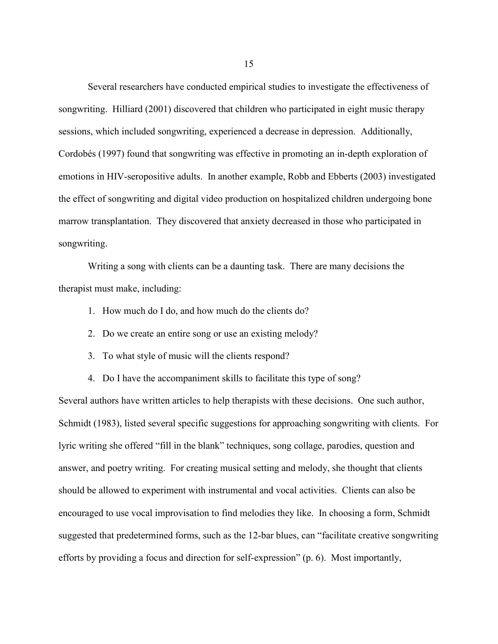Several researchers have conducted empirical studies to investigate the effectiveness of songwriting. Hilliard (2001) discovered that children who participated in eight music therapy sessions, which included songwriting, experienced a decrease in depression. Additionally, Cordobés (1997) found that songwriting was effective in promoting an in-depth exploration of emotions in HIV-seropositive adults. In another example, Robb and Ebberts (2003) investigated the effect of songwriting and digital video production on hospitalized children undergoing bone marrow transplantation. They discovered that anxiety decreased in those who participated in songwriting.

Writing a song with clients can be a daunting task. There are many decisions the therapist must make, including:

- 1. How much do I do, and how much do the clients do?
- 2. Do we create an entire song or use an existing melody?
- 3. To what style of music will the clients respond?
- 4. Do I have the accompaniment skills to facilitate this type of song?

Several authors have written articles to help therapists with these decisions. One such author, Schmidt (1983), listed several specific suggestions for approaching songwriting with clients. For lyric writing she offered "fill in the blank" techniques, song collage, parodies, question and answer, and poetry writing. For creating musical setting and melody, she thought that clients should be allowed to experiment with instrumental and vocal activities. Clients can also be encouraged to use vocal improvisation to find melodies they like. In choosing a form, Schmidt suggested that predetermined forms, such as the 12-bar blues, can "facilitate creative songwriting efforts by providing a focus and direction for self-expression" (p. 6). Most importantly,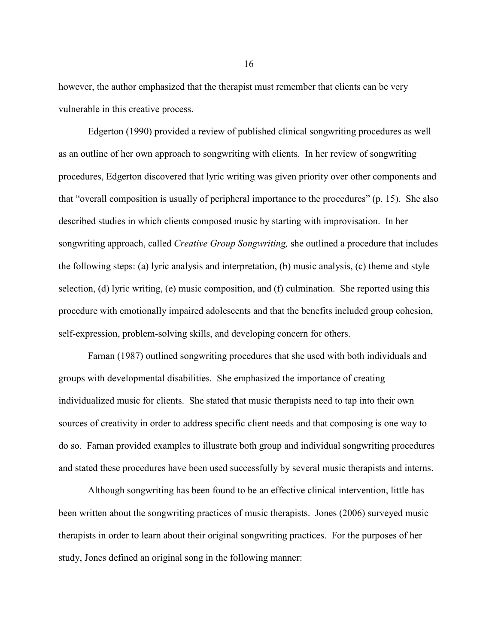however, the author emphasized that the therapist must remember that clients can be very vulnerable in this creative process.

Edgerton (1990) provided a review of published clinical songwriting procedures as well as an outline of her own approach to songwriting with clients. In her review of songwriting procedures, Edgerton discovered that lyric writing was given priority over other components and that "overall composition is usually of peripheral importance to the procedures" (p. 15). She also described studies in which clients composed music by starting with improvisation. In her songwriting approach, called *Creative Group Songwriting,* she outlined a procedure that includes the following steps: (a) lyric analysis and interpretation, (b) music analysis, (c) theme and style selection, (d) lyric writing, (e) music composition, and (f) culmination. She reported using this procedure with emotionally impaired adolescents and that the benefits included group cohesion, self-expression, problem-solving skills, and developing concern for others.

Farnan (1987) outlined songwriting procedures that she used with both individuals and groups with developmental disabilities. She emphasized the importance of creating individualized music for clients. She stated that music therapists need to tap into their own sources of creativity in order to address specific client needs and that composing is one way to do so. Farnan provided examples to illustrate both group and individual songwriting procedures and stated these procedures have been used successfully by several music therapists and interns.

Although songwriting has been found to be an effective clinical intervention, little has been written about the songwriting practices of music therapists. Jones (2006) surveyed music therapists in order to learn about their original songwriting practices. For the purposes of her study, Jones defined an original song in the following manner: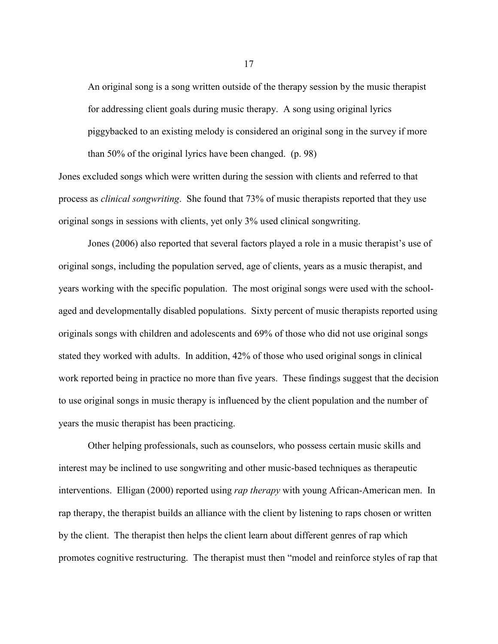An original song is a song written outside of the therapy session by the music therapist for addressing client goals during music therapy. A song using original lyrics piggybacked to an existing melody is considered an original song in the survey if more than 50% of the original lyrics have been changed. (p. 98)

Jones excluded songs which were written during the session with clients and referred to that process as *clinical songwriting*. She found that 73% of music therapists reported that they use original songs in sessions with clients, yet only 3% used clinical songwriting.

Jones (2006) also reported that several factors played a role in a music therapist's use of original songs, including the population served, age of clients, years as a music therapist, and years working with the specific population. The most original songs were used with the schoolaged and developmentally disabled populations. Sixty percent of music therapists reported using originals songs with children and adolescents and 69% of those who did not use original songs stated they worked with adults. In addition, 42% of those who used original songs in clinical work reported being in practice no more than five years. These findings suggest that the decision to use original songs in music therapy is influenced by the client population and the number of years the music therapist has been practicing.

Other helping professionals, such as counselors, who possess certain music skills and interest may be inclined to use songwriting and other music-based techniques as therapeutic interventions. Elligan (2000) reported using *rap therapy* with young African-American men. In rap therapy, the therapist builds an alliance with the client by listening to raps chosen or written by the client. The therapist then helps the client learn about different genres of rap which promotes cognitive restructuring. The therapist must then "model and reinforce styles of rap that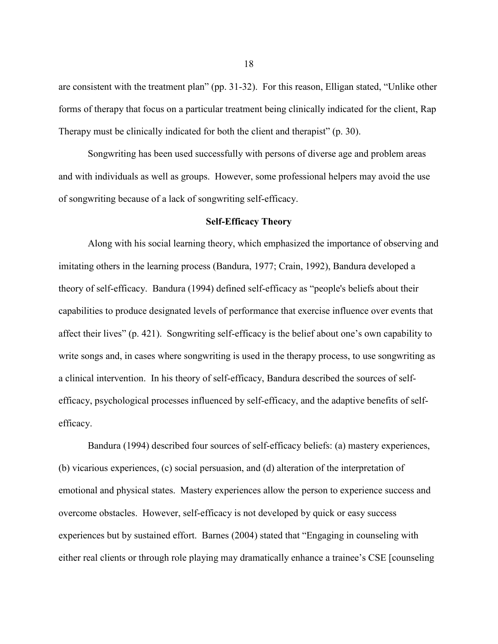are consistent with the treatment plan" (pp. 31-32). For this reason, Elligan stated, "Unlike other forms of therapy that focus on a particular treatment being clinically indicated for the client, Rap Therapy must be clinically indicated for both the client and therapist" (p. 30).

Songwriting has been used successfully with persons of diverse age and problem areas and with individuals as well as groups. However, some professional helpers may avoid the use of songwriting because of a lack of songwriting self-efficacy.

#### **Self-Efficacy Theory**

<span id="page-29-0"></span>Along with his social learning theory, which emphasized the importance of observing and imitating others in the learning process (Bandura, 1977; Crain, 1992), Bandura developed a theory of self-efficacy. Bandura (1994) defined self-efficacy as "people's beliefs about their capabilities to produce designated levels of performance that exercise influence over events that affect their lives" (p. 421). Songwriting self-efficacy is the belief about one's own capability to write songs and, in cases where songwriting is used in the therapy process, to use songwriting as a clinical intervention. In his theory of self-efficacy, Bandura described the sources of selfefficacy, psychological processes influenced by self-efficacy, and the adaptive benefits of selfefficacy.

Bandura (1994) described four sources of self-efficacy beliefs: (a) mastery experiences, (b) vicarious experiences, (c) social persuasion, and (d) alteration of the interpretation of emotional and physical states. Mastery experiences allow the person to experience success and overcome obstacles. However, self-efficacy is not developed by quick or easy success experiences but by sustained effort. Barnes (2004) stated that "Engaging in counseling with either real clients or through role playing may dramatically enhance a trainee's CSE [counseling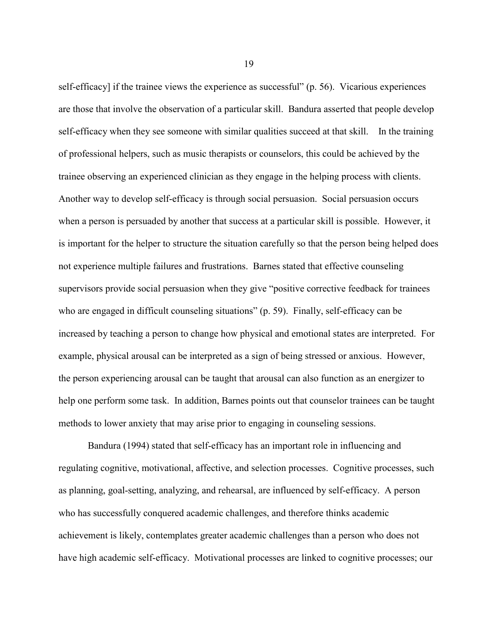self-efficacy] if the trainee views the experience as successful" (p. 56). Vicarious experiences are those that involve the observation of a particular skill. Bandura asserted that people develop self-efficacy when they see someone with similar qualities succeed at that skill. In the training of professional helpers, such as music therapists or counselors, this could be achieved by the trainee observing an experienced clinician as they engage in the helping process with clients. Another way to develop self-efficacy is through social persuasion. Social persuasion occurs when a person is persuaded by another that success at a particular skill is possible. However, it is important for the helper to structure the situation carefully so that the person being helped does not experience multiple failures and frustrations. Barnes stated that effective counseling supervisors provide social persuasion when they give "positive corrective feedback for trainees who are engaged in difficult counseling situations" (p. 59). Finally, self-efficacy can be increased by teaching a person to change how physical and emotional states are interpreted. For example, physical arousal can be interpreted as a sign of being stressed or anxious. However, the person experiencing arousal can be taught that arousal can also function as an energizer to help one perform some task. In addition, Barnes points out that counselor trainees can be taught methods to lower anxiety that may arise prior to engaging in counseling sessions.

Bandura (1994) stated that self-efficacy has an important role in influencing and regulating cognitive, motivational, affective, and selection processes. Cognitive processes, such as planning, goal-setting, analyzing, and rehearsal, are influenced by self-efficacy. A person who has successfully conquered academic challenges, and therefore thinks academic achievement is likely, contemplates greater academic challenges than a person who does not have high academic self-efficacy. Motivational processes are linked to cognitive processes; our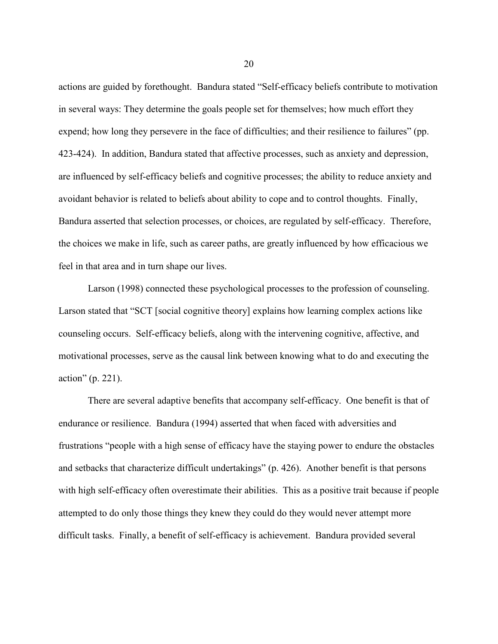actions are guided by forethought. Bandura stated "Self-efficacy beliefs contribute to motivation in several ways: They determine the goals people set for themselves; how much effort they expend; how long they persevere in the face of difficulties; and their resilience to failures" (pp. 423-424). In addition, Bandura stated that affective processes, such as anxiety and depression, are influenced by self-efficacy beliefs and cognitive processes; the ability to reduce anxiety and avoidant behavior is related to beliefs about ability to cope and to control thoughts. Finally, Bandura asserted that selection processes, or choices, are regulated by self-efficacy. Therefore, the choices we make in life, such as career paths, are greatly influenced by how efficacious we feel in that area and in turn shape our lives.

Larson (1998) connected these psychological processes to the profession of counseling. Larson stated that "SCT [social cognitive theory] explains how learning complex actions like counseling occurs. Self-efficacy beliefs, along with the intervening cognitive, affective, and motivational processes, serve as the causal link between knowing what to do and executing the action" (p. 221).

There are several adaptive benefits that accompany self-efficacy. One benefit is that of endurance or resilience. Bandura (1994) asserted that when faced with adversities and frustrations "people with a high sense of efficacy have the staying power to endure the obstacles and setbacks that characterize difficult undertakings" (p. 426). Another benefit is that persons with high self-efficacy often overestimate their abilities. This as a positive trait because if people attempted to do only those things they knew they could do they would never attempt more difficult tasks. Finally, a benefit of self-efficacy is achievement. Bandura provided several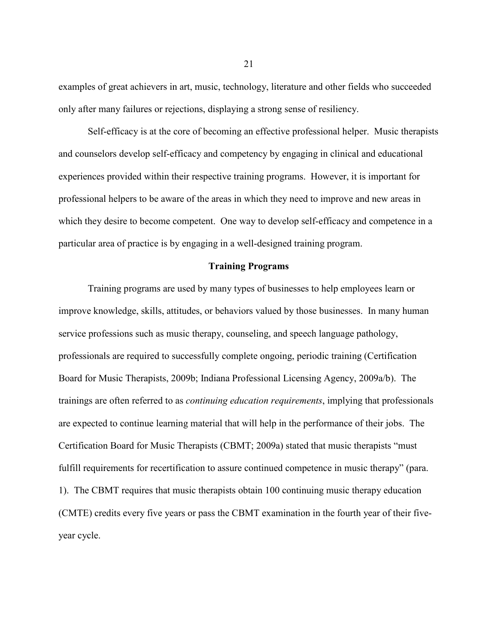examples of great achievers in art, music, technology, literature and other fields who succeeded only after many failures or rejections, displaying a strong sense of resiliency.

Self-efficacy is at the core of becoming an effective professional helper. Music therapists and counselors develop self-efficacy and competency by engaging in clinical and educational experiences provided within their respective training programs. However, it is important for professional helpers to be aware of the areas in which they need to improve and new areas in which they desire to become competent. One way to develop self-efficacy and competence in a particular area of practice is by engaging in a well-designed training program.

#### **Training Programs**

<span id="page-32-0"></span>Training programs are used by many types of businesses to help employees learn or improve knowledge, skills, attitudes, or behaviors valued by those businesses. In many human service professions such as music therapy, counseling, and speech language pathology, professionals are required to successfully complete ongoing, periodic training (Certification Board for Music Therapists, 2009b; Indiana Professional Licensing Agency, 2009a/b). The trainings are often referred to as *continuing education requirements*, implying that professionals are expected to continue learning material that will help in the performance of their jobs. The Certification Board for Music Therapists (CBMT; 2009a) stated that music therapists "must fulfill requirements for recertification to assure continued competence in music therapy" (para. 1). The CBMT requires that music therapists obtain 100 continuing music therapy education (CMTE) credits every five years or pass the CBMT examination in the fourth year of their fiveyear cycle.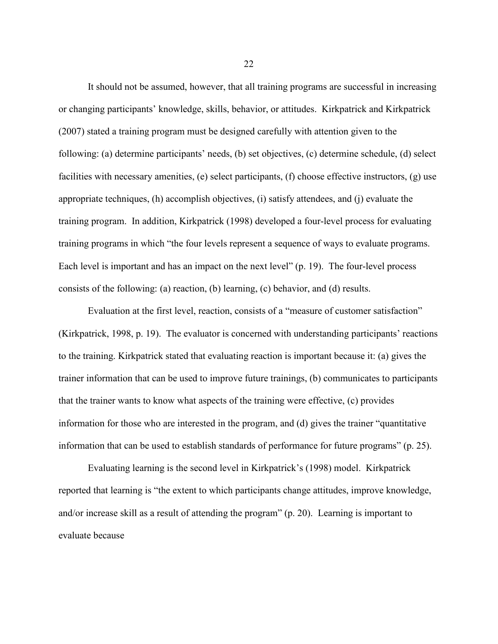It should not be assumed, however, that all training programs are successful in increasing or changing participants' knowledge, skills, behavior, or attitudes. Kirkpatrick and Kirkpatrick (2007) stated a training program must be designed carefully with attention given to the following: (a) determine participants' needs, (b) set objectives, (c) determine schedule, (d) select facilities with necessary amenities, (e) select participants, (f) choose effective instructors, (g) use appropriate techniques, (h) accomplish objectives, (i) satisfy attendees, and (j) evaluate the training program. In addition, Kirkpatrick (1998) developed a four-level process for evaluating training programs in which "the four levels represent a sequence of ways to evaluate programs. Each level is important and has an impact on the next level" (p. 19). The four-level process consists of the following: (a) reaction, (b) learning, (c) behavior, and (d) results.

Evaluation at the first level, reaction, consists of a "measure of customer satisfaction" (Kirkpatrick, 1998, p. 19). The evaluator is concerned with understanding participants' reactions to the training. Kirkpatrick stated that evaluating reaction is important because it: (a) gives the trainer information that can be used to improve future trainings, (b) communicates to participants that the trainer wants to know what aspects of the training were effective, (c) provides information for those who are interested in the program, and (d) gives the trainer "quantitative information that can be used to establish standards of performance for future programs" (p. 25).

Evaluating learning is the second level in Kirkpatrick's (1998) model. Kirkpatrick reported that learning is "the extent to which participants change attitudes, improve knowledge, and/or increase skill as a result of attending the program" (p. 20). Learning is important to evaluate because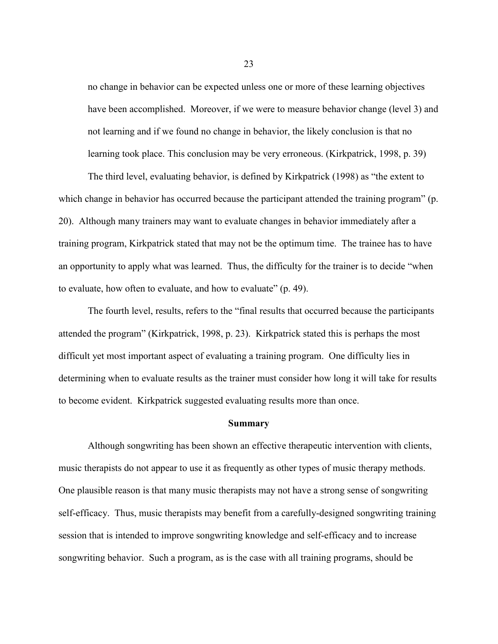no change in behavior can be expected unless one or more of these learning objectives have been accomplished. Moreover, if we were to measure behavior change (level 3) and not learning and if we found no change in behavior, the likely conclusion is that no learning took place. This conclusion may be very erroneous. (Kirkpatrick, 1998, p. 39)

The third level, evaluating behavior, is defined by Kirkpatrick (1998) as "the extent to which change in behavior has occurred because the participant attended the training program" (p. 20). Although many trainers may want to evaluate changes in behavior immediately after a training program, Kirkpatrick stated that may not be the optimum time. The trainee has to have an opportunity to apply what was learned. Thus, the difficulty for the trainer is to decide "when to evaluate, how often to evaluate, and how to evaluate" (p. 49).

The fourth level, results, refers to the "final results that occurred because the participants attended the program" (Kirkpatrick, 1998, p. 23). Kirkpatrick stated this is perhaps the most difficult yet most important aspect of evaluating a training program. One difficulty lies in determining when to evaluate results as the trainer must consider how long it will take for results to become evident. Kirkpatrick suggested evaluating results more than once.

#### **Summary**

<span id="page-34-0"></span>Although songwriting has been shown an effective therapeutic intervention with clients, music therapists do not appear to use it as frequently as other types of music therapy methods. One plausible reason is that many music therapists may not have a strong sense of songwriting self-efficacy. Thus, music therapists may benefit from a carefully-designed songwriting training session that is intended to improve songwriting knowledge and self-efficacy and to increase songwriting behavior. Such a program, as is the case with all training programs, should be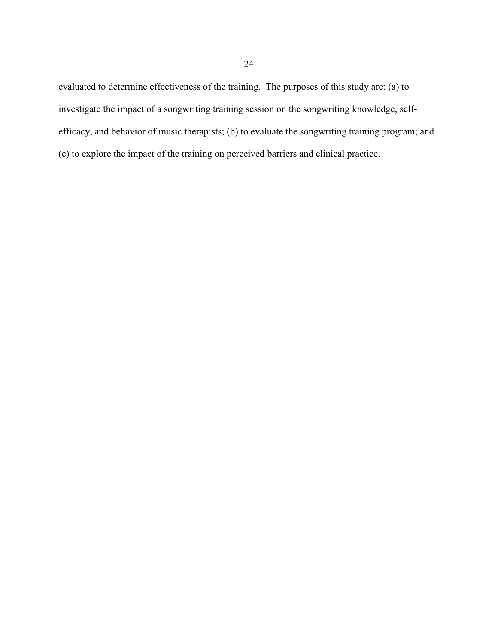evaluated to determine effectiveness of the training. The purposes of this study are: (a) to investigate the impact of a songwriting training session on the songwriting knowledge, selfefficacy, and behavior of music therapists; (b) to evaluate the songwriting training program; and (c) to explore the impact of the training on perceived barriers and clinical practice.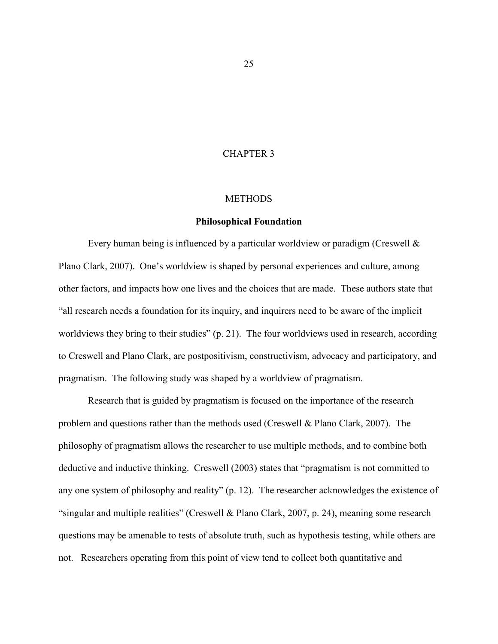## CHAPTER 3

#### **METHODS**

### **Philosophical Foundation**

Every human being is influenced by a particular worldview or paradigm (Creswell & Plano Clark, 2007). One's worldview is shaped by personal experiences and culture, among other factors, and impacts how one lives and the choices that are made. These authors state that "all research needs a foundation for its inquiry, and inquirers need to be aware of the implicit worldviews they bring to their studies" (p. 21). The four worldviews used in research, according to Creswell and Plano Clark, are postpositivism, constructivism, advocacy and participatory, and pragmatism. The following study was shaped by a worldview of pragmatism.

Research that is guided by pragmatism is focused on the importance of the research problem and questions rather than the methods used (Creswell & Plano Clark, 2007). The philosophy of pragmatism allows the researcher to use multiple methods, and to combine both deductive and inductive thinking. Creswell (2003) states that "pragmatism is not committed to any one system of philosophy and reality" (p. 12). The researcher acknowledges the existence of "singular and multiple realities" (Creswell & Plano Clark, 2007, p. 24), meaning some research questions may be amenable to tests of absolute truth, such as hypothesis testing, while others are not. Researchers operating from this point of view tend to collect both quantitative and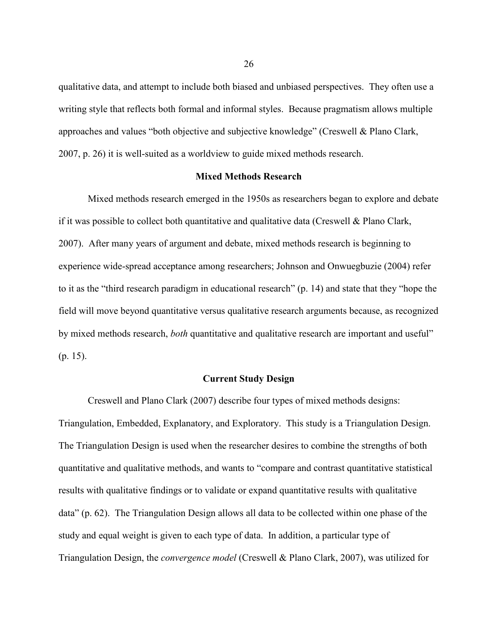qualitative data, and attempt to include both biased and unbiased perspectives. They often use a writing style that reflects both formal and informal styles. Because pragmatism allows multiple approaches and values "both objective and subjective knowledge" (Creswell & Plano Clark, 2007, p. 26) it is well-suited as a worldview to guide mixed methods research.

### **Mixed Methods Research**

Mixed methods research emerged in the 1950s as researchers began to explore and debate if it was possible to collect both quantitative and qualitative data (Creswell  $\&$  Plano Clark, 2007). After many years of argument and debate, mixed methods research is beginning to experience wide-spread acceptance among researchers; Johnson and Onwuegbuzie (2004) refer to it as the "third research paradigm in educational research" (p. 14) and state that they "hope the field will move beyond quantitative versus qualitative research arguments because, as recognized by mixed methods research, *both* quantitative and qualitative research are important and useful" (p. 15).

### **Current Study Design**

Creswell and Plano Clark (2007) describe four types of mixed methods designs: Triangulation, Embedded, Explanatory, and Exploratory. This study is a Triangulation Design. The Triangulation Design is used when the researcher desires to combine the strengths of both quantitative and qualitative methods, and wants to "compare and contrast quantitative statistical results with qualitative findings or to validate or expand quantitative results with qualitative data" (p. 62). The Triangulation Design allows all data to be collected within one phase of the study and equal weight is given to each type of data. In addition, a particular type of Triangulation Design, the *convergence model* (Creswell & Plano Clark, 2007), was utilized for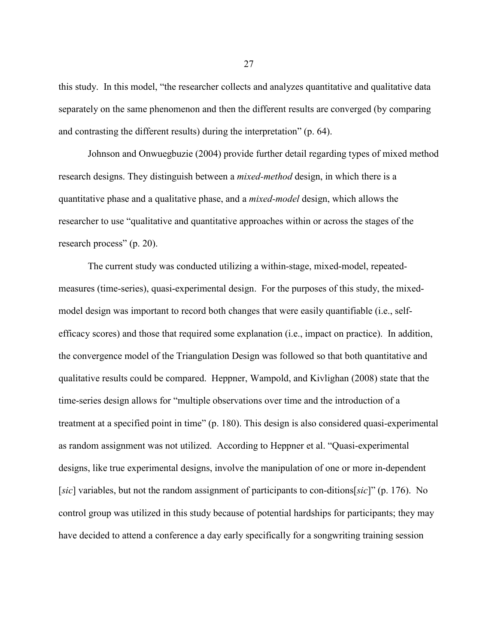this study. In this model, "the researcher collects and analyzes quantitative and qualitative data separately on the same phenomenon and then the different results are converged (by comparing and contrasting the different results) during the interpretation" (p. 64).

Johnson and Onwuegbuzie (2004) provide further detail regarding types of mixed method research designs. They distinguish between a *mixed-method* design, in which there is a quantitative phase and a qualitative phase, and a *mixed-model* design, which allows the researcher to use "qualitative and quantitative approaches within or across the stages of the research process" (p. 20).

The current study was conducted utilizing a within-stage, mixed-model, repeatedmeasures (time-series), quasi-experimental design. For the purposes of this study, the mixedmodel design was important to record both changes that were easily quantifiable (i.e., selfefficacy scores) and those that required some explanation (i.e., impact on practice). In addition, the convergence model of the Triangulation Design was followed so that both quantitative and qualitative results could be compared. Heppner, Wampold, and Kivlighan (2008) state that the time-series design allows for "multiple observations over time and the introduction of a treatment at a specified point in time" (p. 180). This design is also considered quasi-experimental as random assignment was not utilized. According to Heppner et al. "Quasi-experimental designs, like true experimental designs, involve the manipulation of one or more in-dependent [*sic*] variables, but not the random assignment of participants to con-ditions[*sic*]" (p. 176). No control group was utilized in this study because of potential hardships for participants; they may have decided to attend a conference a day early specifically for a songwriting training session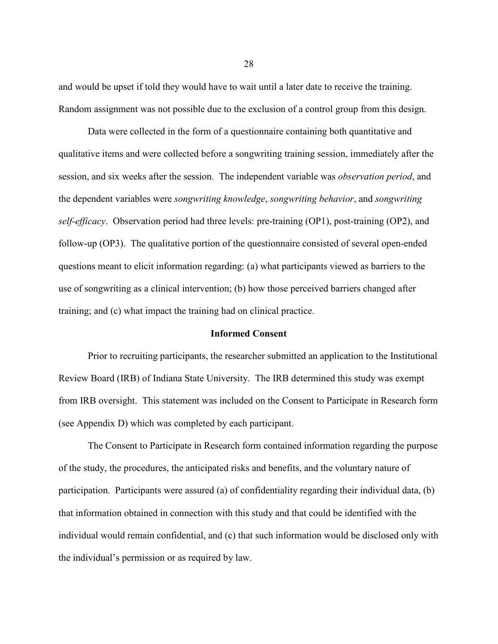and would be upset if told they would have to wait until a later date to receive the training. Random assignment was not possible due to the exclusion of a control group from this design.

Data were collected in the form of a questionnaire containing both quantitative and qualitative items and were collected before a songwriting training session, immediately after the session, and six weeks after the session. The independent variable was *observation period*, and the dependent variables were *songwriting knowledge*, *songwriting behavior*, and *songwriting self-efficacy*. Observation period had three levels: pre-training (OP1), post-training (OP2), and follow-up (OP3). The qualitative portion of the questionnaire consisted of several open-ended questions meant to elicit information regarding: (a) what participants viewed as barriers to the use of songwriting as a clinical intervention; (b) how those perceived barriers changed after training; and (c) what impact the training had on clinical practice.

#### **Informed Consent**

Prior to recruiting participants, the researcher submitted an application to the Institutional Review Board (IRB) of Indiana State University. The IRB determined this study was exempt from IRB oversight. This statement was included on the Consent to Participate in Research form (see Appendix D) which was completed by each participant.

The Consent to Participate in Research form contained information regarding the purpose of the study, the procedures, the anticipated risks and benefits, and the voluntary nature of participation. Participants were assured (a) of confidentiality regarding their individual data, (b) that information obtained in connection with this study and that could be identified with the individual would remain confidential, and (c) that such information would be disclosed only with the individual's permission or as required by law.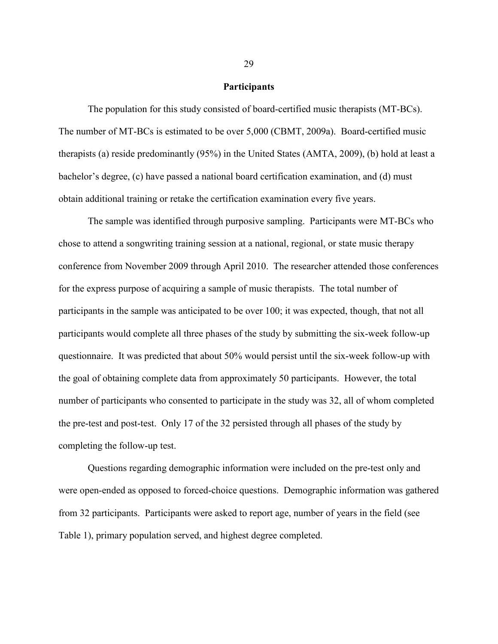#### **Participants**

The population for this study consisted of board-certified music therapists (MT-BCs). The number of MT-BCs is estimated to be over 5,000 (CBMT, 2009a). Board-certified music therapists (a) reside predominantly (95%) in the United States (AMTA, 2009), (b) hold at least a bachelor's degree, (c) have passed a national board certification examination, and (d) must obtain additional training or retake the certification examination every five years.

The sample was identified through purposive sampling. Participants were MT-BCs who chose to attend a songwriting training session at a national, regional, or state music therapy conference from November 2009 through April 2010. The researcher attended those conferences for the express purpose of acquiring a sample of music therapists. The total number of participants in the sample was anticipated to be over 100; it was expected, though, that not all participants would complete all three phases of the study by submitting the six-week follow-up questionnaire. It was predicted that about 50% would persist until the six-week follow-up with the goal of obtaining complete data from approximately 50 participants. However, the total number of participants who consented to participate in the study was 32, all of whom completed the pre-test and post-test. Only 17 of the 32 persisted through all phases of the study by completing the follow-up test.

Questions regarding demographic information were included on the pre-test only and were open-ended as opposed to forced-choice questions. Demographic information was gathered from 32 participants. Participants were asked to report age, number of years in the field (see Table 1), primary population served, and highest degree completed.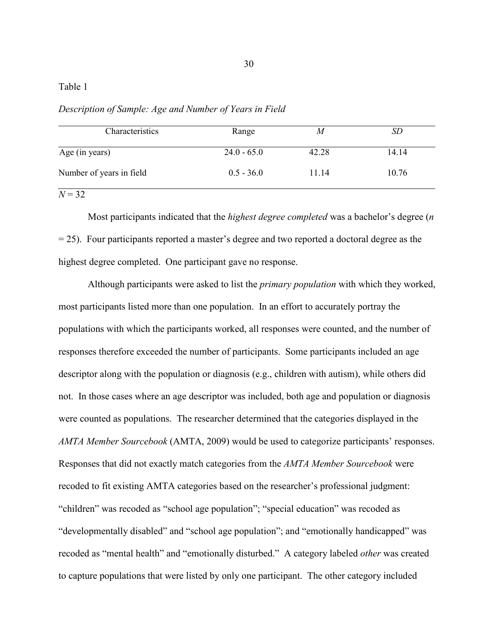## Table 1

Characteristics Range *M SD* Age (in years) 24.0 - 65.0 42.28 14.14 Number of years in field 0.5 - 36.0 11.14 10.76

*Description of Sample: Age and Number of Years in Field*

 $N = 32$ 

Most participants indicated that the *highest degree completed* was a bachelor's degree (*n*  $= 25$ ). Four participants reported a master's degree and two reported a doctoral degree as the highest degree completed. One participant gave no response.

Although participants were asked to list the *primary population* with which they worked, most participants listed more than one population. In an effort to accurately portray the populations with which the participants worked, all responses were counted, and the number of responses therefore exceeded the number of participants. Some participants included an age descriptor along with the population or diagnosis (e.g., children with autism), while others did not. In those cases where an age descriptor was included, both age and population or diagnosis were counted as populations. The researcher determined that the categories displayed in the *AMTA Member Sourcebook* (AMTA, 2009) would be used to categorize participants' responses. Responses that did not exactly match categories from the *AMTA Member Sourcebook* were recoded to fit existing AMTA categories based on the researcher's professional judgment: "children" was recoded as "school age population"; "special education" was recoded as "developmentally disabled" and "school age population"; and "emotionally handicapped" was recoded as "mental health" and "emotionally disturbed." A category labeled *other* was created to capture populations that were listed by only one participant. The other category included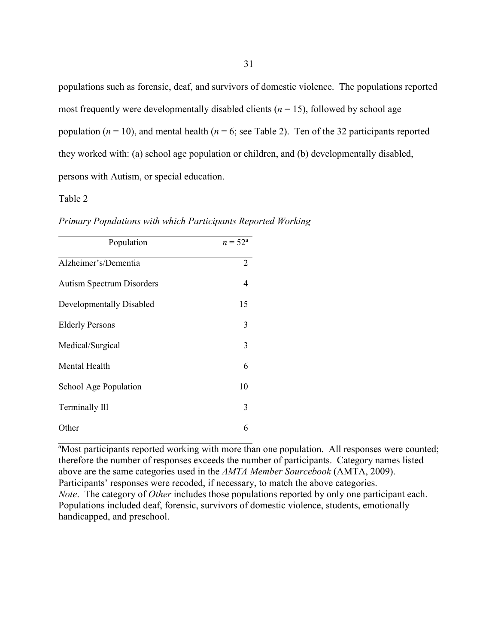populations such as forensic, deaf, and survivors of domestic violence. The populations reported most frequently were developmentally disabled clients ( $n = 15$ ), followed by school age population  $(n = 10)$ , and mental health  $(n = 6)$ ; see Table 2). Ten of the 32 participants reported they worked with: (a) school age population or children, and (b) developmentally disabled, persons with Autism, or special education.

### Table 2

| Population                       | $n = 52^{\circ}$ |
|----------------------------------|------------------|
| Alzheimer's/Dementia             | 2                |
| <b>Autism Spectrum Disorders</b> | 4                |
| Developmentally Disabled         | 15               |
| <b>Elderly Persons</b>           | 3                |
| Medical/Surgical                 | 3                |
| Mental Health                    | 6                |
| School Age Population            | 10               |
| Terminally Ill                   | 3                |
| Other                            | 6                |

*Primary Populations with which Participants Reported Working*

ªMost participants reported working with more than one population. All responses were counted; therefore the number of responses exceeds the number of participants. Category names listed above are the same categories used in the *AMTA Member Sourcebook* (AMTA, 2009). Participants' responses were recoded, if necessary, to match the above categories. *Note*. The category of *Other* includes those populations reported by only one participant each. Populations included deaf, forensic, survivors of domestic violence, students, emotionally handicapped, and preschool.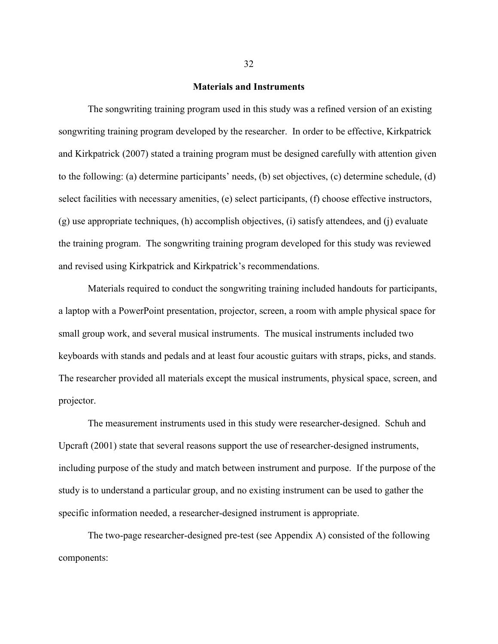### **Materials and Instruments**

The songwriting training program used in this study was a refined version of an existing songwriting training program developed by the researcher. In order to be effective, Kirkpatrick and Kirkpatrick (2007) stated a training program must be designed carefully with attention given to the following: (a) determine participants' needs, (b) set objectives, (c) determine schedule, (d) select facilities with necessary amenities, (e) select participants, (f) choose effective instructors, (g) use appropriate techniques, (h) accomplish objectives, (i) satisfy attendees, and (j) evaluate the training program. The songwriting training program developed for this study was reviewed and revised using Kirkpatrick and Kirkpatrick's recommendations.

Materials required to conduct the songwriting training included handouts for participants, a laptop with a PowerPoint presentation, projector, screen, a room with ample physical space for small group work, and several musical instruments. The musical instruments included two keyboards with stands and pedals and at least four acoustic guitars with straps, picks, and stands. The researcher provided all materials except the musical instruments, physical space, screen, and projector.

The measurement instruments used in this study were researcher-designed. Schuh and Upcraft (2001) state that several reasons support the use of researcher-designed instruments, including purpose of the study and match between instrument and purpose. If the purpose of the study is to understand a particular group, and no existing instrument can be used to gather the specific information needed, a researcher-designed instrument is appropriate.

The two-page researcher-designed pre-test (see Appendix A) consisted of the following components: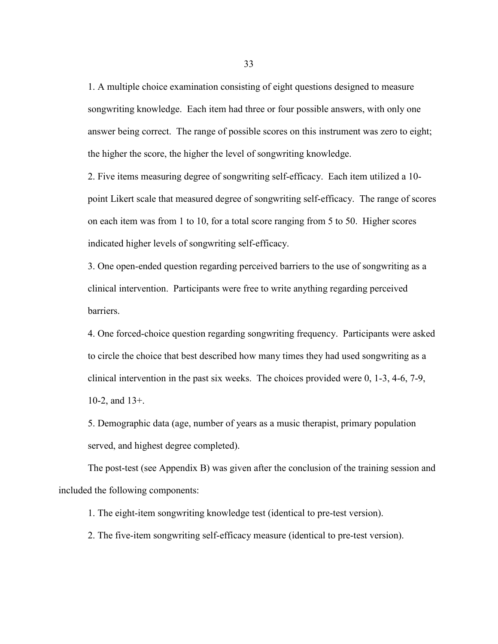1. A multiple choice examination consisting of eight questions designed to measure songwriting knowledge. Each item had three or four possible answers, with only one answer being correct. The range of possible scores on this instrument was zero to eight; the higher the score, the higher the level of songwriting knowledge.

2. Five items measuring degree of songwriting self-efficacy. Each item utilized a 10 point Likert scale that measured degree of songwriting self-efficacy. The range of scores on each item was from 1 to 10, for a total score ranging from 5 to 50. Higher scores indicated higher levels of songwriting self-efficacy.

3. One open-ended question regarding perceived barriers to the use of songwriting as a clinical intervention. Participants were free to write anything regarding perceived barriers.

4. One forced-choice question regarding songwriting frequency. Participants were asked to circle the choice that best described how many times they had used songwriting as a clinical intervention in the past six weeks. The choices provided were 0, 1-3, 4-6, 7-9, 10-2, and 13+.

5. Demographic data (age, number of years as a music therapist, primary population served, and highest degree completed).

The post-test (see Appendix B) was given after the conclusion of the training session and included the following components:

1. The eight-item songwriting knowledge test (identical to pre-test version).

2. The five-item songwriting self-efficacy measure (identical to pre-test version).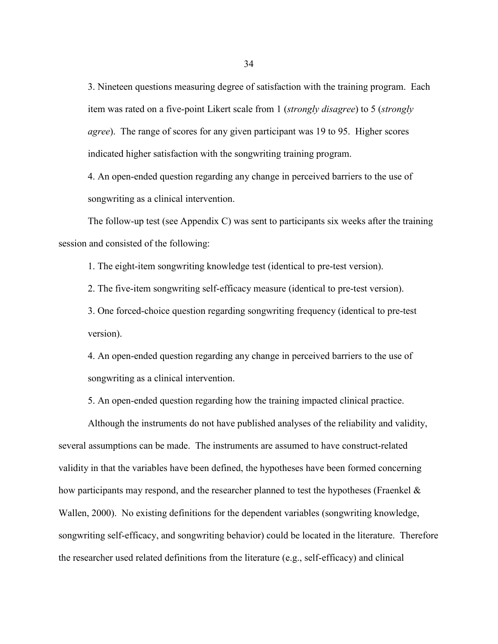3. Nineteen questions measuring degree of satisfaction with the training program. Each item was rated on a five-point Likert scale from 1 (*strongly disagree*) to 5 (*strongly agree*). The range of scores for any given participant was 19 to 95. Higher scores indicated higher satisfaction with the songwriting training program.

4. An open-ended question regarding any change in perceived barriers to the use of songwriting as a clinical intervention.

The follow-up test (see Appendix C) was sent to participants six weeks after the training session and consisted of the following:

1. The eight-item songwriting knowledge test (identical to pre-test version).

2. The five-item songwriting self-efficacy measure (identical to pre-test version).

3. One forced-choice question regarding songwriting frequency (identical to pre-test version).

4. An open-ended question regarding any change in perceived barriers to the use of songwriting as a clinical intervention.

5. An open-ended question regarding how the training impacted clinical practice.

Although the instruments do not have published analyses of the reliability and validity, several assumptions can be made. The instruments are assumed to have construct-related validity in that the variables have been defined, the hypotheses have been formed concerning how participants may respond, and the researcher planned to test the hypotheses (Fraenkel  $\&$ Wallen, 2000). No existing definitions for the dependent variables (songwriting knowledge, songwriting self-efficacy, and songwriting behavior) could be located in the literature. Therefore the researcher used related definitions from the literature (e.g., self-efficacy) and clinical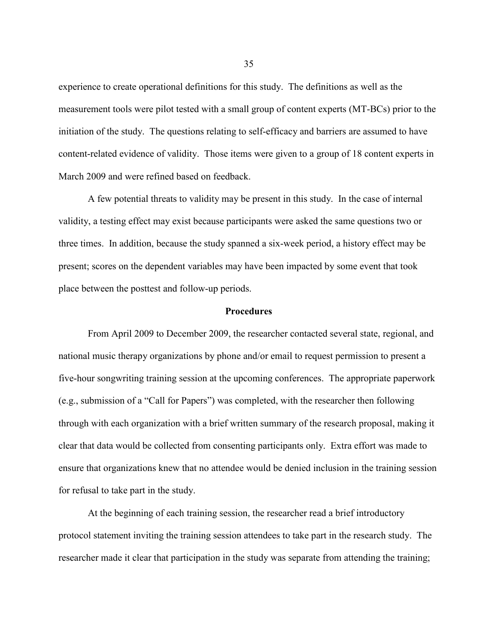experience to create operational definitions for this study. The definitions as well as the measurement tools were pilot tested with a small group of content experts (MT-BCs) prior to the initiation of the study. The questions relating to self-efficacy and barriers are assumed to have content-related evidence of validity. Those items were given to a group of 18 content experts in March 2009 and were refined based on feedback.

A few potential threats to validity may be present in this study. In the case of internal validity, a testing effect may exist because participants were asked the same questions two or three times. In addition, because the study spanned a six-week period, a history effect may be present; scores on the dependent variables may have been impacted by some event that took place between the posttest and follow-up periods.

#### **Procedures**

From April 2009 to December 2009, the researcher contacted several state, regional, and national music therapy organizations by phone and/or email to request permission to present a five-hour songwriting training session at the upcoming conferences. The appropriate paperwork (e.g., submission of a "Call for Papers") was completed, with the researcher then following through with each organization with a brief written summary of the research proposal, making it clear that data would be collected from consenting participants only. Extra effort was made to ensure that organizations knew that no attendee would be denied inclusion in the training session for refusal to take part in the study.

At the beginning of each training session, the researcher read a brief introductory protocol statement inviting the training session attendees to take part in the research study. The researcher made it clear that participation in the study was separate from attending the training;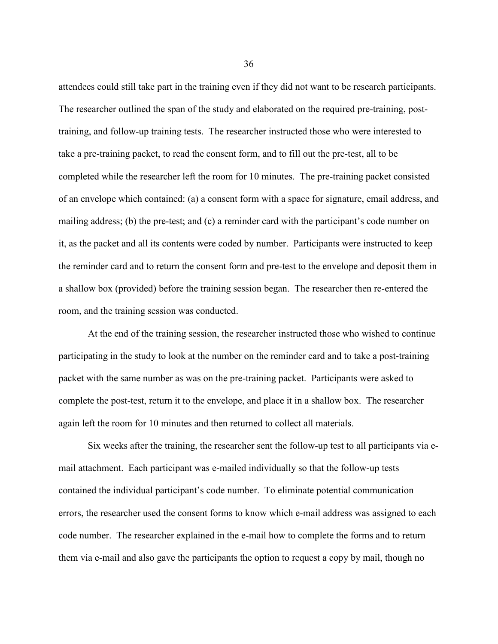attendees could still take part in the training even if they did not want to be research participants. The researcher outlined the span of the study and elaborated on the required pre-training, posttraining, and follow-up training tests. The researcher instructed those who were interested to take a pre-training packet, to read the consent form, and to fill out the pre-test, all to be completed while the researcher left the room for 10 minutes. The pre-training packet consisted of an envelope which contained: (a) a consent form with a space for signature, email address, and mailing address; (b) the pre-test; and (c) a reminder card with the participant's code number on it, as the packet and all its contents were coded by number. Participants were instructed to keep the reminder card and to return the consent form and pre-test to the envelope and deposit them in a shallow box (provided) before the training session began. The researcher then re-entered the room, and the training session was conducted.

At the end of the training session, the researcher instructed those who wished to continue participating in the study to look at the number on the reminder card and to take a post-training packet with the same number as was on the pre-training packet. Participants were asked to complete the post-test, return it to the envelope, and place it in a shallow box. The researcher again left the room for 10 minutes and then returned to collect all materials.

Six weeks after the training, the researcher sent the follow-up test to all participants via email attachment. Each participant was e-mailed individually so that the follow-up tests contained the individual participant's code number. To eliminate potential communication errors, the researcher used the consent forms to know which e-mail address was assigned to each code number. The researcher explained in the e-mail how to complete the forms and to return them via e-mail and also gave the participants the option to request a copy by mail, though no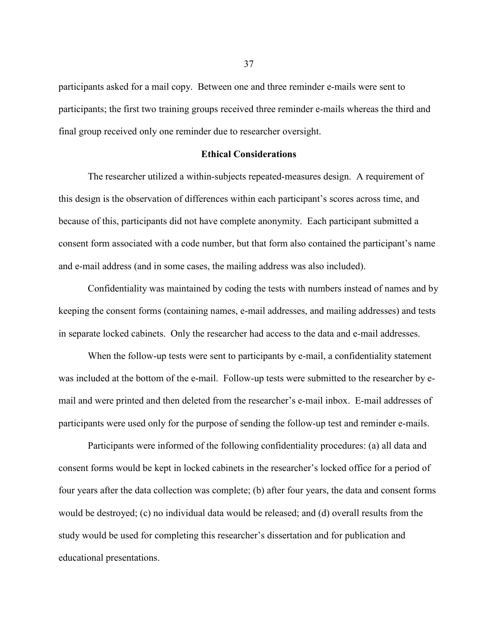participants asked for a mail copy. Between one and three reminder e-mails were sent to participants; the first two training groups received three reminder e-mails whereas the third and final group received only one reminder due to researcher oversight.

## **Ethical Considerations**

The researcher utilized a within-subjects repeated-measures design. A requirement of this design is the observation of differences within each participant's scores across time, and because of this, participants did not have complete anonymity. Each participant submitted a consent form associated with a code number, but that form also contained the participant's name and e-mail address (and in some cases, the mailing address was also included).

Confidentiality was maintained by coding the tests with numbers instead of names and by keeping the consent forms (containing names, e-mail addresses, and mailing addresses) and tests in separate locked cabinets. Only the researcher had access to the data and e-mail addresses.

When the follow-up tests were sent to participants by e-mail, a confidentiality statement was included at the bottom of the e-mail. Follow-up tests were submitted to the researcher by email and were printed and then deleted from the researcher's e-mail inbox. E-mail addresses of participants were used only for the purpose of sending the follow-up test and reminder e-mails.

Participants were informed of the following confidentiality procedures: (a) all data and consent forms would be kept in locked cabinets in the researcher's locked office for a period of four years after the data collection was complete; (b) after four years, the data and consent forms would be destroyed; (c) no individual data would be released; and (d) overall results from the study would be used for completing this researcher's dissertation and for publication and educational presentations.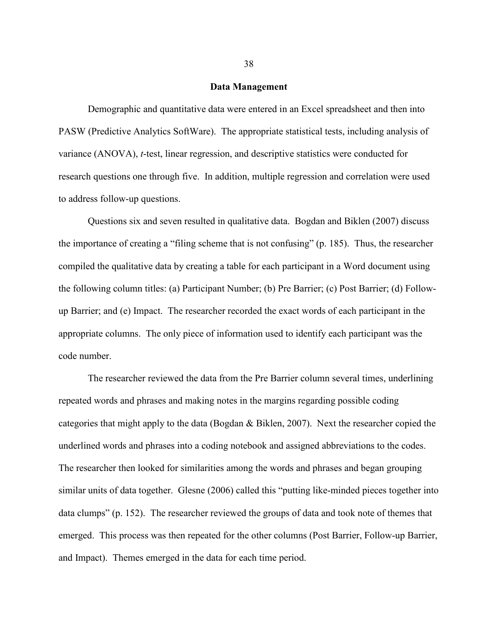#### **Data Management**

Demographic and quantitative data were entered in an Excel spreadsheet and then into PASW (Predictive Analytics SoftWare). The appropriate statistical tests, including analysis of variance (ANOVA), *t*-test, linear regression, and descriptive statistics were conducted for research questions one through five. In addition, multiple regression and correlation were used to address follow-up questions.

Questions six and seven resulted in qualitative data. Bogdan and Biklen (2007) discuss the importance of creating a "filing scheme that is not confusing" (p. 185). Thus, the researcher compiled the qualitative data by creating a table for each participant in a Word document using the following column titles: (a) Participant Number; (b) Pre Barrier; (c) Post Barrier; (d) Followup Barrier; and (e) Impact. The researcher recorded the exact words of each participant in the appropriate columns. The only piece of information used to identify each participant was the code number.

The researcher reviewed the data from the Pre Barrier column several times, underlining repeated words and phrases and making notes in the margins regarding possible coding categories that might apply to the data (Bogdan & Biklen, 2007). Next the researcher copied the underlined words and phrases into a coding notebook and assigned abbreviations to the codes. The researcher then looked for similarities among the words and phrases and began grouping similar units of data together. Glesne (2006) called this "putting like-minded pieces together into data clumps" (p. 152). The researcher reviewed the groups of data and took note of themes that emerged. This process was then repeated for the other columns (Post Barrier, Follow-up Barrier, and Impact). Themes emerged in the data for each time period.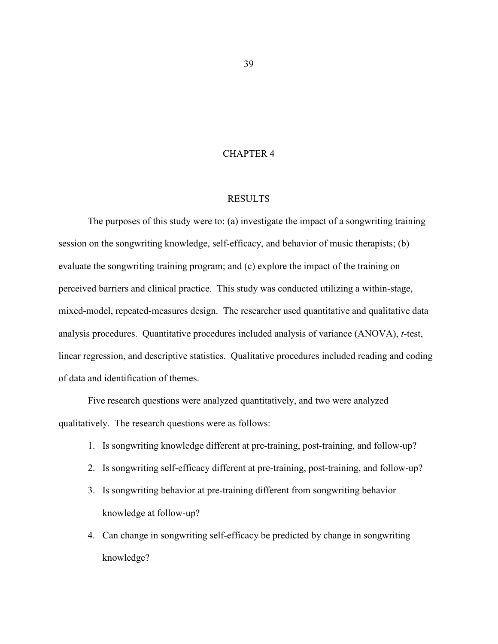## CHAPTER 4

#### RESULTS

The purposes of this study were to: (a) investigate the impact of a songwriting training session on the songwriting knowledge, self-efficacy, and behavior of music therapists; (b) evaluate the songwriting training program; and (c) explore the impact of the training on perceived barriers and clinical practice. This study was conducted utilizing a within-stage, mixed-model, repeated-measures design. The researcher used quantitative and qualitative data analysis procedures. Quantitative procedures included analysis of variance (ANOVA), *t*-test, linear regression, and descriptive statistics. Qualitative procedures included reading and coding of data and identification of themes.

Five research questions were analyzed quantitatively, and two were analyzed qualitatively. The research questions were as follows:

- 1. Is songwriting knowledge different at pre-training, post-training, and follow-up?
- 2. Is songwriting self-efficacy different at pre-training, post-training, and follow-up?
- 3. Is songwriting behavior at pre-training different from songwriting behavior knowledge at follow-up?
- 4. Can change in songwriting self-efficacy be predicted by change in songwriting knowledge?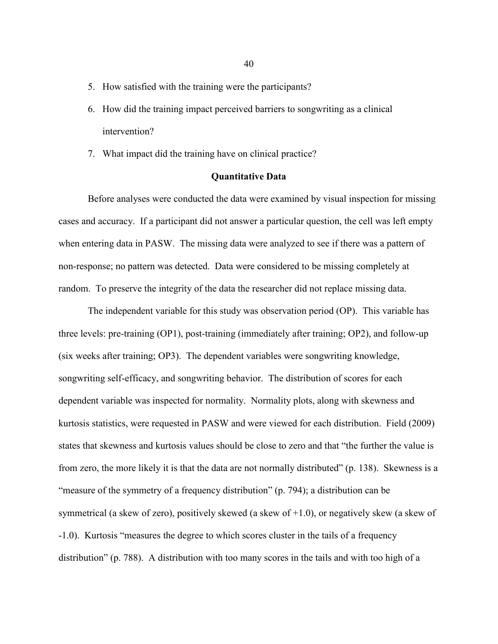- 5. How satisfied with the training were the participants?
- 6. How did the training impact perceived barriers to songwriting as a clinical intervention?
- 7. What impact did the training have on clinical practice?

### **Quantitative Data**

Before analyses were conducted the data were examined by visual inspection for missing cases and accuracy. If a participant did not answer a particular question, the cell was left empty when entering data in PASW. The missing data were analyzed to see if there was a pattern of non-response; no pattern was detected. Data were considered to be missing completely at random. To preserve the integrity of the data the researcher did not replace missing data.

The independent variable for this study was observation period (OP). This variable has three levels: pre-training (OP1), post-training (immediately after training; OP2), and follow-up (six weeks after training; OP3). The dependent variables were songwriting knowledge, songwriting self-efficacy, and songwriting behavior. The distribution of scores for each dependent variable was inspected for normality. Normality plots, along with skewness and kurtosis statistics, were requested in PASW and were viewed for each distribution. Field (2009) states that skewness and kurtosis values should be close to zero and that "the further the value is from zero, the more likely it is that the data are not normally distributed" (p. 138). Skewness is a "measure of the symmetry of a frequency distribution" (p. 794); a distribution can be symmetrical (a skew of zero), positively skewed (a skew of +1.0), or negatively skew (a skew of -1.0). Kurtosis "measures the degree to which scores cluster in the tails of a frequency distribution" (p. 788). A distribution with too many scores in the tails and with too high of a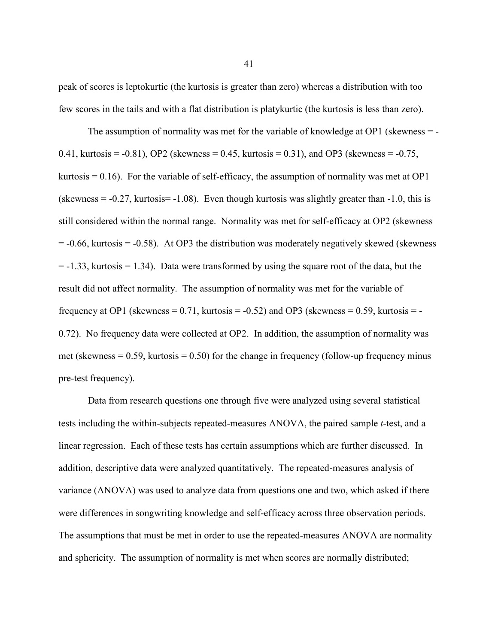peak of scores is leptokurtic (the kurtosis is greater than zero) whereas a distribution with too few scores in the tails and with a flat distribution is platykurtic (the kurtosis is less than zero).

The assumption of normality was met for the variable of knowledge at  $OP1$  (skewness  $=$  -0.41, kurtosis = -0.81), OP2 (skewness = 0.45, kurtosis = 0.31), and OP3 (skewness = -0.75, kurtosis  $= 0.16$ ). For the variable of self-efficacy, the assumption of normality was met at OP1 (skewness  $= -0.27$ , kurtosis  $= -1.08$ ). Even though kurtosis was slightly greater than  $-1.0$ , this is still considered within the normal range. Normality was met for self-efficacy at OP2 (skewness  $= -0.66$ , kurtosis  $= -0.58$ ). At OP3 the distribution was moderately negatively skewed (skewness  $= -1.33$ , kurtosis  $= 1.34$ ). Data were transformed by using the square root of the data, but the result did not affect normality. The assumption of normality was met for the variable of frequency at OP1 (skewness =  $0.71$ , kurtosis =  $-0.52$ ) and OP3 (skewness =  $0.59$ , kurtosis =  $-$ 0.72). No frequency data were collected at OP2. In addition, the assumption of normality was met (skewness  $= 0.59$ , kurtosis  $= 0.50$ ) for the change in frequency (follow-up frequency minus pre-test frequency).

Data from research questions one through five were analyzed using several statistical tests including the within-subjects repeated-measures ANOVA, the paired sample *t*-test, and a linear regression. Each of these tests has certain assumptions which are further discussed. In addition, descriptive data were analyzed quantitatively. The repeated-measures analysis of variance (ANOVA) was used to analyze data from questions one and two, which asked if there were differences in songwriting knowledge and self-efficacy across three observation periods. The assumptions that must be met in order to use the repeated-measures ANOVA are normality and sphericity. The assumption of normality is met when scores are normally distributed;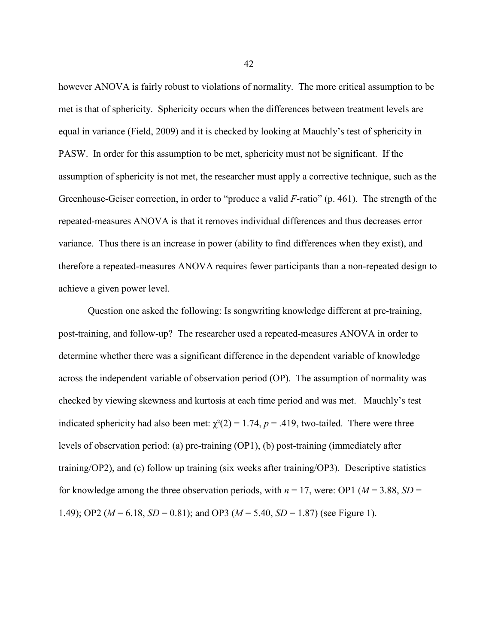however ANOVA is fairly robust to violations of normality. The more critical assumption to be met is that of sphericity. Sphericity occurs when the differences between treatment levels are equal in variance (Field, 2009) and it is checked by looking at Mauchly's test of sphericity in PASW. In order for this assumption to be met, sphericity must not be significant. If the assumption of sphericity is not met, the researcher must apply a corrective technique, such as the Greenhouse-Geiser correction, in order to "produce a valid *F*-ratio" (p. 461). The strength of the repeated-measures ANOVA is that it removes individual differences and thus decreases error variance. Thus there is an increase in power (ability to find differences when they exist), and therefore a repeated-measures ANOVA requires fewer participants than a non-repeated design to achieve a given power level.

Question one asked the following: Is songwriting knowledge different at pre-training, post-training, and follow-up? The researcher used a repeated-measures ANOVA in order to determine whether there was a significant difference in the dependent variable of knowledge across the independent variable of observation period (OP). The assumption of normality was checked by viewing skewness and kurtosis at each time period and was met. Mauchly's test indicated sphericity had also been met:  $\chi^2(2) = 1.74$ ,  $p = .419$ , two-tailed. There were three levels of observation period: (a) pre-training (OP1), (b) post-training (immediately after training/OP2), and (c) follow up training (six weeks after training/OP3). Descriptive statistics for knowledge among the three observation periods, with  $n = 17$ , were: OP1 ( $M = 3.88$ , *SD* = 1.49); OP2 (*M* = 6.18, *SD* = 0.81); and OP3 (*M* = 5.40, *SD* = 1.87) (see Figure 1).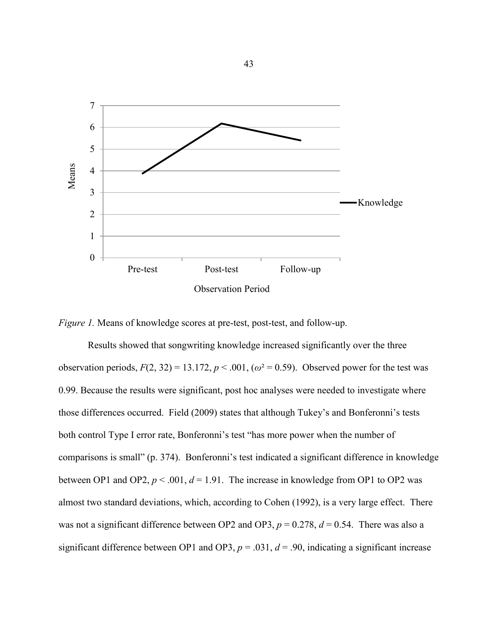

*Figure 1.* Means of knowledge scores at pre-test, post-test, and follow-up.

Results showed that songwriting knowledge increased significantly over the three observation periods,  $F(2, 32) = 13.172$ ,  $p < .001$ ,  $(\omega^2 = 0.59)$ . Observed power for the test was 0.99. Because the results were significant, post hoc analyses were needed to investigate where those differences occurred. Field (2009) states that although Tukey's and Bonferonni's tests both control Type I error rate, Bonferonni's test "has more power when the number of comparisons is small" (p. 374). Bonferonni's test indicated a significant difference in knowledge between OP1 and OP2,  $p < .001$ ,  $d = 1.91$ . The increase in knowledge from OP1 to OP2 was almost two standard deviations, which, according to Cohen (1992), is a very large effect. There was not a significant difference between OP2 and OP3,  $p = 0.278$ ,  $d = 0.54$ . There was also a significant difference between OP1 and OP3,  $p = .031$ ,  $d = .90$ , indicating a significant increase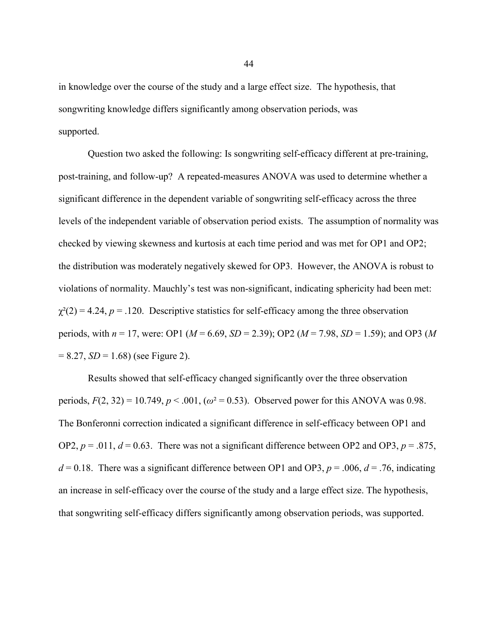in knowledge over the course of the study and a large effect size. The hypothesis, that songwriting knowledge differs significantly among observation periods, was supported.

Question two asked the following: Is songwriting self-efficacy different at pre-training, post-training, and follow-up? A repeated-measures ANOVA was used to determine whether a significant difference in the dependent variable of songwriting self-efficacy across the three levels of the independent variable of observation period exists. The assumption of normality was checked by viewing skewness and kurtosis at each time period and was met for OP1 and OP2; the distribution was moderately negatively skewed for OP3. However, the ANOVA is robust to violations of normality. Mauchly's test was non-significant, indicating sphericity had been met:  $\chi^2(2) = 4.24$ ,  $p = .120$ . Descriptive statistics for self-efficacy among the three observation periods, with *n* = 17, were: OP1 (*M* = 6.69, *SD* = 2.39); OP2 (*M* = 7.98, *SD* = 1.59); and OP3 (*M*  $= 8.27, SD = 1.68$ ) (see Figure 2).

Results showed that self-efficacy changed significantly over the three observation periods,  $F(2, 32) = 10.749$ ,  $p < .001$ ,  $(\omega^2 = 0.53)$ . Observed power for this ANOVA was 0.98. The Bonferonni correction indicated a significant difference in self-efficacy between OP1 and OP2,  $p = .011$ ,  $d = 0.63$ . There was not a significant difference between OP2 and OP3,  $p = .875$ ,  $d = 0.18$ . There was a significant difference between OP1 and OP3,  $p = .006$ ,  $d = .76$ , indicating an increase in self-efficacy over the course of the study and a large effect size. The hypothesis, that songwriting self-efficacy differs significantly among observation periods, was supported.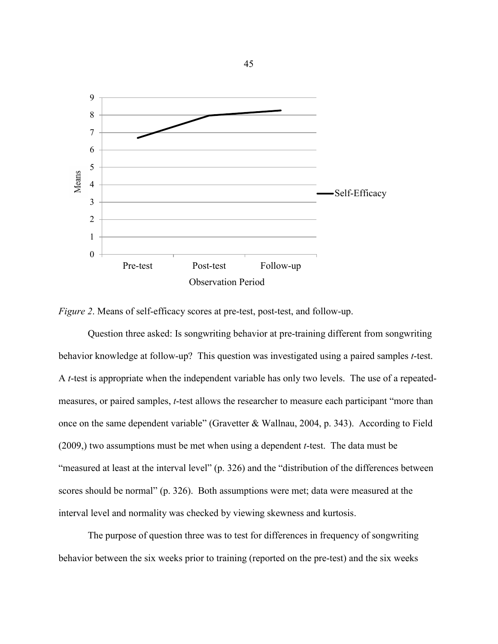



Question three asked: Is songwriting behavior at pre-training different from songwriting behavior knowledge at follow-up? This question was investigated using a paired samples *t*-test. A *t*-test is appropriate when the independent variable has only two levels. The use of a repeatedmeasures, or paired samples, *t*-test allows the researcher to measure each participant "more than once on the same dependent variable" (Gravetter & Wallnau, 2004, p. 343). According to Field (2009,) two assumptions must be met when using a dependent *t*-test. The data must be "measured at least at the interval level" (p. 326) and the "distribution of the differences between scores should be normal" (p. 326). Both assumptions were met; data were measured at the interval level and normality was checked by viewing skewness and kurtosis.

The purpose of question three was to test for differences in frequency of songwriting behavior between the six weeks prior to training (reported on the pre-test) and the six weeks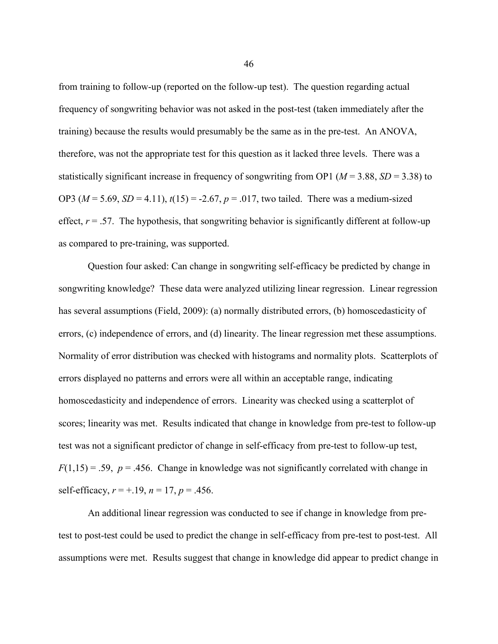from training to follow-up (reported on the follow-up test). The question regarding actual frequency of songwriting behavior was not asked in the post-test (taken immediately after the training) because the results would presumably be the same as in the pre-test. An ANOVA, therefore, was not the appropriate test for this question as it lacked three levels. There was a statistically significant increase in frequency of songwriting from OP1 ( $M = 3.88$ ,  $SD = 3.38$ ) to OP3 ( $M = 5.69$ ,  $SD = 4.11$ ),  $t(15) = -2.67$ ,  $p = .017$ , two tailed. There was a medium-sized effect,  $r = .57$ . The hypothesis, that songwriting behavior is significantly different at follow-up as compared to pre-training, was supported.

Question four asked: Can change in songwriting self-efficacy be predicted by change in songwriting knowledge? These data were analyzed utilizing linear regression. Linear regression has several assumptions (Field, 2009): (a) normally distributed errors, (b) homoscedasticity of errors, (c) independence of errors, and (d) linearity. The linear regression met these assumptions. Normality of error distribution was checked with histograms and normality plots. Scatterplots of errors displayed no patterns and errors were all within an acceptable range, indicating homoscedasticity and independence of errors. Linearity was checked using a scatterplot of scores; linearity was met. Results indicated that change in knowledge from pre-test to follow-up test was not a significant predictor of change in self-efficacy from pre-test to follow-up test,  $F(1,15) = .59$ ,  $p = .456$ . Change in knowledge was not significantly correlated with change in self-efficacy,  $r = +.19$ ,  $n = 17$ ,  $p = .456$ .

An additional linear regression was conducted to see if change in knowledge from pretest to post-test could be used to predict the change in self-efficacy from pre-test to post-test. All assumptions were met. Results suggest that change in knowledge did appear to predict change in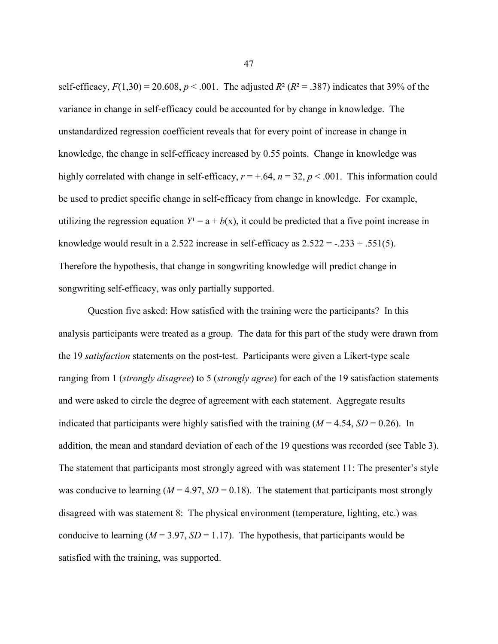self-efficacy,  $F(1,30) = 20.608$ ,  $p < .001$ . The adjusted  $R^2 (R^2 = .387)$  indicates that 39% of the variance in change in self-efficacy could be accounted for by change in knowledge. The unstandardized regression coefficient reveals that for every point of increase in change in knowledge, the change in self-efficacy increased by 0.55 points. Change in knowledge was highly correlated with change in self-efficacy,  $r = +.64$ ,  $n = 32$ ,  $p < .001$ . This information could be used to predict specific change in self-efficacy from change in knowledge. For example, utilizing the regression equation  $Y^1 = a + b(x)$ , it could be predicted that a five point increase in knowledge would result in a 2.522 increase in self-efficacy as  $2.522 = -0.233 + 0.551(5)$ . Therefore the hypothesis, that change in songwriting knowledge will predict change in songwriting self-efficacy, was only partially supported.

Question five asked: How satisfied with the training were the participants? In this analysis participants were treated as a group. The data for this part of the study were drawn from the 19 *satisfaction* statements on the post-test. Participants were given a Likert-type scale ranging from 1 (*strongly disagree*) to 5 (*strongly agree*) for each of the 19 satisfaction statements and were asked to circle the degree of agreement with each statement. Aggregate results indicated that participants were highly satisfied with the training  $(M = 4.54, SD = 0.26)$ . In addition, the mean and standard deviation of each of the 19 questions was recorded (see Table 3). The statement that participants most strongly agreed with was statement 11: The presenter's style was conducive to learning  $(M = 4.97, SD = 0.18)$ . The statement that participants most strongly disagreed with was statement 8: The physical environment (temperature, lighting, etc.) was conducive to learning  $(M = 3.97, SD = 1.17)$ . The hypothesis, that participants would be satisfied with the training, was supported.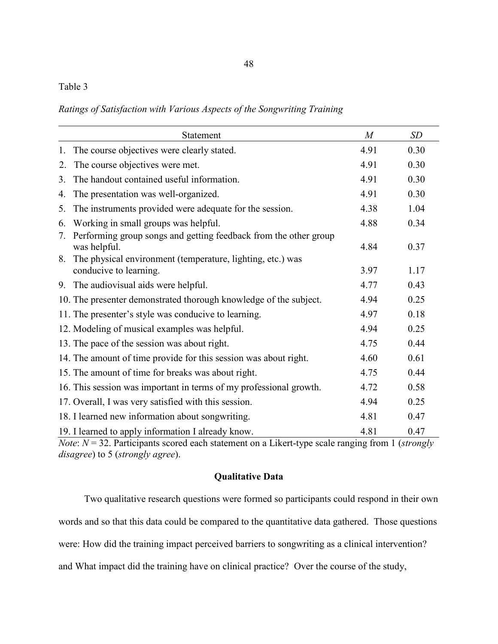# Table 3

*Ratings of Satisfaction with Various Aspects of the Songwriting Training*

|    | Statement                                                                            | $\overline{M}$ | <b>SD</b> |
|----|--------------------------------------------------------------------------------------|----------------|-----------|
| 1. | The course objectives were clearly stated.                                           | 4.91           | 0.30      |
| 2. | The course objectives were met.                                                      | 4.91           | 0.30      |
| 3. | The handout contained useful information.                                            | 4.91           | 0.30      |
| 4. | The presentation was well-organized.                                                 | 4.91           | 0.30      |
| 5. | The instruments provided were adequate for the session.                              | 4.38           | 1.04      |
| 6. | Working in small groups was helpful.                                                 | 4.88           | 0.34      |
| 7. | Performing group songs and getting feedback from the other group<br>was helpful.     | 4.84           | 0.37      |
| 8. | The physical environment (temperature, lighting, etc.) was<br>conducive to learning. | 3.97           | 1.17      |
|    | 9. The audiovisual aids were helpful.                                                | 4.77           | 0.43      |
|    | 10. The presenter demonstrated thorough knowledge of the subject.                    | 4.94           | 0.25      |
|    | 11. The presenter's style was conducive to learning.                                 | 4.97           | 0.18      |
|    | 12. Modeling of musical examples was helpful.                                        | 4.94           | 0.25      |
|    | 13. The pace of the session was about right.                                         | 4.75           | 0.44      |
|    | 14. The amount of time provide for this session was about right.                     | 4.60           | 0.61      |
|    | 15. The amount of time for breaks was about right.                                   | 4.75           | 0.44      |
|    | 16. This session was important in terms of my professional growth.                   | 4.72           | 0.58      |
|    | 17. Overall, I was very satisfied with this session.                                 | 4.94           | 0.25      |
|    | 18. I learned new information about songwriting.                                     | 4.81           | 0.47      |
|    | 19. I learned to apply information I already know.                                   | 4.81           | 0.47      |

*Note*: *N* = 32. Participants scored each statement on a Likert-type scale ranging from 1 (*strongly disagree*) to 5 (*strongly agree*).

## **Qualitative Data**

Two qualitative research questions were formed so participants could respond in their own words and so that this data could be compared to the quantitative data gathered. Those questions were: How did the training impact perceived barriers to songwriting as a clinical intervention? and What impact did the training have on clinical practice? Over the course of the study,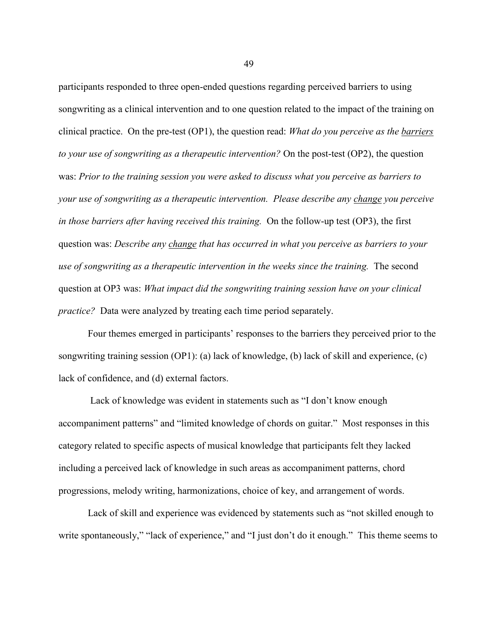participants responded to three open-ended questions regarding perceived barriers to using songwriting as a clinical intervention and to one question related to the impact of the training on clinical practice. On the pre-test (OP1), the question read: *What do you perceive as the barriers to your use of songwriting as a therapeutic intervention?* On the post-test (OP2), the question was: *Prior to the training session you were asked to discuss what you perceive as barriers to your use of songwriting as a therapeutic intervention. Please describe any change you perceive in those barriers after having received this training.* On the follow-up test (OP3), the first question was: *Describe any change that has occurred in what you perceive as barriers to your use of songwriting as a therapeutic intervention in the weeks since the training.* The second question at OP3 was: *What impact did the songwriting training session have on your clinical practice?* Data were analyzed by treating each time period separately.

Four themes emerged in participants' responses to the barriers they perceived prior to the songwriting training session (OP1): (a) lack of knowledge, (b) lack of skill and experience, (c) lack of confidence, and (d) external factors.

Lack of knowledge was evident in statements such as "I don't know enough accompaniment patterns" and "limited knowledge of chords on guitar." Most responses in this category related to specific aspects of musical knowledge that participants felt they lacked including a perceived lack of knowledge in such areas as accompaniment patterns, chord progressions, melody writing, harmonizations, choice of key, and arrangement of words.

Lack of skill and experience was evidenced by statements such as "not skilled enough to write spontaneously," "lack of experience," and "I just don't do it enough." This theme seems to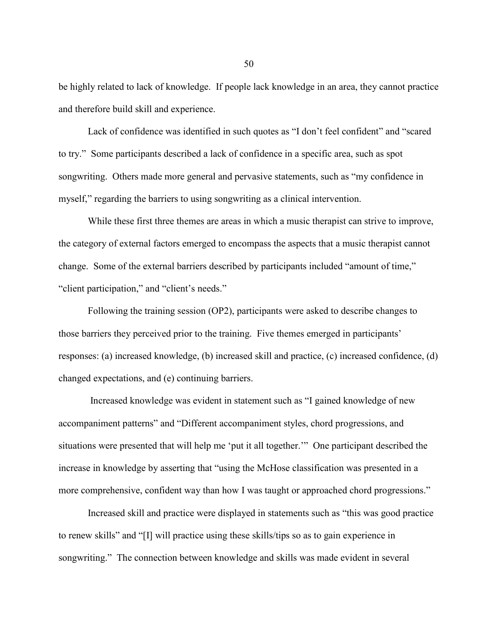be highly related to lack of knowledge. If people lack knowledge in an area, they cannot practice and therefore build skill and experience.

Lack of confidence was identified in such quotes as "I don't feel confident" and "scared to try." Some participants described a lack of confidence in a specific area, such as spot songwriting. Others made more general and pervasive statements, such as "my confidence in myself," regarding the barriers to using songwriting as a clinical intervention.

While these first three themes are areas in which a music therapist can strive to improve, the category of external factors emerged to encompass the aspects that a music therapist cannot change. Some of the external barriers described by participants included "amount of time," "client participation," and "client's needs."

Following the training session (OP2), participants were asked to describe changes to those barriers they perceived prior to the training. Five themes emerged in participants' responses: (a) increased knowledge, (b) increased skill and practice, (c) increased confidence, (d) changed expectations, and (e) continuing barriers.

Increased knowledge was evident in statement such as "I gained knowledge of new accompaniment patterns" and "Different accompaniment styles, chord progressions, and situations were presented that will help me 'put it all together.'" One participant described the increase in knowledge by asserting that "using the McHose classification was presented in a more comprehensive, confident way than how I was taught or approached chord progressions."

Increased skill and practice were displayed in statements such as "this was good practice to renew skills" and "[I] will practice using these skills/tips so as to gain experience in songwriting." The connection between knowledge and skills was made evident in several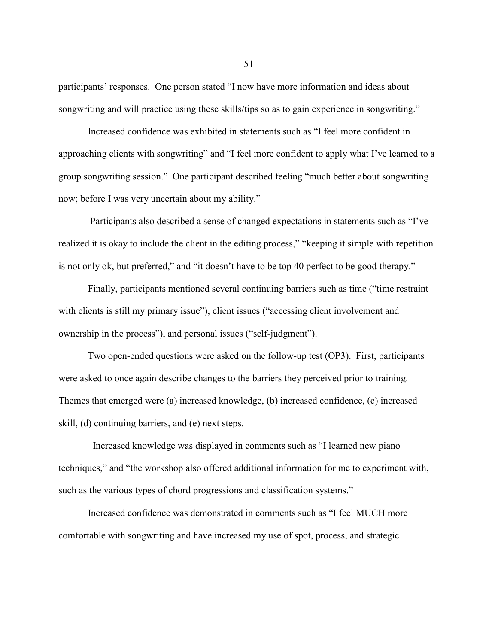participants' responses. One person stated "I now have more information and ideas about songwriting and will practice using these skills/tips so as to gain experience in songwriting."

Increased confidence was exhibited in statements such as "I feel more confident in approaching clients with songwriting" and "I feel more confident to apply what I've learned to a group songwriting session." One participant described feeling "much better about songwriting now; before I was very uncertain about my ability."

Participants also described a sense of changed expectations in statements such as "I've realized it is okay to include the client in the editing process," "keeping it simple with repetition is not only ok, but preferred," and "it doesn't have to be top 40 perfect to be good therapy."

Finally, participants mentioned several continuing barriers such as time ("time restraint with clients is still my primary issue"), client issues ("accessing client involvement and ownership in the process"), and personal issues ("self-judgment").

Two open-ended questions were asked on the follow-up test (OP3). First, participants were asked to once again describe changes to the barriers they perceived prior to training. Themes that emerged were (a) increased knowledge, (b) increased confidence, (c) increased skill, (d) continuing barriers, and (e) next steps.

Increased knowledge was displayed in comments such as "I learned new piano techniques," and "the workshop also offered additional information for me to experiment with, such as the various types of chord progressions and classification systems."

Increased confidence was demonstrated in comments such as "I feel MUCH more comfortable with songwriting and have increased my use of spot, process, and strategic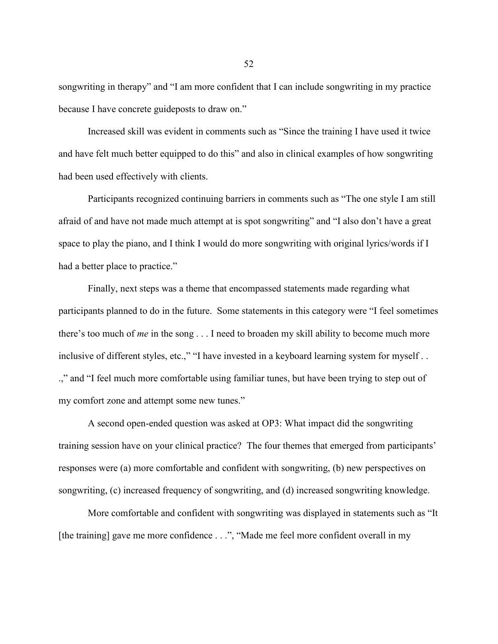songwriting in therapy" and "I am more confident that I can include songwriting in my practice because I have concrete guideposts to draw on."

Increased skill was evident in comments such as "Since the training I have used it twice and have felt much better equipped to do this" and also in clinical examples of how songwriting had been used effectively with clients.

Participants recognized continuing barriers in comments such as "The one style I am still afraid of and have not made much attempt at is spot songwriting" and "I also don't have a great space to play the piano, and I think I would do more songwriting with original lyrics/words if I had a better place to practice."

Finally, next steps was a theme that encompassed statements made regarding what participants planned to do in the future. Some statements in this category were "I feel sometimes there's too much of *me* in the song . . . I need to broaden my skill ability to become much more inclusive of different styles, etc.," "I have invested in a keyboard learning system for myself . . .," and "I feel much more comfortable using familiar tunes, but have been trying to step out of my comfort zone and attempt some new tunes."

A second open-ended question was asked at OP3: What impact did the songwriting training session have on your clinical practice? The four themes that emerged from participants' responses were (a) more comfortable and confident with songwriting, (b) new perspectives on songwriting, (c) increased frequency of songwriting, and (d) increased songwriting knowledge.

More comfortable and confident with songwriting was displayed in statements such as "It [the training] gave me more confidence . . .", "Made me feel more confident overall in my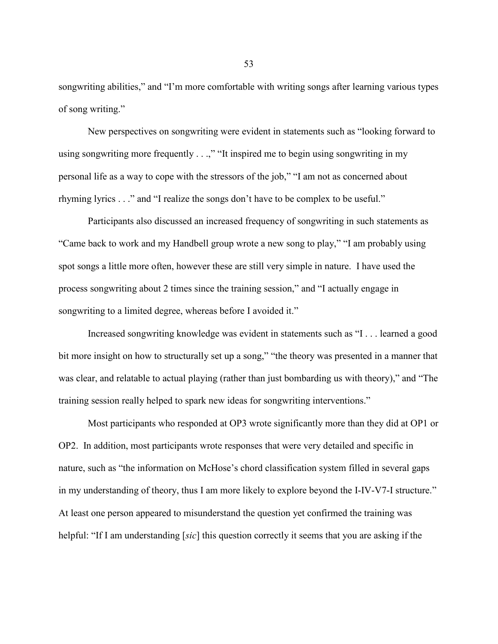songwriting abilities," and "I'm more comfortable with writing songs after learning various types of song writing."

New perspectives on songwriting were evident in statements such as "looking forward to using songwriting more frequently . . .," "It inspired me to begin using songwriting in my personal life as a way to cope with the stressors of the job," "I am not as concerned about rhyming lyrics . . ." and "I realize the songs don't have to be complex to be useful."

Participants also discussed an increased frequency of songwriting in such statements as "Came back to work and my Handbell group wrote a new song to play," "I am probably using spot songs a little more often, however these are still very simple in nature. I have used the process songwriting about 2 times since the training session," and "I actually engage in songwriting to a limited degree, whereas before I avoided it."

Increased songwriting knowledge was evident in statements such as "I . . . learned a good bit more insight on how to structurally set up a song," "the theory was presented in a manner that was clear, and relatable to actual playing (rather than just bombarding us with theory)," and "The training session really helped to spark new ideas for songwriting interventions."

Most participants who responded at OP3 wrote significantly more than they did at OP1 or OP2. In addition, most participants wrote responses that were very detailed and specific in nature, such as "the information on McHose's chord classification system filled in several gaps in my understanding of theory, thus I am more likely to explore beyond the I-IV-V7-I structure." At least one person appeared to misunderstand the question yet confirmed the training was helpful: "If I am understanding [*sic*] this question correctly it seems that you are asking if the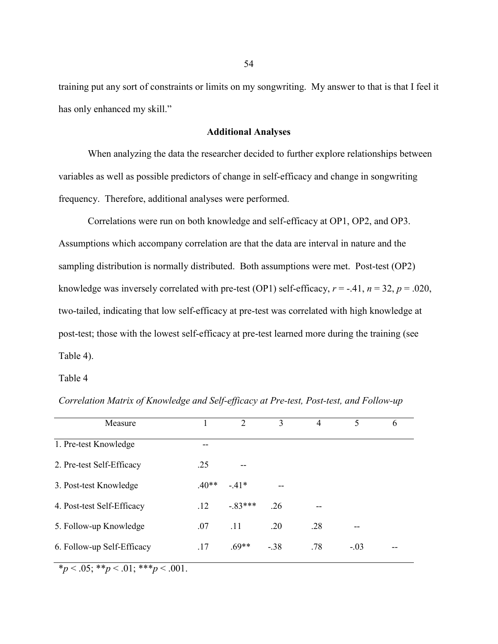training put any sort of constraints or limits on my songwriting. My answer to that is that I feel it has only enhanced my skill."

### **Additional Analyses**

When analyzing the data the researcher decided to further explore relationships between variables as well as possible predictors of change in self-efficacy and change in songwriting frequency. Therefore, additional analyses were performed.

Correlations were run on both knowledge and self-efficacy at OP1, OP2, and OP3. Assumptions which accompany correlation are that the data are interval in nature and the sampling distribution is normally distributed. Both assumptions were met. Post-test (OP2) knowledge was inversely correlated with pre-test (OP1) self-efficacy,  $r = -0.41$ ,  $n = 32$ ,  $p = 0.020$ , two-tailed, indicating that low self-efficacy at pre-test was correlated with high knowledge at post-test; those with the lowest self-efficacy at pre-test learned more during the training (see Table 4).

Table 4

| Measure                    |         | $\mathcal{D}$ | 3      | $\overline{4}$ |        | 6 |
|----------------------------|---------|---------------|--------|----------------|--------|---|
| 1. Pre-test Knowledge      | --      |               |        |                |        |   |
| 2. Pre-test Self-Efficacy  | .25     | --            |        |                |        |   |
| 3. Post-test Knowledge     | $.40**$ | $-41*$        |        |                |        |   |
| 4. Post-test Self-Efficacy | $.12\,$ | $-83***$      | .26    |                |        |   |
| 5. Follow-up Knowledge     | .07     | .11           | .20    | .28            |        |   |
| 6. Follow-up Self-Efficacy | .17     | $.69**$       | $-.38$ | .78            | $-.03$ |   |

*Correlation Matrix of Knowledge and Self-efficacy at Pre-test, Post-test, and Follow-up*

 $*_{p}$  < .05; \*\**p* < .01; \*\*\**p* < .001.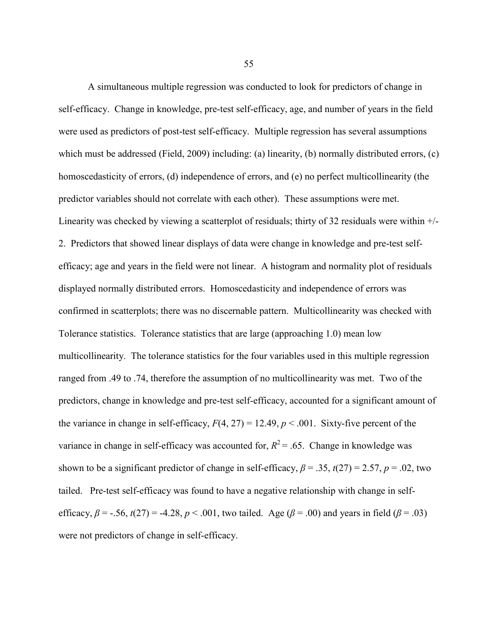A simultaneous multiple regression was conducted to look for predictors of change in self-efficacy. Change in knowledge, pre-test self-efficacy, age, and number of years in the field were used as predictors of post-test self-efficacy. Multiple regression has several assumptions which must be addressed (Field, 2009) including: (a) linearity, (b) normally distributed errors, (c) homoscedasticity of errors, (d) independence of errors, and (e) no perfect multicollinearity (the predictor variables should not correlate with each other). These assumptions were met. Linearity was checked by viewing a scatterplot of residuals; thirty of 32 residuals were within  $+/-$ 2. Predictors that showed linear displays of data were change in knowledge and pre-test selfefficacy; age and years in the field were not linear. A histogram and normality plot of residuals displayed normally distributed errors. Homoscedasticity and independence of errors was confirmed in scatterplots; there was no discernable pattern. Multicollinearity was checked with Tolerance statistics. Tolerance statistics that are large (approaching 1.0) mean low multicollinearity. The tolerance statistics for the four variables used in this multiple regression ranged from .49 to .74, therefore the assumption of no multicollinearity was met. Two of the predictors, change in knowledge and pre-test self-efficacy, accounted for a significant amount of the variance in change in self-efficacy,  $F(4, 27) = 12.49$ ,  $p < .001$ . Sixty-five percent of the variance in change in self-efficacy was accounted for,  $R^2 = 0.65$ . Change in knowledge was shown to be a significant predictor of change in self-efficacy,  $\beta$  = .35,  $t(27)$  = 2.57,  $p$  = .02, two tailed. Pre-test self-efficacy was found to have a negative relationship with change in selfefficacy,  $\beta$  = -.56,  $t(27)$  = -4.28,  $p < .001$ , two tailed. Age ( $\beta$  = .00) and years in field ( $\beta$  = .03) were not predictors of change in self-efficacy.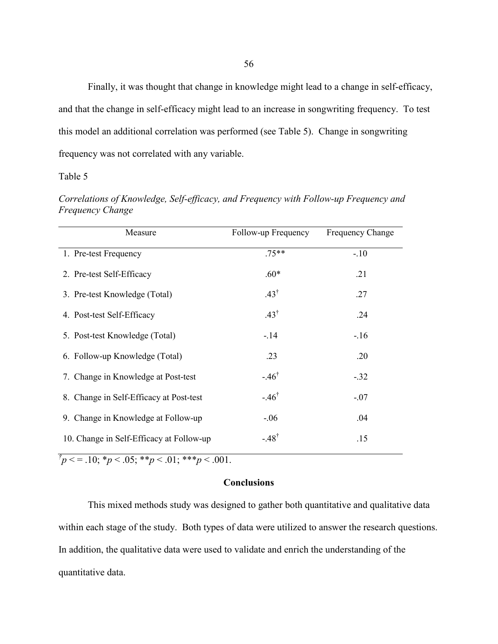Finally, it was thought that change in knowledge might lead to a change in self-efficacy, and that the change in self-efficacy might lead to an increase in songwriting frequency. To test this model an additional correlation was performed (see Table 5). Change in songwriting frequency was not correlated with any variable.

### Table 5

| Correlations of Knowledge, Self-efficacy, and Frequency with Follow-up Frequency and |  |  |
|--------------------------------------------------------------------------------------|--|--|
| <i>Frequency Change</i>                                                              |  |  |

| Measure                                  | Follow-up Frequency | <b>Frequency Change</b> |
|------------------------------------------|---------------------|-------------------------|
| 1. Pre-test Frequency                    | $.75**$             | $-10$                   |
| 2. Pre-test Self-Efficacy                | $.60*$              | .21                     |
| 3. Pre-test Knowledge (Total)            | $.43^{\dagger}$     | .27                     |
| 4. Post-test Self-Efficacy               | $.43^{\dagger}$     | .24                     |
| 5. Post-test Knowledge (Total)           | $-14$               | $-.16$                  |
| 6. Follow-up Knowledge (Total)           | .23                 | .20                     |
| 7. Change in Knowledge at Post-test      | $-.46^{\dagger}$    | $-.32$                  |
| 8. Change in Self-Efficacy at Post-test  | $-.46^{\dagger}$    | $-.07$                  |
| 9. Change in Knowledge at Follow-up      | $-.06$              | .04                     |
| 10. Change in Self-Efficacy at Follow-up | $-.48^{\dagger}$    | .15                     |

 $\bar{p}$  < = .10; \**p* < .05; \*\**p* < .01; \*\*\**p* < .001.

## **Conclusions**

This mixed methods study was designed to gather both quantitative and qualitative data within each stage of the study. Both types of data were utilized to answer the research questions. In addition, the qualitative data were used to validate and enrich the understanding of the quantitative data.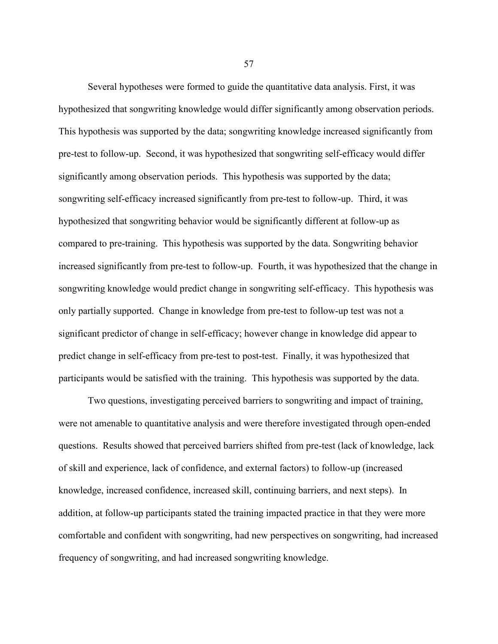Several hypotheses were formed to guide the quantitative data analysis. First, it was hypothesized that songwriting knowledge would differ significantly among observation periods. This hypothesis was supported by the data; songwriting knowledge increased significantly from pre-test to follow-up. Second, it was hypothesized that songwriting self-efficacy would differ significantly among observation periods. This hypothesis was supported by the data; songwriting self-efficacy increased significantly from pre-test to follow-up. Third, it was hypothesized that songwriting behavior would be significantly different at follow-up as compared to pre-training. This hypothesis was supported by the data. Songwriting behavior increased significantly from pre-test to follow-up. Fourth, it was hypothesized that the change in songwriting knowledge would predict change in songwriting self-efficacy. This hypothesis was only partially supported. Change in knowledge from pre-test to follow-up test was not a significant predictor of change in self-efficacy; however change in knowledge did appear to predict change in self-efficacy from pre-test to post-test. Finally, it was hypothesized that participants would be satisfied with the training. This hypothesis was supported by the data.

Two questions, investigating perceived barriers to songwriting and impact of training, were not amenable to quantitative analysis and were therefore investigated through open-ended questions. Results showed that perceived barriers shifted from pre-test (lack of knowledge, lack of skill and experience, lack of confidence, and external factors) to follow-up (increased knowledge, increased confidence, increased skill, continuing barriers, and next steps). In addition, at follow-up participants stated the training impacted practice in that they were more comfortable and confident with songwriting, had new perspectives on songwriting, had increased frequency of songwriting, and had increased songwriting knowledge.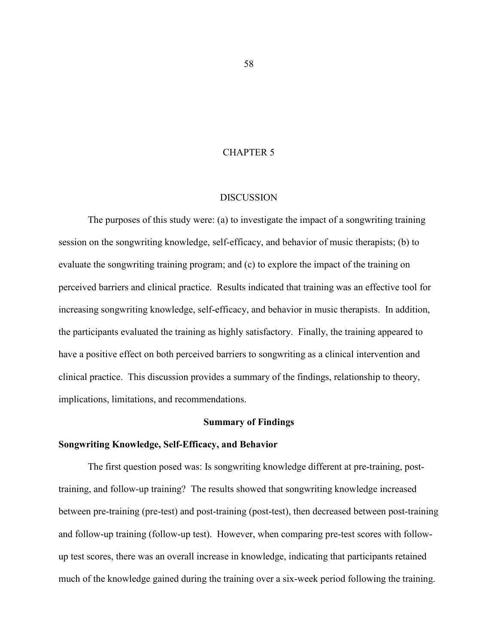## CHAPTER 5

#### DISCUSSION

The purposes of this study were: (a) to investigate the impact of a songwriting training session on the songwriting knowledge, self-efficacy, and behavior of music therapists; (b) to evaluate the songwriting training program; and (c) to explore the impact of the training on perceived barriers and clinical practice. Results indicated that training was an effective tool for increasing songwriting knowledge, self-efficacy, and behavior in music therapists. In addition, the participants evaluated the training as highly satisfactory. Finally, the training appeared to have a positive effect on both perceived barriers to songwriting as a clinical intervention and clinical practice. This discussion provides a summary of the findings, relationship to theory, implications, limitations, and recommendations.

### **Summary of Findings**

### **Songwriting Knowledge, Self-Efficacy, and Behavior**

The first question posed was: Is songwriting knowledge different at pre-training, posttraining, and follow-up training? The results showed that songwriting knowledge increased between pre-training (pre-test) and post-training (post-test), then decreased between post-training and follow-up training (follow-up test). However, when comparing pre-test scores with followup test scores, there was an overall increase in knowledge, indicating that participants retained much of the knowledge gained during the training over a six-week period following the training.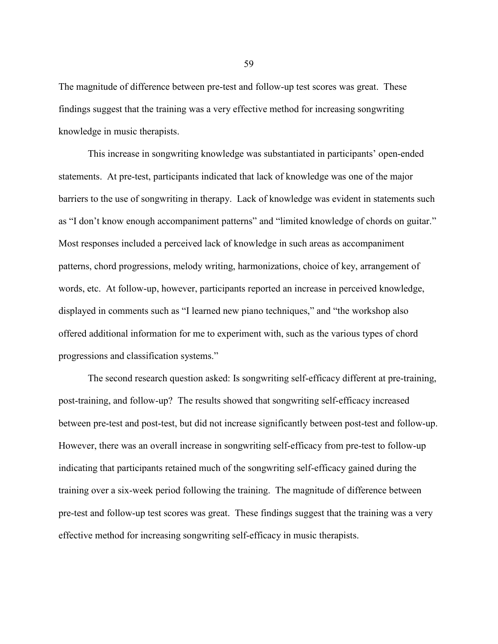The magnitude of difference between pre-test and follow-up test scores was great. These findings suggest that the training was a very effective method for increasing songwriting knowledge in music therapists.

This increase in songwriting knowledge was substantiated in participants' open-ended statements. At pre-test, participants indicated that lack of knowledge was one of the major barriers to the use of songwriting in therapy. Lack of knowledge was evident in statements such as "I don't know enough accompaniment patterns" and "limited knowledge of chords on guitar." Most responses included a perceived lack of knowledge in such areas as accompaniment patterns, chord progressions, melody writing, harmonizations, choice of key, arrangement of words, etc. At follow-up, however, participants reported an increase in perceived knowledge, displayed in comments such as "I learned new piano techniques," and "the workshop also offered additional information for me to experiment with, such as the various types of chord progressions and classification systems."

The second research question asked: Is songwriting self-efficacy different at pre-training, post-training, and follow-up? The results showed that songwriting self-efficacy increased between pre-test and post-test, but did not increase significantly between post-test and follow-up. However, there was an overall increase in songwriting self-efficacy from pre-test to follow-up indicating that participants retained much of the songwriting self-efficacy gained during the training over a six-week period following the training. The magnitude of difference between pre-test and follow-up test scores was great. These findings suggest that the training was a very effective method for increasing songwriting self-efficacy in music therapists.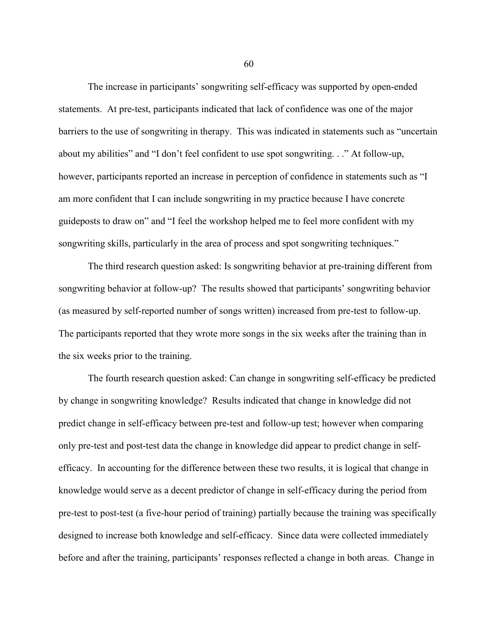The increase in participants' songwriting self-efficacy was supported by open-ended statements. At pre-test, participants indicated that lack of confidence was one of the major barriers to the use of songwriting in therapy. This was indicated in statements such as "uncertain about my abilities" and "I don't feel confident to use spot songwriting. . ." At follow-up, however, participants reported an increase in perception of confidence in statements such as "I am more confident that I can include songwriting in my practice because I have concrete guideposts to draw on" and "I feel the workshop helped me to feel more confident with my songwriting skills, particularly in the area of process and spot songwriting techniques."

The third research question asked: Is songwriting behavior at pre-training different from songwriting behavior at follow-up? The results showed that participants' songwriting behavior (as measured by self-reported number of songs written) increased from pre-test to follow-up. The participants reported that they wrote more songs in the six weeks after the training than in the six weeks prior to the training.

The fourth research question asked: Can change in songwriting self-efficacy be predicted by change in songwriting knowledge? Results indicated that change in knowledge did not predict change in self-efficacy between pre-test and follow-up test; however when comparing only pre-test and post-test data the change in knowledge did appear to predict change in selfefficacy. In accounting for the difference between these two results, it is logical that change in knowledge would serve as a decent predictor of change in self-efficacy during the period from pre-test to post-test (a five-hour period of training) partially because the training was specifically designed to increase both knowledge and self-efficacy. Since data were collected immediately before and after the training, participants' responses reflected a change in both areas. Change in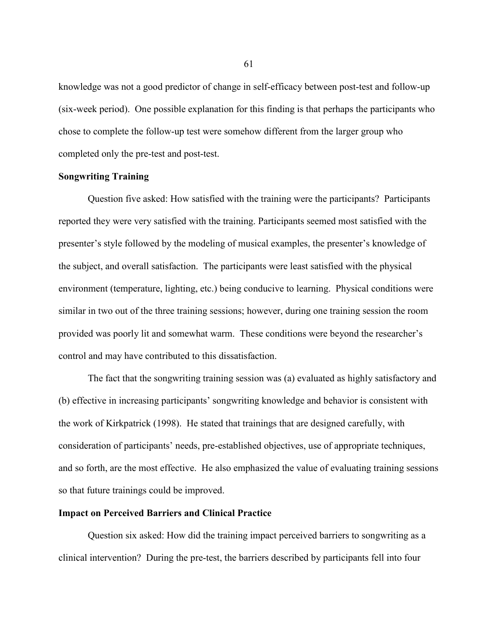knowledge was not a good predictor of change in self-efficacy between post-test and follow-up (six-week period). One possible explanation for this finding is that perhaps the participants who chose to complete the follow-up test were somehow different from the larger group who completed only the pre-test and post-test.

## **Songwriting Training**

Question five asked: How satisfied with the training were the participants? Participants reported they were very satisfied with the training. Participants seemed most satisfied with the presenter's style followed by the modeling of musical examples, the presenter's knowledge of the subject, and overall satisfaction. The participants were least satisfied with the physical environment (temperature, lighting, etc.) being conducive to learning. Physical conditions were similar in two out of the three training sessions; however, during one training session the room provided was poorly lit and somewhat warm. These conditions were beyond the researcher's control and may have contributed to this dissatisfaction.

The fact that the songwriting training session was (a) evaluated as highly satisfactory and (b) effective in increasing participants' songwriting knowledge and behavior is consistent with the work of Kirkpatrick (1998). He stated that trainings that are designed carefully, with consideration of participants' needs, pre-established objectives, use of appropriate techniques, and so forth, are the most effective. He also emphasized the value of evaluating training sessions so that future trainings could be improved.

## **Impact on Perceived Barriers and Clinical Practice**

Question six asked: How did the training impact perceived barriers to songwriting as a clinical intervention? During the pre-test, the barriers described by participants fell into four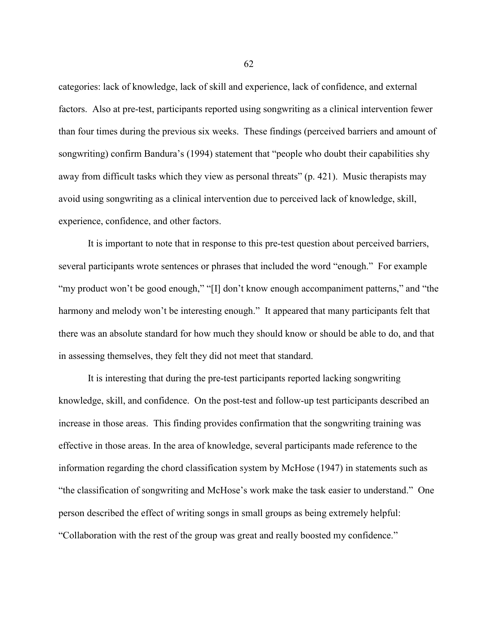categories: lack of knowledge, lack of skill and experience, lack of confidence, and external factors. Also at pre-test, participants reported using songwriting as a clinical intervention fewer than four times during the previous six weeks. These findings (perceived barriers and amount of songwriting) confirm Bandura's (1994) statement that "people who doubt their capabilities shy away from difficult tasks which they view as personal threats" (p. 421). Music therapists may avoid using songwriting as a clinical intervention due to perceived lack of knowledge, skill, experience, confidence, and other factors.

It is important to note that in response to this pre-test question about perceived barriers, several participants wrote sentences or phrases that included the word "enough." For example "my product won't be good enough," "[I] don't know enough accompaniment patterns," and "the harmony and melody won't be interesting enough." It appeared that many participants felt that there was an absolute standard for how much they should know or should be able to do, and that in assessing themselves, they felt they did not meet that standard.

It is interesting that during the pre-test participants reported lacking songwriting knowledge, skill, and confidence. On the post-test and follow-up test participants described an increase in those areas. This finding provides confirmation that the songwriting training was effective in those areas. In the area of knowledge, several participants made reference to the information regarding the chord classification system by McHose (1947) in statements such as "the classification of songwriting and McHose's work make the task easier to understand." One person described the effect of writing songs in small groups as being extremely helpful: "Collaboration with the rest of the group was great and really boosted my confidence."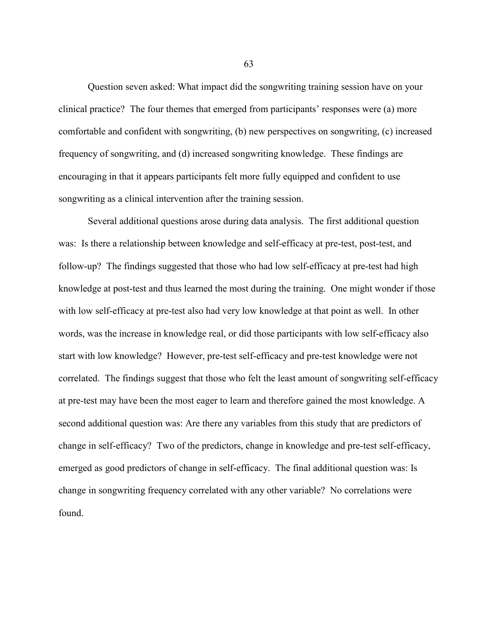Question seven asked: What impact did the songwriting training session have on your clinical practice? The four themes that emerged from participants' responses were (a) more comfortable and confident with songwriting, (b) new perspectives on songwriting, (c) increased frequency of songwriting, and (d) increased songwriting knowledge. These findings are encouraging in that it appears participants felt more fully equipped and confident to use songwriting as a clinical intervention after the training session.

Several additional questions arose during data analysis. The first additional question was: Is there a relationship between knowledge and self-efficacy at pre-test, post-test, and follow-up? The findings suggested that those who had low self-efficacy at pre-test had high knowledge at post-test and thus learned the most during the training. One might wonder if those with low self-efficacy at pre-test also had very low knowledge at that point as well. In other words, was the increase in knowledge real, or did those participants with low self-efficacy also start with low knowledge? However, pre-test self-efficacy and pre-test knowledge were not correlated. The findings suggest that those who felt the least amount of songwriting self-efficacy at pre-test may have been the most eager to learn and therefore gained the most knowledge. A second additional question was: Are there any variables from this study that are predictors of change in self-efficacy? Two of the predictors, change in knowledge and pre-test self-efficacy, emerged as good predictors of change in self-efficacy. The final additional question was: Is change in songwriting frequency correlated with any other variable? No correlations were found.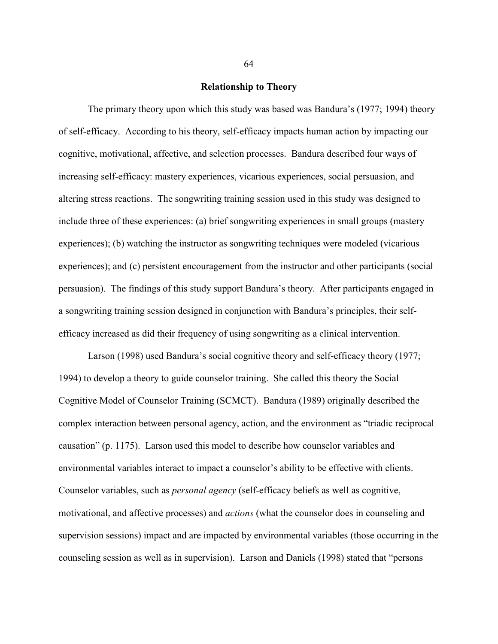#### **Relationship to Theory**

The primary theory upon which this study was based was Bandura's (1977; 1994) theory of self-efficacy. According to his theory, self-efficacy impacts human action by impacting our cognitive, motivational, affective, and selection processes. Bandura described four ways of increasing self-efficacy: mastery experiences, vicarious experiences, social persuasion, and altering stress reactions. The songwriting training session used in this study was designed to include three of these experiences: (a) brief songwriting experiences in small groups (mastery experiences); (b) watching the instructor as songwriting techniques were modeled (vicarious experiences); and (c) persistent encouragement from the instructor and other participants (social persuasion). The findings of this study support Bandura's theory. After participants engaged in a songwriting training session designed in conjunction with Bandura's principles, their selfefficacy increased as did their frequency of using songwriting as a clinical intervention.

Larson (1998) used Bandura's social cognitive theory and self-efficacy theory (1977; 1994) to develop a theory to guide counselor training. She called this theory the Social Cognitive Model of Counselor Training (SCMCT). Bandura (1989) originally described the complex interaction between personal agency, action, and the environment as "triadic reciprocal causation" (p. 1175). Larson used this model to describe how counselor variables and environmental variables interact to impact a counselor's ability to be effective with clients. Counselor variables, such as *personal agency* (self-efficacy beliefs as well as cognitive, motivational, and affective processes) and *actions* (what the counselor does in counseling and supervision sessions) impact and are impacted by environmental variables (those occurring in the counseling session as well as in supervision). Larson and Daniels (1998) stated that "persons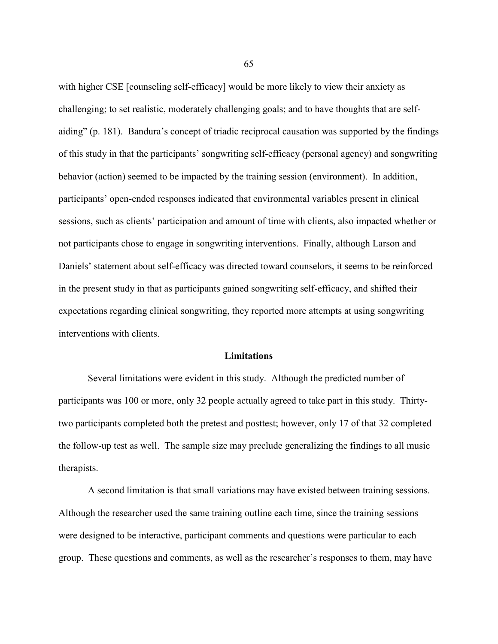with higher CSE [counseling self-efficacy] would be more likely to view their anxiety as challenging; to set realistic, moderately challenging goals; and to have thoughts that are selfaiding" (p. 181). Bandura's concept of triadic reciprocal causation was supported by the findings of this study in that the participants' songwriting self-efficacy (personal agency) and songwriting behavior (action) seemed to be impacted by the training session (environment). In addition, participants' open-ended responses indicated that environmental variables present in clinical sessions, such as clients' participation and amount of time with clients, also impacted whether or not participants chose to engage in songwriting interventions. Finally, although Larson and Daniels' statement about self-efficacy was directed toward counselors, it seems to be reinforced in the present study in that as participants gained songwriting self-efficacy, and shifted their expectations regarding clinical songwriting, they reported more attempts at using songwriting interventions with clients.

#### **Limitations**

Several limitations were evident in this study. Although the predicted number of participants was 100 or more, only 32 people actually agreed to take part in this study. Thirtytwo participants completed both the pretest and posttest; however, only 17 of that 32 completed the follow-up test as well. The sample size may preclude generalizing the findings to all music therapists.

A second limitation is that small variations may have existed between training sessions. Although the researcher used the same training outline each time, since the training sessions were designed to be interactive, participant comments and questions were particular to each group. These questions and comments, as well as the researcher's responses to them, may have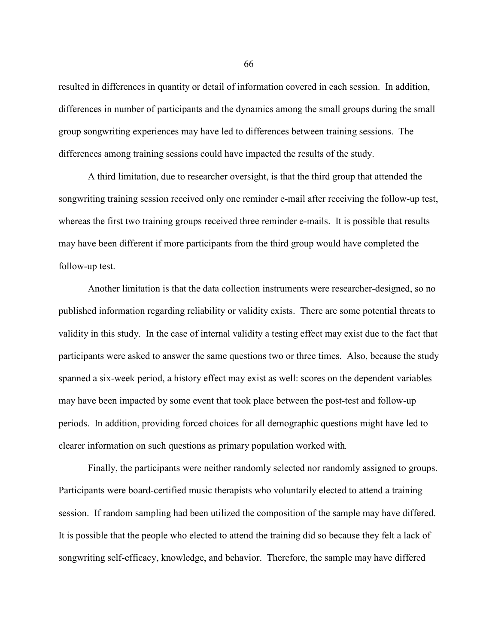resulted in differences in quantity or detail of information covered in each session. In addition, differences in number of participants and the dynamics among the small groups during the small group songwriting experiences may have led to differences between training sessions. The differences among training sessions could have impacted the results of the study.

A third limitation, due to researcher oversight, is that the third group that attended the songwriting training session received only one reminder e-mail after receiving the follow-up test, whereas the first two training groups received three reminder e-mails. It is possible that results may have been different if more participants from the third group would have completed the follow-up test.

Another limitation is that the data collection instruments were researcher-designed, so no published information regarding reliability or validity exists. There are some potential threats to validity in this study. In the case of internal validity a testing effect may exist due to the fact that participants were asked to answer the same questions two or three times. Also, because the study spanned a six-week period, a history effect may exist as well: scores on the dependent variables may have been impacted by some event that took place between the post-test and follow-up periods. In addition, providing forced choices for all demographic questions might have led to clearer information on such questions as primary population worked with*.*

Finally, the participants were neither randomly selected nor randomly assigned to groups. Participants were board-certified music therapists who voluntarily elected to attend a training session. If random sampling had been utilized the composition of the sample may have differed. It is possible that the people who elected to attend the training did so because they felt a lack of songwriting self-efficacy, knowledge, and behavior. Therefore, the sample may have differed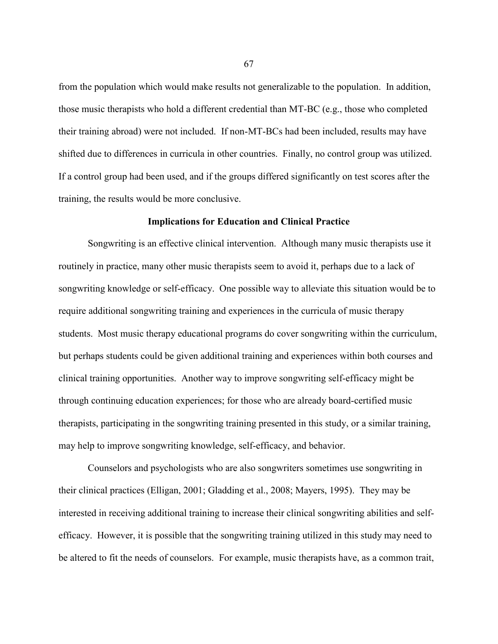from the population which would make results not generalizable to the population. In addition, those music therapists who hold a different credential than MT-BC (e.g., those who completed their training abroad) were not included. If non-MT-BCs had been included, results may have shifted due to differences in curricula in other countries. Finally, no control group was utilized. If a control group had been used, and if the groups differed significantly on test scores after the training, the results would be more conclusive.

### **Implications for Education and Clinical Practice**

Songwriting is an effective clinical intervention. Although many music therapists use it routinely in practice, many other music therapists seem to avoid it, perhaps due to a lack of songwriting knowledge or self-efficacy. One possible way to alleviate this situation would be to require additional songwriting training and experiences in the curricula of music therapy students. Most music therapy educational programs do cover songwriting within the curriculum, but perhaps students could be given additional training and experiences within both courses and clinical training opportunities. Another way to improve songwriting self-efficacy might be through continuing education experiences; for those who are already board-certified music therapists, participating in the songwriting training presented in this study, or a similar training, may help to improve songwriting knowledge, self-efficacy, and behavior.

Counselors and psychologists who are also songwriters sometimes use songwriting in their clinical practices (Elligan, 2001; Gladding et al., 2008; Mayers, 1995). They may be interested in receiving additional training to increase their clinical songwriting abilities and selfefficacy. However, it is possible that the songwriting training utilized in this study may need to be altered to fit the needs of counselors. For example, music therapists have, as a common trait,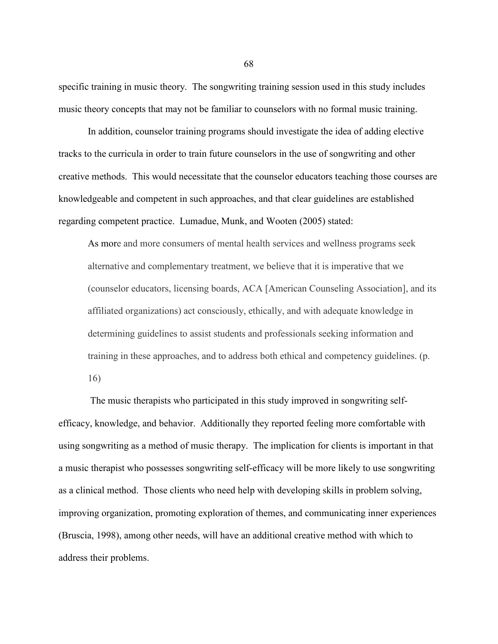specific training in music theory. The songwriting training session used in this study includes music theory concepts that may not be familiar to counselors with no formal music training.

In addition, counselor training programs should investigate the idea of adding elective tracks to the curricula in order to train future counselors in the use of songwriting and other creative methods. This would necessitate that the counselor educators teaching those courses are knowledgeable and competent in such approaches, and that clear guidelines are established regarding competent practice. Lumadue, Munk, and Wooten (2005) stated:

As more and more consumers of mental health services and wellness programs seek alternative and complementary treatment, we believe that it is imperative that we (counselor educators, licensing boards, ACA [American Counseling Association], and its affiliated organizations) act consciously, ethically, and with adequate knowledge in determining guidelines to assist students and professionals seeking information and training in these approaches, and to address both ethical and competency guidelines. (p. 16)

The music therapists who participated in this study improved in songwriting selfefficacy, knowledge, and behavior. Additionally they reported feeling more comfortable with using songwriting as a method of music therapy. The implication for clients is important in that a music therapist who possesses songwriting self-efficacy will be more likely to use songwriting as a clinical method. Those clients who need help with developing skills in problem solving, improving organization, promoting exploration of themes, and communicating inner experiences (Bruscia, 1998), among other needs, will have an additional creative method with which to address their problems.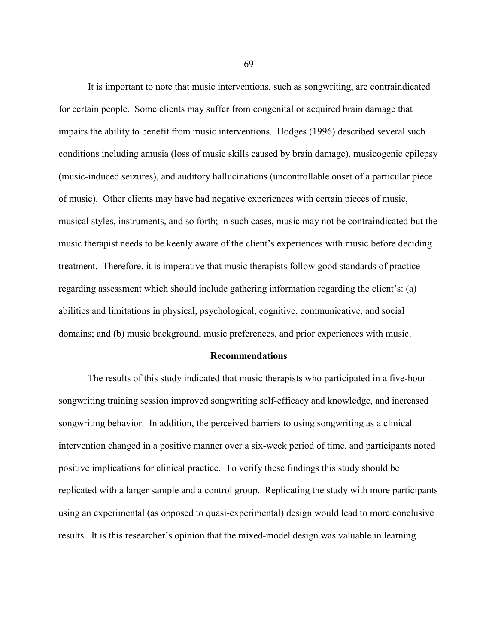It is important to note that music interventions, such as songwriting, are contraindicated for certain people. Some clients may suffer from congenital or acquired brain damage that impairs the ability to benefit from music interventions. Hodges (1996) described several such conditions including amusia (loss of music skills caused by brain damage), musicogenic epilepsy (music-induced seizures), and auditory hallucinations (uncontrollable onset of a particular piece of music). Other clients may have had negative experiences with certain pieces of music, musical styles, instruments, and so forth; in such cases, music may not be contraindicated but the music therapist needs to be keenly aware of the client's experiences with music before deciding treatment. Therefore, it is imperative that music therapists follow good standards of practice regarding assessment which should include gathering information regarding the client's: (a) abilities and limitations in physical, psychological, cognitive, communicative, and social domains; and (b) music background, music preferences, and prior experiences with music.

#### **Recommendations**

The results of this study indicated that music therapists who participated in a five-hour songwriting training session improved songwriting self-efficacy and knowledge, and increased songwriting behavior. In addition, the perceived barriers to using songwriting as a clinical intervention changed in a positive manner over a six-week period of time, and participants noted positive implications for clinical practice. To verify these findings this study should be replicated with a larger sample and a control group. Replicating the study with more participants using an experimental (as opposed to quasi-experimental) design would lead to more conclusive results. It is this researcher's opinion that the mixed-model design was valuable in learning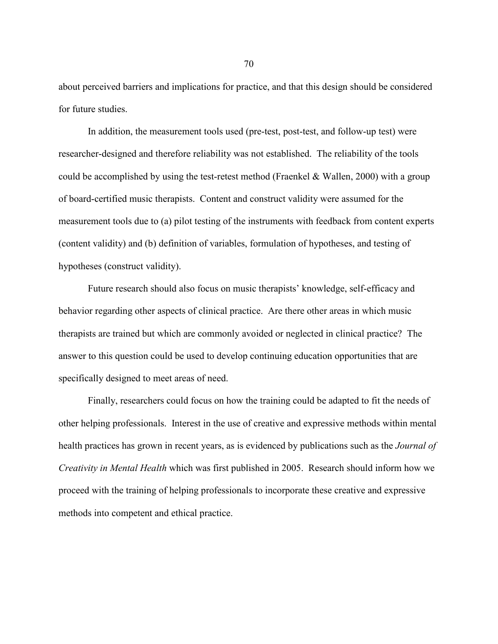about perceived barriers and implications for practice, and that this design should be considered for future studies.

In addition, the measurement tools used (pre-test, post-test, and follow-up test) were researcher-designed and therefore reliability was not established. The reliability of the tools could be accomplished by using the test-retest method (Fraenkel & Wallen, 2000) with a group of board-certified music therapists. Content and construct validity were assumed for the measurement tools due to (a) pilot testing of the instruments with feedback from content experts (content validity) and (b) definition of variables, formulation of hypotheses, and testing of hypotheses (construct validity).

Future research should also focus on music therapists' knowledge, self-efficacy and behavior regarding other aspects of clinical practice. Are there other areas in which music therapists are trained but which are commonly avoided or neglected in clinical practice? The answer to this question could be used to develop continuing education opportunities that are specifically designed to meet areas of need.

Finally, researchers could focus on how the training could be adapted to fit the needs of other helping professionals. Interest in the use of creative and expressive methods within mental health practices has grown in recent years, as is evidenced by publications such as the *Journal of Creativity in Mental Health* which was first published in 2005. Research should inform how we proceed with the training of helping professionals to incorporate these creative and expressive methods into competent and ethical practice.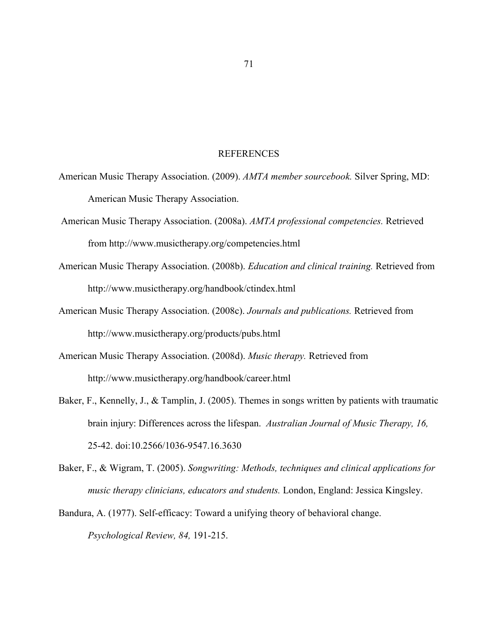## REFERENCES

- American Music Therapy Association. (2009). *AMTA member sourcebook.* Silver Spring, MD: American Music Therapy Association.
- American Music Therapy Association. (2008a). *AMTA professional competencies.* Retrieved from http://www.musictherapy.org/competencies.html
- American Music Therapy Association. (2008b). *Education and clinical training.* Retrieved from http://www.musictherapy.org/handbook/ctindex.html
- American Music Therapy Association. (2008c). *Journals and publications.* Retrieved from http://www.musictherapy.org/products/pubs.html
- American Music Therapy Association. (2008d). *Music therapy.* Retrieved from http://www.musictherapy.org/handbook/career.html
- Baker, F., Kennelly, J., & Tamplin, J. (2005). Themes in songs written by patients with traumatic brain injury: Differences across the lifespan. *Australian Journal of Music Therapy, 16,*  25-42. doi:10.2566/1036-9547.16.3630
- Baker, F., & Wigram, T. (2005). *Songwriting: Methods, techniques and clinical applications for music therapy clinicians, educators and students.* London, England: Jessica Kingsley.
- Bandura, A. (1977). Self-efficacy: Toward a unifying theory of behavioral change. *Psychological Review, 84,* 191-215.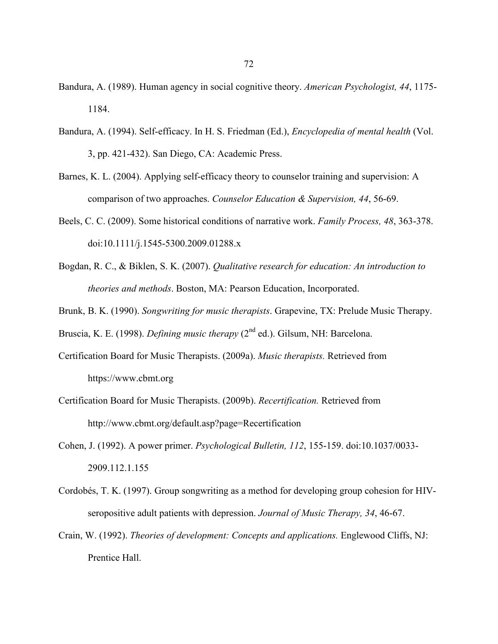- Bandura, A. (1989). Human agency in social cognitive theory. *American Psychologist, 44*, 1175- 1184.
- Bandura, A. (1994). Self-efficacy. In H. S. Friedman (Ed.), *Encyclopedia of mental health* (Vol. 3, pp. 421-432). San Diego, CA: Academic Press.
- Barnes, K. L. (2004). Applying self-efficacy theory to counselor training and supervision: A comparison of two approaches. *Counselor Education & Supervision, 44*, 56-69.
- Beels, C. C. (2009). Some historical conditions of narrative work. *Family Process, 48*, 363-378. doi:10.1111/j.1545-5300.2009.01288.x
- Bogdan, R. C., & Biklen, S. K. (2007). *Qualitative research for education: An introduction to theories and methods*. Boston, MA: Pearson Education, Incorporated.
- Brunk, B. K. (1990). *Songwriting for music therapists*. Grapevine, TX: Prelude Music Therapy.

Bruscia, K. E. (1998). *Defining music therapy* (2<sup>nd</sup> ed.). Gilsum, NH: Barcelona.

- Certification Board for Music Therapists. (2009a). *Music therapists.* Retrieved from https://www.cbmt.org
- Certification Board for Music Therapists. (2009b). *Recertification.* Retrieved from http://www.cbmt.org/default.asp?page=Recertification
- Cohen, J. (1992). A power primer. *Psychological Bulletin, 112*, 155-159. doi:10.1037/0033- 2909.112.1.155
- Cordobés, T. K. (1997). Group songwriting as a method for developing group cohesion for HIVseropositive adult patients with depression. *Journal of Music Therapy, 34*, 46-67.
- Crain, W. (1992). *Theories of development: Concepts and applications.* Englewood Cliffs, NJ: Prentice Hall.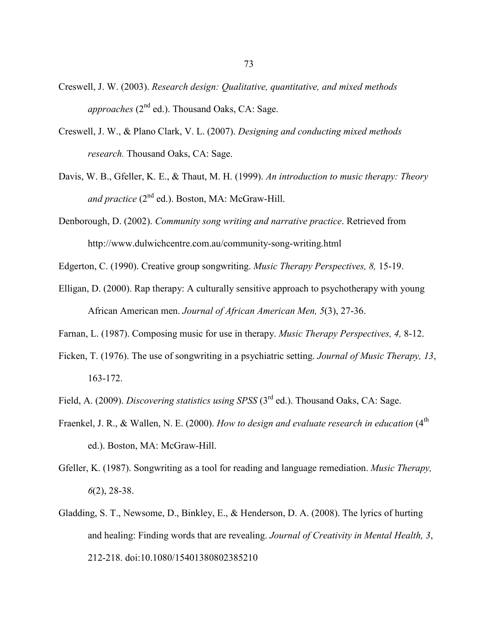- Creswell, J. W. (2003). *Research design: Qualitative, quantitative, and mixed methods approaches* (2<sup>nd</sup> ed.). Thousand Oaks, CA: Sage.
- Creswell, J. W., & Plano Clark, V. L. (2007). *Designing and conducting mixed methods research.* Thousand Oaks, CA: Sage.
- Davis, W. B., Gfeller, K. E., & Thaut, M. H. (1999). *An introduction to music therapy: Theory*  and practice (2<sup>nd</sup> ed.). Boston, MA: McGraw-Hill.
- Denborough, D. (2002). *Community song writing and narrative practice*. Retrieved from http://www.dulwichcentre.com.au/community-song-writing.html
- Edgerton, C. (1990). Creative group songwriting. *Music Therapy Perspectives, 8,* 15-19.
- Elligan, D. (2000). Rap therapy: A culturally sensitive approach to psychotherapy with young African American men. *Journal of African American Men, 5*(3), 27-36.
- Farnan, L. (1987). Composing music for use in therapy. *Music Therapy Perspectives, 4,* 8-12.
- Ficken, T. (1976). The use of songwriting in a psychiatric setting. *Journal of Music Therapy, 13*, 163-172.
- Field, A. (2009). *Discovering statistics using SPSS* (3rd ed.). Thousand Oaks, CA: Sage.
- Fraenkel, J. R., & Wallen, N. E. (2000). *How to design and evaluate research in education* (4<sup>th</sup>) ed.). Boston, MA: McGraw-Hill.
- Gfeller, K. (1987). Songwriting as a tool for reading and language remediation. *Music Therapy, 6*(2), 28-38.
- Gladding, S. T., Newsome, D., Binkley, E., & Henderson, D. A. (2008). The lyrics of hurting and healing: Finding words that are revealing. *Journal of Creativity in Mental Health, 3*, 212-218. doi:10.1080/15401380802385210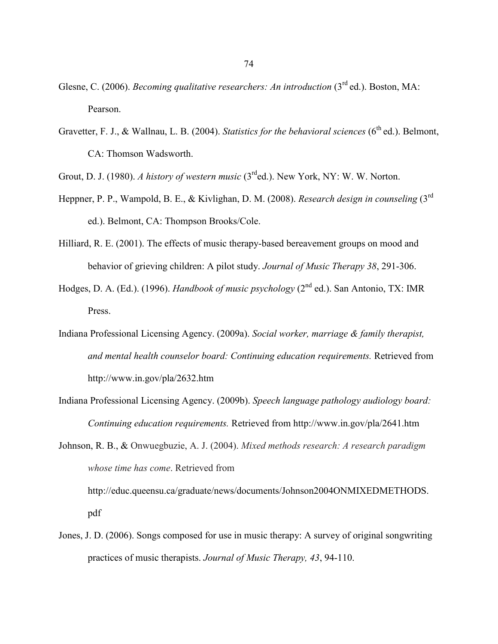- Glesne, C. (2006). *Becoming qualitative researchers: An introduction* (3<sup>rd</sup> ed.). Boston, MA: Pearson.
- Gravetter, F. J., & Wallnau, L. B. (2004). *Statistics for the behavioral sciences* (6<sup>th</sup> ed.). Belmont, CA: Thomson Wadsworth.

Grout, D. J. (1980). *A history of western music* (3rded.). New York, NY: W. W. Norton.

- Heppner, P. P., Wampold, B. E., & Kivlighan, D. M. (2008). *Research design in counseling* (3rd ed.). Belmont, CA: Thompson Brooks/Cole.
- Hilliard, R. E. (2001). The effects of music therapy-based bereavement groups on mood and behavior of grieving children: A pilot study. *Journal of Music Therapy 38*, 291-306.
- Hodges, D. A. (Ed.). (1996). *Handbook of music psychology* (2nd ed.). San Antonio, TX: IMR Press.
- Indiana Professional Licensing Agency. (2009a). *Social worker, marriage & family therapist, and mental health counselor board: Continuing education requirements.* Retrieved from http://www.in.gov/pla/2632.htm
- Indiana Professional Licensing Agency. (2009b). *Speech language pathology audiology board: Continuing education requirements.* Retrieved from http://www.in.gov/pla/2641.htm

Johnson, R. B., & Onwuegbuzie, A. J. (2004). *Mixed methods research: A research paradigm whose time has come*. Retrieved from http://educ.queensu.ca/graduate/news/documents/Johnson2004ONMIXEDMETHODS. pdf

Jones, J. D. (2006). Songs composed for use in music therapy: A survey of original songwriting practices of music therapists. *Journal of Music Therapy, 43*, 94-110.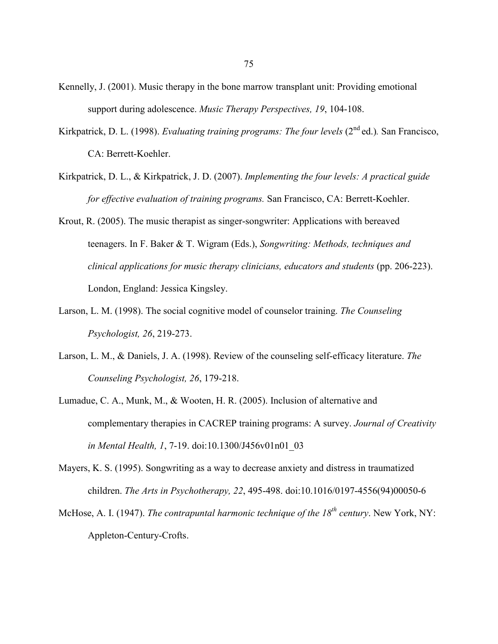- Kennelly, J. (2001). Music therapy in the bone marrow transplant unit: Providing emotional support during adolescence. *Music Therapy Perspectives, 19*, 104-108.
- Kirkpatrick, D. L. (1998). *Evaluating training programs: The four levels* (2<sup>nd</sup> ed.). San Francisco, CA: Berrett-Koehler.
- Kirkpatrick, D. L., & Kirkpatrick, J. D. (2007). *Implementing the four levels: A practical guide for effective evaluation of training programs.* San Francisco, CA: Berrett-Koehler.
- Krout, R. (2005). The music therapist as singer-songwriter: Applications with bereaved teenagers. In F. Baker & T. Wigram (Eds.), *Songwriting: Methods, techniques and clinical applications for music therapy clinicians, educators and students* (pp. 206-223). London, England: Jessica Kingsley.
- Larson, L. M. (1998). The social cognitive model of counselor training. *The Counseling Psychologist, 26*, 219-273.
- Larson, L. M., & Daniels, J. A. (1998). Review of the counseling self-efficacy literature. *The Counseling Psychologist, 26*, 179-218.
- Lumadue, C. A., Munk, M., & Wooten, H. R. (2005). Inclusion of alternative and complementary therapies in CACREP training programs: A survey. *Journal of Creativity in Mental Health, 1*, 7-19. doi:10.1300/J456v01n01\_03
- Mayers, K. S. (1995). Songwriting as a way to decrease anxiety and distress in traumatized children. *The Arts in Psychotherapy, 22*, 495-498. doi:10.1016/0197-4556(94)00050-6
- McHose, A. I. (1947). *The contrapuntal harmonic technique of the 18th century*. New York, NY: Appleton-Century-Crofts.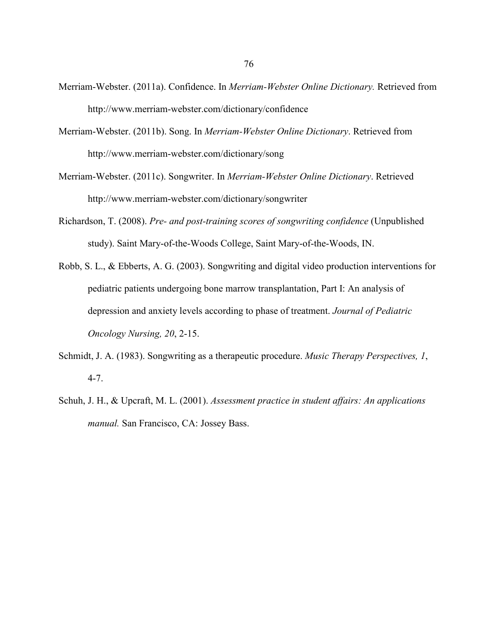- Merriam-Webster. (2011a). Confidence. In *Merriam-Webster Online Dictionary.* Retrieved from http://www.merriam-webster.com/dictionary/confidence
- Merriam-Webster. (2011b). Song. In *Merriam-Webster Online Dictionary*. Retrieved from http://www.merriam-webster.com/dictionary/song
- Merriam-Webster. (2011c). Songwriter. In *Merriam-Webster Online Dictionary*. Retrieved http://www.merriam-webster.com/dictionary/songwriter
- Richardson, T. (2008). *Pre- and post-training scores of songwriting confidence* (Unpublished study). Saint Mary-of-the-Woods College, Saint Mary-of-the-Woods, IN.
- Robb, S. L., & Ebberts, A. G. (2003). Songwriting and digital video production interventions for pediatric patients undergoing bone marrow transplantation, Part I: An analysis of depression and anxiety levels according to phase of treatment. *Journal of Pediatric Oncology Nursing, 20*, 2-15.
- Schmidt, J. A. (1983). Songwriting as a therapeutic procedure. *Music Therapy Perspectives, 1*, 4-7.
- Schuh, J. H., & Upcraft, M. L. (2001). *Assessment practice in student affairs: An applications manual.* San Francisco, CA: Jossey Bass.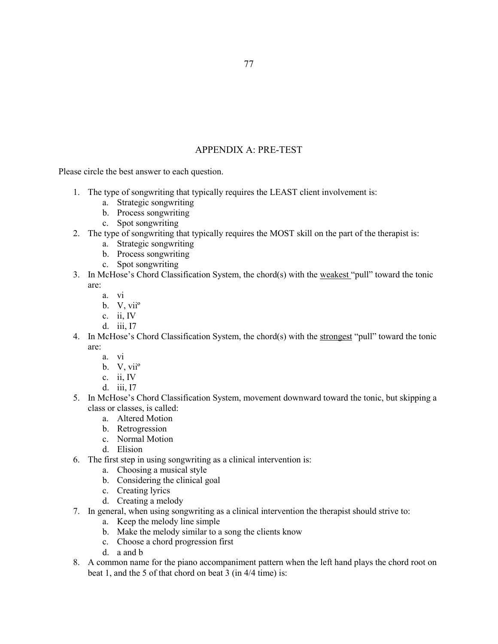# APPENDIX A: PRE-TEST

Please circle the best answer to each question.

- 1. The type of songwriting that typically requires the LEAST client involvement is:
	- a. Strategic songwriting
	- b. Process songwriting
	- c. Spot songwriting
- 2. The type of songwriting that typically requires the MOST skill on the part of the therapist is:
	- a. Strategic songwriting
	- b. Process songwriting
	- c. Spot songwriting
- 3. In McHose's Chord Classification System, the chord(s) with the weakest "pull" toward the tonic are:
	- a. vi
	- b. V, viiº
	- c. ii, IV
	- d. iii, I7
- 4. In McHose's Chord Classification System, the chord(s) with the strongest "pull" toward the tonic are:
	- a. vi
	- b. V, viiº
	- c. ii, IV
	- d. iii, I7
- 5. In McHose's Chord Classification System, movement downward toward the tonic, but skipping a class or classes, is called:
	- a. Altered Motion
	- b. Retrogression
	- c. Normal Motion
	- d. Elision
- 6. The first step in using songwriting as a clinical intervention is:
	- a. Choosing a musical style
	- b. Considering the clinical goal
	- c. Creating lyrics
	- d. Creating a melody
- 7. In general, when using songwriting as a clinical intervention the therapist should strive to:
	- a. Keep the melody line simple
	- b. Make the melody similar to a song the clients know
	- c. Choose a chord progression first
	- d. a and b
- 8. A common name for the piano accompaniment pattern when the left hand plays the chord root on beat 1, and the 5 of that chord on beat 3 (in 4/4 time) is: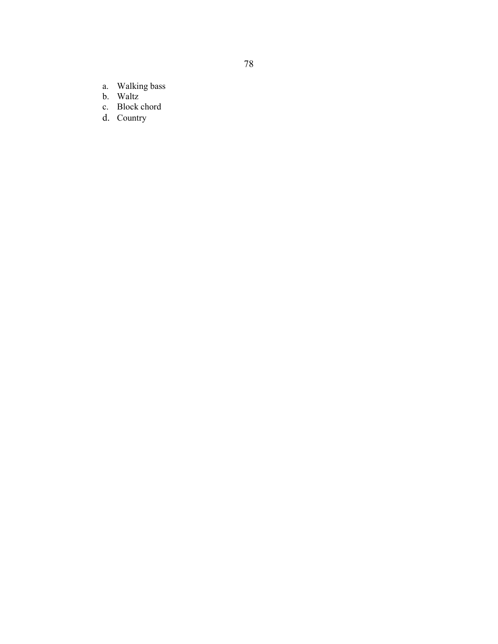- a. Walking bass
- b. Waltz
- c. Block chord
- d. Country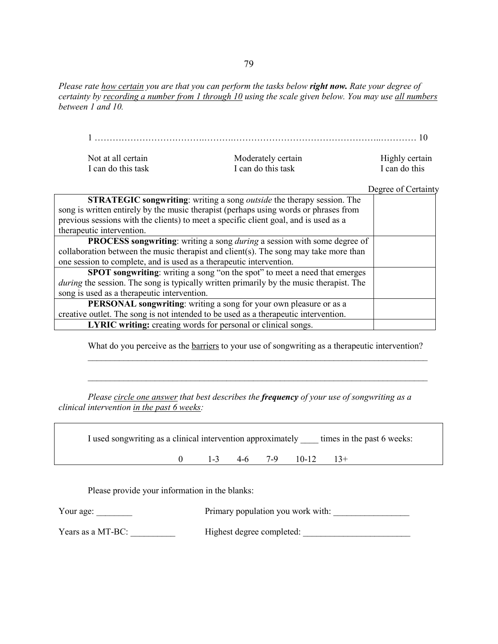*Please rate how certain you are that you can perform the tasks below right now. Rate your degree of certainty by recording a number from 1 through 10 using the scale given below. You may use all numbers between 1 and 10.*

|                                                                     |                                                                                                | 10                  |
|---------------------------------------------------------------------|------------------------------------------------------------------------------------------------|---------------------|
| Not at all certain                                                  | Moderately certain                                                                             | Highly certain      |
| I can do this task                                                  | I can do this task                                                                             | I can do this       |
|                                                                     |                                                                                                | Degree of Certainty |
|                                                                     | <b>STRATEGIC songwriting:</b> writing a song <i>outside</i> the therapy session. The           |                     |
|                                                                     | song is written entirely by the music therapist (perhaps using words or phrases from           |                     |
|                                                                     | previous sessions with the clients) to meet a specific client goal, and is used as a           |                     |
| therapeutic intervention.                                           |                                                                                                |                     |
|                                                                     | PROCESS songwriting: writing a song during a session with some degree of                       |                     |
|                                                                     | collaboration between the music therapist and client(s). The song may take more than           |                     |
| one session to complete, and is used as a therapeutic intervention. |                                                                                                |                     |
|                                                                     | <b>SPOT</b> songwriting: writing a song "on the spot" to meet a need that emerges              |                     |
|                                                                     | <i>during</i> the session. The song is typically written primarily by the music therapist. The |                     |
| song is used as a therapeutic intervention.                         |                                                                                                |                     |
|                                                                     | PERSONAL songwriting: writing a song for your own pleasure or as a                             |                     |
|                                                                     | creative outlet. The song is not intended to be used as a therapeutic intervention.            |                     |
|                                                                     | LYRIC writing: creating words for personal or clinical songs.                                  |                     |

What do you perceive as the **barriers** to your use of songwriting as a therapeutic intervention? \_\_\_\_\_\_\_\_\_\_\_\_\_\_\_\_\_\_\_\_\_\_\_\_\_\_\_\_\_\_\_\_\_\_\_\_\_\_\_\_\_\_\_\_\_\_\_\_\_\_\_\_\_\_\_\_\_\_\_\_\_\_\_\_\_\_\_\_\_\_\_\_\_\_\_\_

\_\_\_\_\_\_\_\_\_\_\_\_\_\_\_\_\_\_\_\_\_\_\_\_\_\_\_\_\_\_\_\_\_\_\_\_\_\_\_\_\_\_\_\_\_\_\_\_\_\_\_\_\_\_\_\_\_\_\_\_\_\_\_\_\_\_\_\_\_\_\_\_\_\_\_\_

*Please circle one answer that best describes the frequency of your use of songwriting as a clinical intervention in the past 6 weeks:* 

I used songwriting as a clinical intervention approximately \_\_\_\_ times in the past 6 weeks:

0 1-3 4-6 7-9 10-12 13+

Please provide your information in the blanks:

| Your age: | Primary population you work with: |  |
|-----------|-----------------------------------|--|
|           |                                   |  |

Years as a MT-BC: \_\_\_\_\_\_\_\_\_\_ Highest degree completed: \_\_\_\_\_\_\_\_\_\_\_\_\_\_\_\_\_\_\_\_\_\_\_\_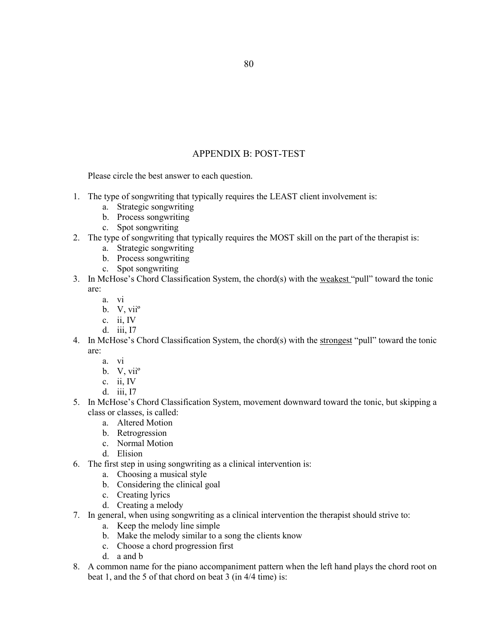# APPENDIX B: POST-TEST

Please circle the best answer to each question.

- 1. The type of songwriting that typically requires the LEAST client involvement is:
	- a. Strategic songwriting
	- b. Process songwriting
	- c. Spot songwriting
- 2. The type of songwriting that typically requires the MOST skill on the part of the therapist is:
	- a. Strategic songwriting
	- b. Process songwriting
	- c. Spot songwriting
- 3. In McHose's Chord Classification System, the chord(s) with the weakest "pull" toward the tonic are:
	- a. vi
	- b. V, viiº
	- c. ii, IV
	- d. iii, I7
- 4. In McHose's Chord Classification System, the chord(s) with the strongest "pull" toward the tonic are:
	- a. vi
	- b. V, viiº
	- c. ii, IV
	- d. iii, I7
- 5. In McHose's Chord Classification System, movement downward toward the tonic, but skipping a class or classes, is called:
	- a. Altered Motion
	- b. Retrogression
	- c. Normal Motion
	- d. Elision
- 6. The first step in using songwriting as a clinical intervention is:
	- a. Choosing a musical style
	- b. Considering the clinical goal
	- c. Creating lyrics
	- d. Creating a melody
- 7. In general, when using songwriting as a clinical intervention the therapist should strive to:
	- a. Keep the melody line simple
	- b. Make the melody similar to a song the clients know
	- c. Choose a chord progression first
	- d. a and b
- 8. A common name for the piano accompaniment pattern when the left hand plays the chord root on beat 1, and the 5 of that chord on beat 3 (in 4/4 time) is: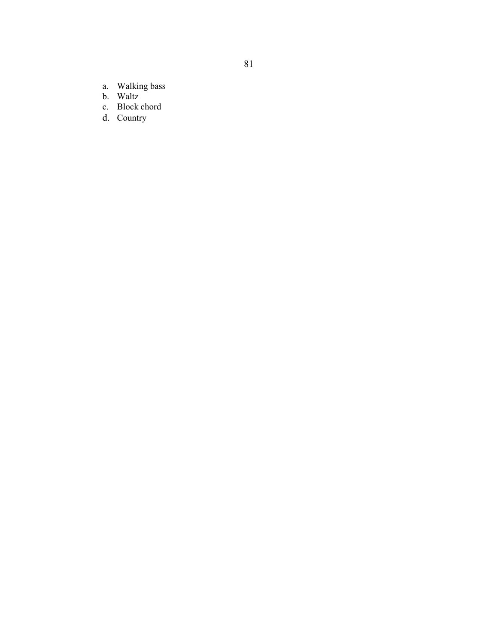- a. Walking bass
- b. Waltz
- c. Block chord
- d. Country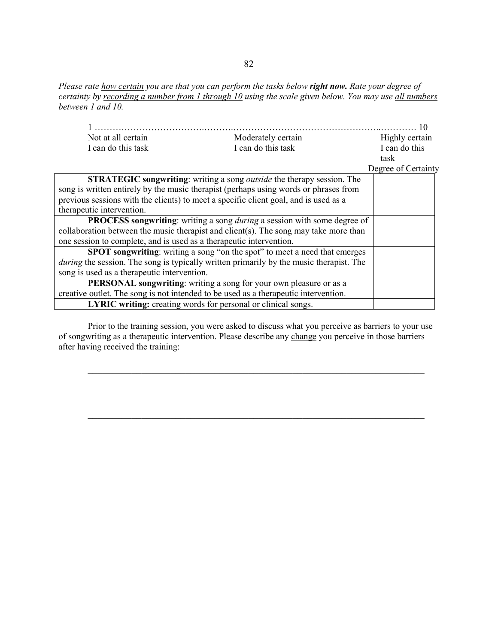*Please rate how certain you are that you can perform the tasks below right now. Rate your degree of certainty by recording a number from 1 through 10 using the scale given below. You may use all numbers between 1 and 10.*

|                                                                     |                                                                                                | 10                  |
|---------------------------------------------------------------------|------------------------------------------------------------------------------------------------|---------------------|
| Not at all certain                                                  | Moderately certain                                                                             | Highly certain      |
| I can do this task                                                  | I can do this task                                                                             | I can do this       |
|                                                                     |                                                                                                | task                |
|                                                                     |                                                                                                | Degree of Certainty |
|                                                                     | <b>STRATEGIC songwriting:</b> writing a song <i>outside</i> the therapy session. The           |                     |
|                                                                     | song is written entirely by the music therapist (perhaps using words or phrases from           |                     |
|                                                                     | previous sessions with the clients) to meet a specific client goal, and is used as a           |                     |
| therapeutic intervention.                                           |                                                                                                |                     |
|                                                                     | <b>PROCESS songwriting:</b> writing a song <i>during</i> a session with some degree of         |                     |
|                                                                     | collaboration between the music therapist and client(s). The song may take more than           |                     |
| one session to complete, and is used as a therapeutic intervention. |                                                                                                |                     |
|                                                                     | <b>SPOT</b> songwriting: writing a song "on the spot" to meet a need that emerges              |                     |
|                                                                     | <i>during</i> the session. The song is typically written primarily by the music therapist. The |                     |
| song is used as a therapeutic intervention.                         |                                                                                                |                     |
|                                                                     | <b>PERSONAL</b> songwriting: writing a song for your own pleasure or as a                      |                     |
|                                                                     | creative outlet. The song is not intended to be used as a therapeutic intervention.            |                     |
|                                                                     | <b>LYRIC writing:</b> creating words for personal or clinical songs.                           |                     |

Prior to the training session, you were asked to discuss what you perceive as barriers to your use of songwriting as a therapeutic intervention. Please describe any change you perceive in those barriers after having received the training:

\_\_\_\_\_\_\_\_\_\_\_\_\_\_\_\_\_\_\_\_\_\_\_\_\_\_\_\_\_\_\_\_\_\_\_\_\_\_\_\_\_\_\_\_\_\_\_\_\_\_\_\_\_\_\_\_\_\_\_\_\_\_\_\_\_\_\_\_\_

\_\_\_\_\_\_\_\_\_\_\_\_\_\_\_\_\_\_\_\_\_\_\_\_\_\_\_\_\_\_\_\_\_\_\_\_\_\_\_\_\_\_\_\_\_\_\_\_\_\_\_\_\_\_\_\_\_\_\_\_\_\_\_\_\_\_\_\_\_

\_\_\_\_\_\_\_\_\_\_\_\_\_\_\_\_\_\_\_\_\_\_\_\_\_\_\_\_\_\_\_\_\_\_\_\_\_\_\_\_\_\_\_\_\_\_\_\_\_\_\_\_\_\_\_\_\_\_\_\_\_\_\_\_\_\_\_\_\_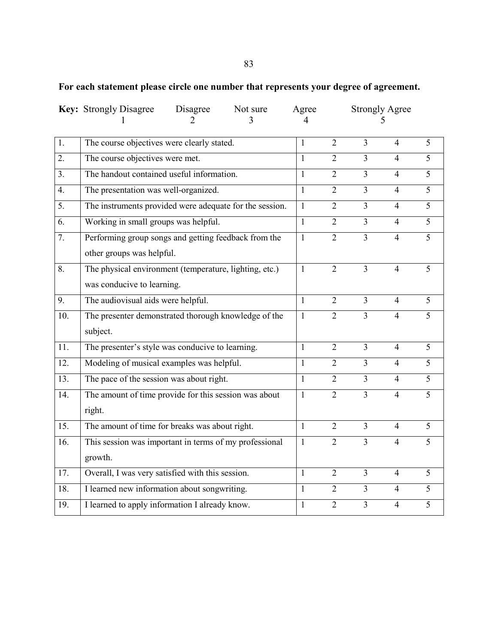# 83

# **For each statement please circle one number that represents your degree of agreement.**

|                  | <b>Key:</b> Strongly Disagree                           | Disagree<br>Not sure |  | Agree        | <b>Strongly Agree</b> |                          |                |                |
|------------------|---------------------------------------------------------|----------------------|--|--------------|-----------------------|--------------------------|----------------|----------------|
| $\overline{1}$ . | The course objectives were clearly stated.              |                      |  | $\mathbf{1}$ | $\overline{2}$        | $\overline{3}$           | $\overline{4}$ | $\overline{5}$ |
| $\overline{2}$ . | The course objectives were met.                         |                      |  | $\mathbf{1}$ | $\overline{2}$        | $\overline{3}$           | $\overline{4}$ | $\overline{5}$ |
| 3 <sub>1</sub>   | The handout contained useful information.               |                      |  | $\mathbf{1}$ | $\overline{2}$        | 3                        | $\overline{4}$ | $\overline{5}$ |
| $\overline{4}$ . | The presentation was well-organized.                    |                      |  | $\mathbf{1}$ | $\overline{2}$        | $\overline{3}$           | $\overline{4}$ | $\overline{5}$ |
| 5.               | The instruments provided were adequate for the session. |                      |  | $\mathbf{1}$ | $\overline{2}$        | $\overline{3}$           | $\overline{4}$ | $\overline{5}$ |
| 6.               | Working in small groups was helpful.                    |                      |  | $\mathbf{1}$ | $\overline{2}$        | $\overline{3}$           | $\overline{4}$ | $\overline{5}$ |
| 7.               | Performing group songs and getting feedback from the    |                      |  | $\mathbf{1}$ | $\overline{2}$        | $\overline{3}$           | $\overline{4}$ | 5              |
|                  | other groups was helpful.                               |                      |  |              |                       |                          |                |                |
| 8.               | The physical environment (temperature, lighting, etc.)  |                      |  | $\mathbf{1}$ | $\overline{2}$        | $\overline{3}$           | $\overline{4}$ | 5              |
|                  | was conducive to learning.                              |                      |  |              |                       |                          |                |                |
| $\overline{9}$ . | The audiovisual aids were helpful.                      |                      |  | $\mathbf{1}$ | $\overline{2}$        | $\overline{3}$           | $\overline{4}$ | $\overline{5}$ |
| 10.              | The presenter demonstrated thorough knowledge of the    |                      |  | $\mathbf{1}$ | $\overline{2}$        | $\overline{\mathcal{E}}$ | 4              | $\overline{5}$ |
|                  | subject.                                                |                      |  |              |                       |                          |                |                |
| 11.              | The presenter's style was conducive to learning.        |                      |  | $\mathbf{1}$ | $\overline{2}$        | $\overline{3}$           | $\overline{4}$ | 5              |
| 12.              | Modeling of musical examples was helpful.               |                      |  | 1            | $\overline{2}$        | $\overline{3}$           | $\overline{4}$ | 5              |
| 13.              | The pace of the session was about right.                |                      |  | $\mathbf{1}$ | $\overline{2}$        | $\overline{3}$           | $\overline{4}$ | 5              |
| 14.              | The amount of time provide for this session was about   |                      |  | $\mathbf{1}$ | $\overline{2}$        | $\overline{3}$           | $\overline{4}$ | $\overline{5}$ |
|                  | right.                                                  |                      |  |              |                       |                          |                |                |
| 15.              | The amount of time for breaks was about right.          |                      |  | $\mathbf{1}$ | $\overline{2}$        | $\overline{3}$           | $\overline{4}$ | $\overline{5}$ |
| 16.              | This session was important in terms of my professional  |                      |  | $\mathbf{1}$ | $\overline{2}$        | $\overline{3}$           | $\overline{4}$ | $\overline{5}$ |
|                  | growth.                                                 |                      |  |              |                       |                          |                |                |
| 17.              | Overall, I was very satisfied with this session.        |                      |  | 1            | $\overline{2}$        | $\overline{3}$           | $\overline{4}$ | 5              |
| 18.              | I learned new information about songwriting.            |                      |  | $\mathbf{1}$ | $\overline{2}$        | $\overline{3}$           | $\overline{4}$ | $\overline{5}$ |
| 19.              | I learned to apply information I already know.          |                      |  | 1            | $\overline{2}$        | 3                        | $\overline{4}$ | $\overline{5}$ |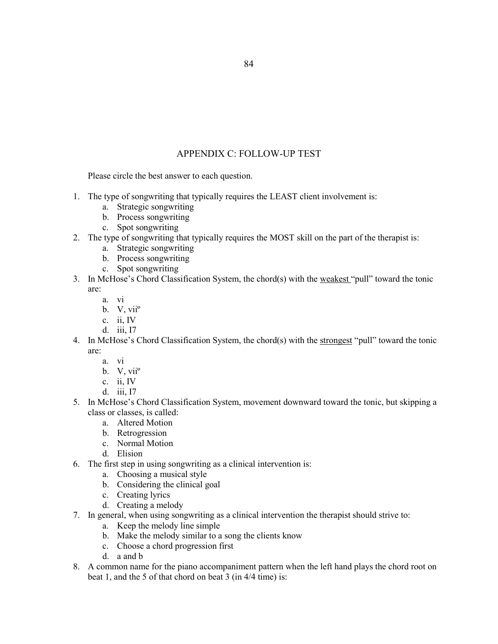# APPENDIX C: FOLLOW-UP TEST

Please circle the best answer to each question.

- 1. The type of songwriting that typically requires the LEAST client involvement is:
	- a. Strategic songwriting
	- b. Process songwriting
	- c. Spot songwriting
- 2. The type of songwriting that typically requires the MOST skill on the part of the therapist is:
	- a. Strategic songwriting
	- b. Process songwriting
	- c. Spot songwriting
- 3. In McHose's Chord Classification System, the chord(s) with the weakest "pull" toward the tonic are:
	- a. vi
	- b. V, viiº
	- c. ii, IV
	- d. iii, I7
- 4. In McHose's Chord Classification System, the chord(s) with the strongest "pull" toward the tonic are:
	- a. vi
	- b. V, viiº
	- c. ii, IV
	- d. iii, I7
- 5. In McHose's Chord Classification System, movement downward toward the tonic, but skipping a class or classes, is called:
	- a. Altered Motion
	- b. Retrogression
	- c. Normal Motion
	- d. Elision
- 6. The first step in using songwriting as a clinical intervention is:
	- a. Choosing a musical style
	- b. Considering the clinical goal
	- c. Creating lyrics
	- d. Creating a melody
- 7. In general, when using songwriting as a clinical intervention the therapist should strive to:
	- a. Keep the melody line simple
	- b. Make the melody similar to a song the clients know
	- c. Choose a chord progression first
	- d. a and b
- 8. A common name for the piano accompaniment pattern when the left hand plays the chord root on beat 1, and the 5 of that chord on beat 3 (in 4/4 time) is: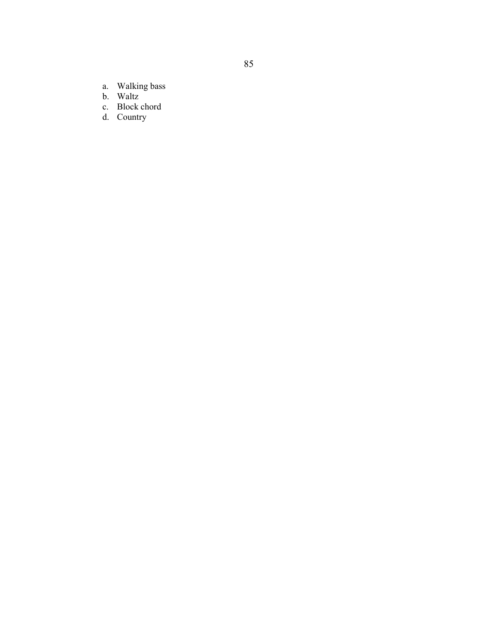- a. Walking bass
- b. Waltz
- c. Block chord
- d. Country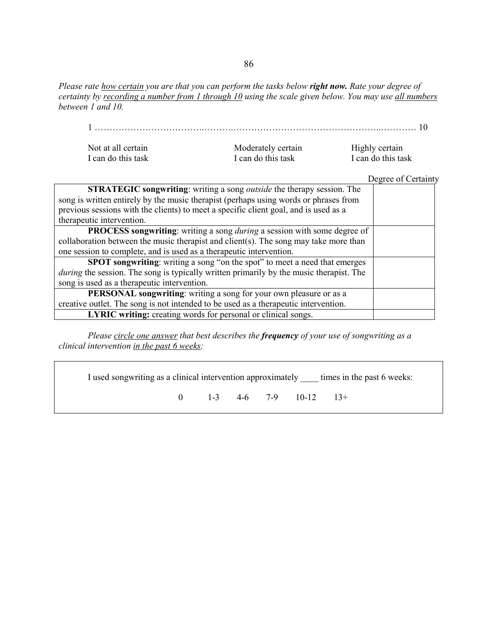*Please rate how certain you are that you can perform the tasks below right now. Rate your degree of certainty by recording a number from 1 through 10 using the scale given below. You may use all numbers between 1 and 10.*

## 1 ……………………………….……….…………………………………………..………… 10

| Not at all certain |  |
|--------------------|--|
| I can do this task |  |

Moderately certain Highly certain<br>
I can do this task I can do this tas

I can do this task

Degree of Certainty

| <b>STRATEGIC songwriting:</b> writing a song <i>outside</i> the therapy session. The           |  |
|------------------------------------------------------------------------------------------------|--|
| song is written entirely by the music therapist (perhaps using words or phrases from           |  |
| previous sessions with the clients) to meet a specific client goal, and is used as a           |  |
| therapeutic intervention.                                                                      |  |
| <b>PROCESS songwriting:</b> writing a song <i>during</i> a session with some degree of         |  |
| collaboration between the music therapist and client(s). The song may take more than           |  |
| one session to complete, and is used as a therapeutic intervention.                            |  |
| SPOT songwriting: writing a song "on the spot" to meet a need that emerges                     |  |
| <i>during</i> the session. The song is typically written primarily by the music therapist. The |  |
| song is used as a therapeutic intervention.                                                    |  |
| PERSONAL songwriting: writing a song for your own pleasure or as a                             |  |
| creative outlet. The song is not intended to be used as a therapeutic intervention.            |  |
| <b>LYRIC writing:</b> creating words for personal or clinical songs.                           |  |

*Please circle one answer that best describes the frequency of your use of songwriting as a clinical intervention in the past 6 weeks:* 

I used songwriting as a clinical intervention approximately \_\_\_\_ times in the past 6 weeks:

0 1-3 4-6 7-9 10-12 13+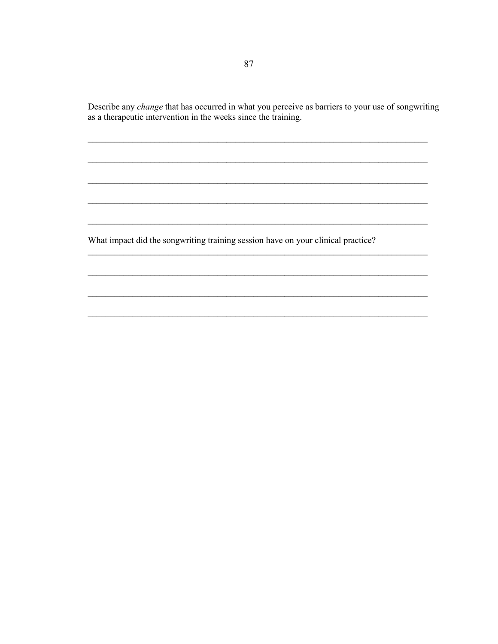Describe any *change* that has occurred in what you perceive as barriers to your use of songwriting as a therapeutic intervention in the weeks since the training.

What impact did the songwriting training session have on your clinical practice?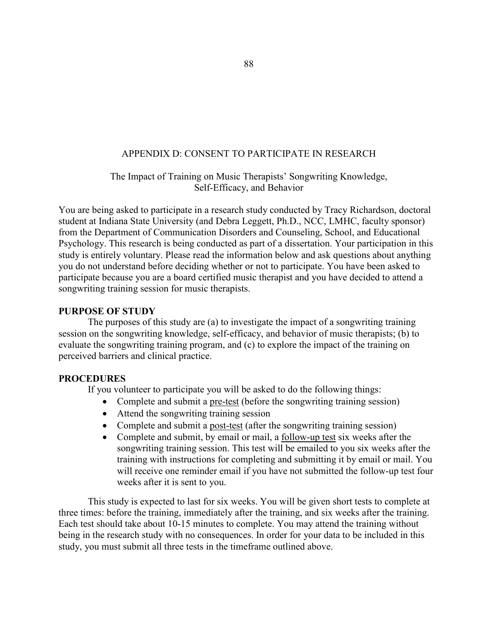# APPENDIX D: CONSENT TO PARTICIPATE IN RESEARCH

## The Impact of Training on Music Therapists' Songwriting Knowledge, Self-Efficacy, and Behavior

You are being asked to participate in a research study conducted by Tracy Richardson, doctoral student at Indiana State University (and Debra Leggett, Ph.D., NCC, LMHC, faculty sponsor) from the Department of Communication Disorders and Counseling, School, and Educational Psychology. This research is being conducted as part of a dissertation. Your participation in this study is entirely voluntary. Please read the information below and ask questions about anything you do not understand before deciding whether or not to participate. You have been asked to participate because you are a board certified music therapist and you have decided to attend a songwriting training session for music therapists.

## **PURPOSE OF STUDY**

The purposes of this study are (a) to investigate the impact of a songwriting training session on the songwriting knowledge, self-efficacy, and behavior of music therapists; (b) to evaluate the songwriting training program, and (c) to explore the impact of the training on perceived barriers and clinical practice.

## **PROCEDURES**

If you volunteer to participate you will be asked to do the following things:

- Complete and submit a pre-test (before the songwriting training session)
- Attend the songwriting training session
- Complete and submit a post-test (after the songwriting training session)
- Complete and submit, by email or mail, a follow-up test six weeks after the songwriting training session. This test will be emailed to you six weeks after the training with instructions for completing and submitting it by email or mail. You will receive one reminder email if you have not submitted the follow-up test four weeks after it is sent to you.

This study is expected to last for six weeks. You will be given short tests to complete at three times: before the training, immediately after the training, and six weeks after the training. Each test should take about 10-15 minutes to complete. You may attend the training without being in the research study with no consequences. In order for your data to be included in this study, you must submit all three tests in the timeframe outlined above.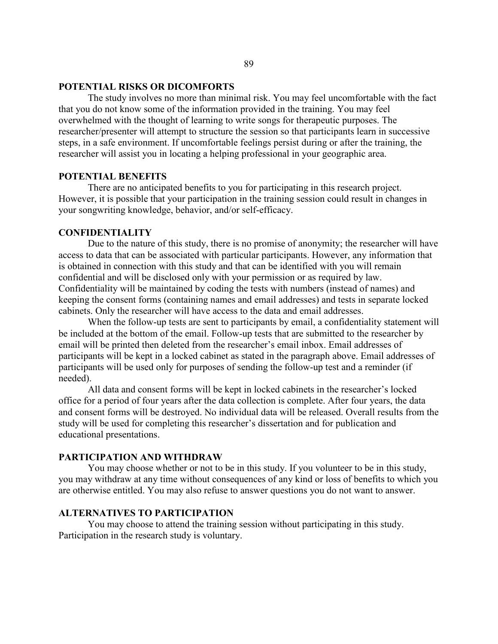## **POTENTIAL RISKS OR DICOMFORTS**

The study involves no more than minimal risk. You may feel uncomfortable with the fact that you do not know some of the information provided in the training. You may feel overwhelmed with the thought of learning to write songs for therapeutic purposes. The researcher/presenter will attempt to structure the session so that participants learn in successive steps, in a safe environment. If uncomfortable feelings persist during or after the training, the researcher will assist you in locating a helping professional in your geographic area.

#### **POTENTIAL BENEFITS**

There are no anticipated benefits to you for participating in this research project. However, it is possible that your participation in the training session could result in changes in your songwriting knowledge, behavior, and/or self-efficacy.

## **CONFIDENTIALITY**

Due to the nature of this study, there is no promise of anonymity; the researcher will have access to data that can be associated with particular participants. However, any information that is obtained in connection with this study and that can be identified with you will remain confidential and will be disclosed only with your permission or as required by law. Confidentiality will be maintained by coding the tests with numbers (instead of names) and keeping the consent forms (containing names and email addresses) and tests in separate locked cabinets. Only the researcher will have access to the data and email addresses.

When the follow-up tests are sent to participants by email, a confidentiality statement will be included at the bottom of the email. Follow-up tests that are submitted to the researcher by email will be printed then deleted from the researcher's email inbox. Email addresses of participants will be kept in a locked cabinet as stated in the paragraph above. Email addresses of participants will be used only for purposes of sending the follow-up test and a reminder (if needed).

All data and consent forms will be kept in locked cabinets in the researcher's locked office for a period of four years after the data collection is complete. After four years, the data and consent forms will be destroyed. No individual data will be released. Overall results from the study will be used for completing this researcher's dissertation and for publication and educational presentations.

## **PARTICIPATION AND WITHDRAW**

You may choose whether or not to be in this study. If you volunteer to be in this study, you may withdraw at any time without consequences of any kind or loss of benefits to which you are otherwise entitled. You may also refuse to answer questions you do not want to answer.

### **ALTERNATIVES TO PARTICIPATION**

You may choose to attend the training session without participating in this study. Participation in the research study is voluntary.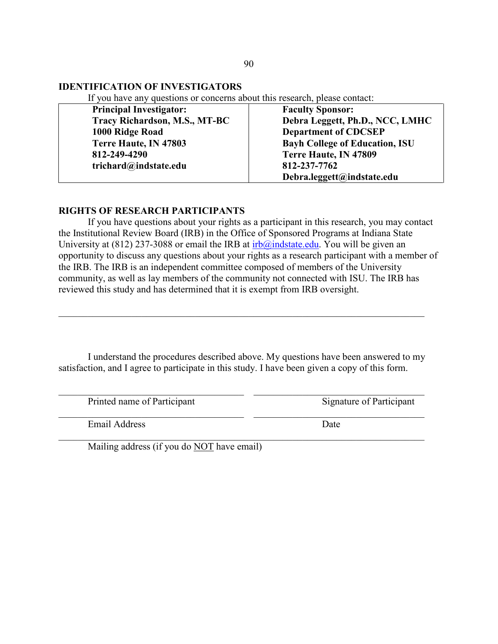## **IDENTIFICATION OF INVESTIGATORS**

If you have any questions or concerns about this research, please contact:

| <b>Principal Investigator:</b> | <b>Faculty Sponsor:</b>               |
|--------------------------------|---------------------------------------|
| Tracy Richardson, M.S., MT-BC  | Debra Leggett, Ph.D., NCC, LMHC       |
| 1000 Ridge Road                | <b>Department of CDCSEP</b>           |
| Terre Haute, IN 47803          | <b>Bayh College of Education, ISU</b> |
| 812-249-4290                   | Terre Haute, IN 47809                 |
| trichard@indstate.edu          | 812-237-7762                          |
|                                | Debra.leggett@indstate.edu            |

## **RIGHTS OF RESEARCH PARTICIPANTS**

If you have questions about your rights as a participant in this research, you may contact the Institutional Review Board (IRB) in the Office of Sponsored Programs at Indiana State University at (812) 237-3088 or email the IRB at  $irb@indstate.edu$ . You will be given an opportunity to discuss any questions about your rights as a research participant with a member of the IRB. The IRB is an independent committee composed of members of the University community, as well as lay members of the community not connected with ISU. The IRB has reviewed this study and has determined that it is exempt from IRB oversight.

I understand the procedures described above. My questions have been answered to my satisfaction, and I agree to participate in this study. I have been given a copy of this form.

\_\_\_\_\_\_\_\_\_\_\_\_\_\_\_\_\_\_\_\_\_\_\_\_\_\_\_\_\_\_\_\_\_\_\_\_\_\_ \_\_\_\_\_\_\_\_\_\_\_\_\_\_\_\_\_\_\_\_\_\_\_\_\_\_\_\_\_\_\_\_\_\_\_

\_\_\_\_\_\_\_\_\_\_\_\_\_\_\_\_\_\_\_\_\_\_\_\_\_\_\_\_\_\_\_\_\_\_\_\_\_\_\_\_\_\_\_\_\_\_\_\_\_\_\_\_\_\_\_\_\_\_\_\_\_\_\_\_\_\_\_\_\_\_\_\_\_\_\_

\_\_\_\_\_\_\_\_\_\_\_\_\_\_\_\_\_\_\_\_\_\_\_\_\_\_\_\_\_\_\_\_\_\_\_\_\_\_\_\_\_\_\_\_\_\_\_\_\_\_\_\_\_\_\_\_\_\_\_\_\_\_\_\_\_\_\_\_\_\_\_\_\_\_\_

Printed name of Participant Signature of Participant

\_\_\_\_\_\_\_\_\_\_\_\_\_\_\_\_\_\_\_\_\_\_\_\_\_\_\_\_\_\_\_\_\_\_\_\_\_\_ \_\_\_\_\_\_\_\_\_\_\_\_\_\_\_\_\_\_\_\_\_\_\_\_\_\_\_\_\_\_\_\_\_\_\_ Email Address Date

Mailing address (if you do NOT have email)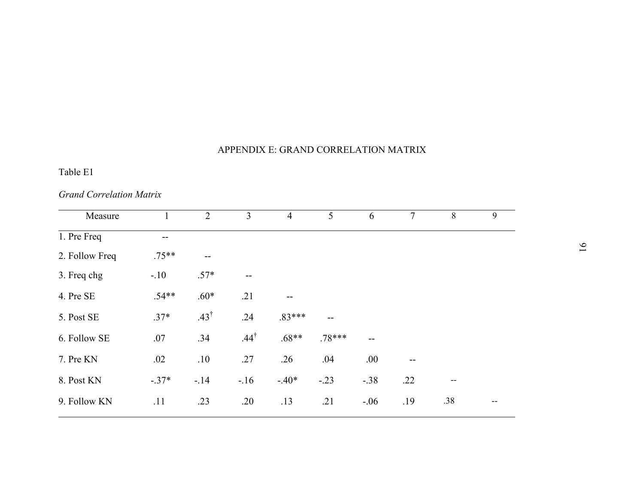# APPENDIX E: GRAND CORRELATION MATRIX

# Table E1

# *Grand Correlation Matrix*

| Measure        |         | $\overline{2}$  | 3               | $\overline{4}$ | 5        | 6      | $\tau$ | 8     | 9 |
|----------------|---------|-----------------|-----------------|----------------|----------|--------|--------|-------|---|
| 1. Pre Freq    | --      |                 |                 |                |          |        |        |       |   |
| 2. Follow Freq | $.75**$ | --              |                 |                |          |        |        |       |   |
| 3. Freq chg    | $-.10$  | $.57*$          | --              |                |          |        |        |       |   |
| 4. Pre SE      | $.54**$ | $.60*$          | .21             |                |          |        |        |       |   |
| 5. Post SE     | $.37*$  | $.43^{\dagger}$ | .24             | $.83***$       | $-$      |        |        |       |   |
| 6. Follow SE   | .07     | .34             | $.44^{\dagger}$ | $.68**$        | $.78***$ |        |        |       |   |
| 7. Pre KN      | .02     | .10             | .27             | .26            | .04      | .00.   |        |       |   |
| 8. Post KN     | $-37*$  | $-14$           | $-16$           | $-40*$         | $-.23$   | $-.38$ | .22    | $- -$ |   |
| 9. Follow KN   | .11     | .23             | .20             | .13            | .21      | $-.06$ | .19    | .38   |   |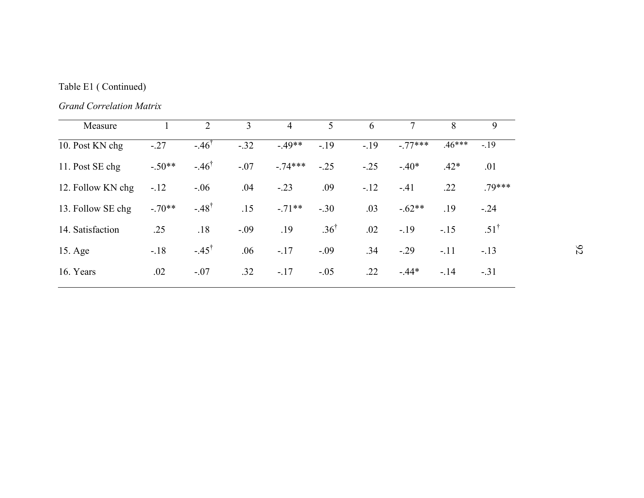# Table E1 ( Continued)

*Grand Correlation Matrix*

| Measure           |          | $\overline{2}$     | 3      | 4        | 5               | 6      |          | 8        | 9               |
|-------------------|----------|--------------------|--------|----------|-----------------|--------|----------|----------|-----------------|
| 10. Post KN chg   | $-27$    | $-46$ <sup>1</sup> | $-.32$ | $-49**$  | $-19$           | $-19$  | $-77***$ | $.46***$ | $-.19$          |
| 11. Post SE chg   | $-.50**$ | $-46^{\dagger}$    | $-.07$ | $-74***$ | $-.25$          | $-.25$ | $-.40*$  | $.42*$   | .01             |
| 12. Follow KN chg | $-.12$   | $-.06$             | .04    | $-.23$   | .09             | $-.12$ | $-41$    | .22      | $.79***$        |
| 13. Follow SE chg | $-70**$  | $-48^{\dagger}$    | .15    | $-71**$  | $-.30$          | .03    | $-.62**$ | .19      | $-.24$          |
| 14. Satisfaction  | .25      | .18                | $-.09$ | .19      | $.36^{\dagger}$ | .02    | $-.19$   | $-.15$   | $.51^{\dagger}$ |
| 15. Age           | $-.18$   | $-45^{\dagger}$    | .06    | $-.17$   | $-.09$          | .34    | $-0.29$  | $-.11$   | $-.13$          |
| 16. Years         | .02      | $-.07$             | .32    | $-17$    | $-.05$          | .22    | $-44*$   | $-.14$   | $-.31$          |
|                   |          |                    |        |          |                 |        |          |          |                 |